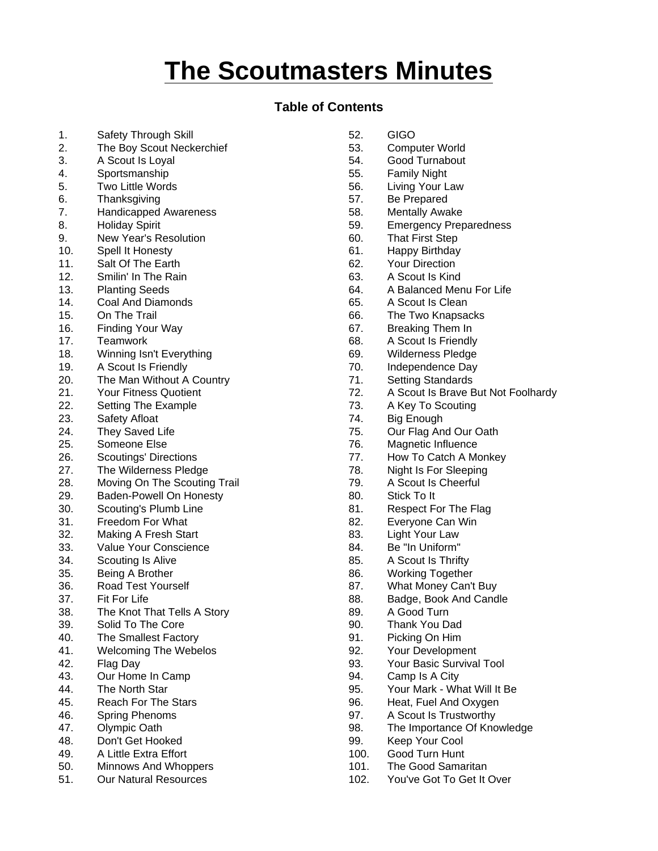# **The Scoutmasters Minutes**

# **Table of Contents**

- 1. Safety Through Skill
- 2. The Boy Scout Neckerchief
- 3. A Scout Is Loyal
- 4. Sportsmanship
- 5. Two Little Words
- 6. Thanksgiving
- 7. Handicapped Awareness
- 8. Holiday Spirit
- 9. New Year's Resolution
- 10. Spell It Honesty
- 11. Salt Of The Earth
- 12. Smilin' In The Rain
- 13. Planting Seeds
- 14. Coal And Diamonds
- 15. On The Trail
- 16. Finding Your Way
- 17. Teamwork
- 18. Winning Isn't Everything
- 19. A Scout Is Friendly
- 20. The Man Without A Country
- 21. Your Fitness Quotient
- 22. Setting The Example
- 23. Safety Afloat
- 24. They Saved Life
- 25. Someone Else
- 26. Scoutings' Directions
- 27. The Wilderness Pledge
- 28. Moving On The Scouting Trail
- 29. Baden-Powell On Honesty
- 30. Scouting's Plumb Line
- 31. Freedom For What
- 32. Making A Fresh Start
- 33. Value Your Conscience
- 34. Scouting Is Alive
- 35. Being A Brother
- 36. Road Test Yourself
- 37. Fit For Life
- 38. The Knot That Tells A Story
- 39. Solid To The Core
- 40. The Smallest Factory
- 41. Welcoming The Webelos
- 42. Flag Day
- 43. Our Home In Camp
- 44. The North Star
- 45. Reach For The Stars
- 46. Spring Phenoms
- 47. Olympic Oath
- 48. Don't Get Hooked
- 49. A Little Extra Effort
- 50. Minnows And Whoppers
- 51. Our Natural Resources
- 52. GIGO
- 53. Computer World
- 54. Good Turnabout
- 55. Family Night
- 56. Living Your Law
- 57. Be Prepared
- 58. Mentally Awake
- 59. Emergency Preparedness
- 60. That First Step
- 61. Happy Birthday
- 62. Your Direction
- 63. A Scout Is Kind
- 64. A Balanced Menu For Life
- 65. A Scout Is Clean
- 66. The Two Knapsacks
- 67. Breaking Them In
- 68. A Scout Is Friendly
- 69. Wilderness Pledge
- 70. Independence Day
- 71. Setting Standards
- 72. A Scout Is Brave But Not Foolhardy
- 73. A Key To Scouting
- 74. Big Enough
- 75. Our Flag And Our Oath
- 76. Magnetic Influence
- 77. How To Catch A Monkey
- 78. Night Is For Sleeping
- 79. A Scout Is Cheerful
- 80. Stick To It
- 81. Respect For The Flag
- 82. Everyone Can Win
- 83. Light Your Law
- 84. Be "In Uniform"
- 85. A Scout Is Thrifty
- 86. Working Together
- 87. What Money Can't Buy
- 88. Badge, Book And Candle
- 89. A Good Turn
- 90. Thank You Dad
- 91. Picking On Him
- 92. Your Development
- 93. Your Basic Survival Tool
- 94. Camp Is A City

100. Good Turn Hunt 101. The Good Samaritan 102. You've Got To Get It Over

- 95. Your Mark What Will It Be
- 96. Heat, Fuel And Oxygen
- 97. A Scout Is Trustworthy
- 98. The Importance Of Knowledge 99. Keep Your Cool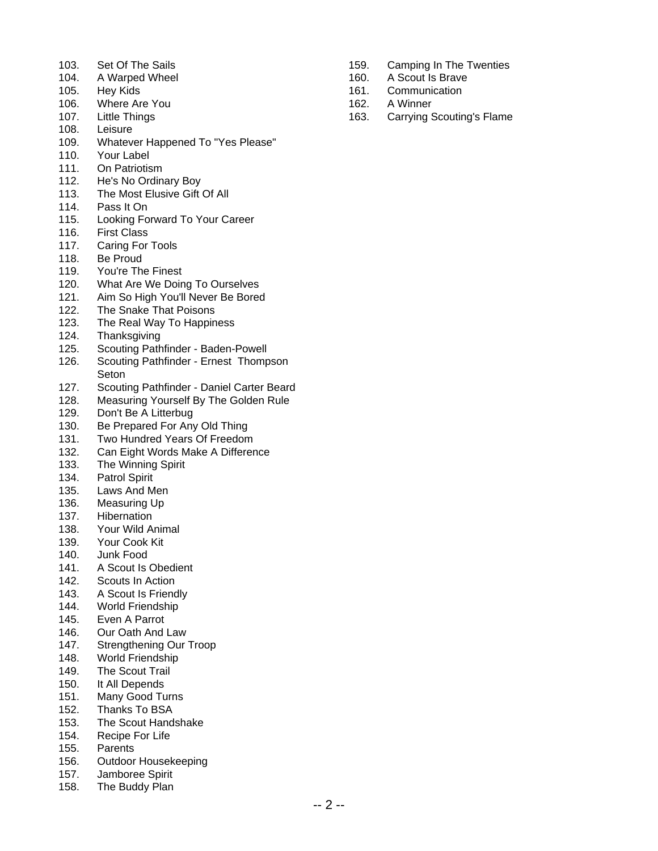- 103. Set Of The Sails
- 104. A Warped Wheel
- 105. Hey Kids
- 106. Where Are You
- 107. Little Things
- 108. Leisure
- 109. Whatever Happened To "Yes Please"
- 110. Your Label
- 111. On Patriotism
- 112. He's No Ordinary Boy
- 113. The Most Elusive Gift Of All
- 114. Pass It On
- 115. Looking Forward To Your Career
- 116. First Class
- 117. Caring For Tools
- 118. Be Proud
- 119. You're The Finest
- 120. What Are We Doing To Ourselves
- 121. Aim So High You'll Never Be Bored
- 122. The Snake That Poisons
- 123. The Real Way To Happiness
- 124. Thanksgiving
- 125. Scouting Pathfinder Baden-Powell
- 126. Scouting Pathfinder Ernest Thompson Seton
- 127. Scouting Pathfinder Daniel Carter Beard
- 128. Measuring Yourself By The Golden Rule
- 129. Don't Be A Litterbug
- 130. Be Prepared For Any Old Thing
- 131. Two Hundred Years Of Freedom
- 132. Can Eight Words Make A Difference
- 133. The Winning Spirit
- 134. Patrol Spirit
- 135. Laws And Men
- 136. Measuring Up
- 137. Hibernation
- 138. Your Wild Animal
- 139. Your Cook Kit
- 140. Junk Food
- 141. A Scout Is Obedient
- 142. Scouts In Action
- 143. A Scout Is Friendly
- 144. World Friendship
- 145. Even A Parrot
- 146. Our Oath And Law
- 147. Strengthening Our Troop
- 148. World Friendship
- 149. The Scout Trail
- 150. It All Depends
- 151. Many Good Turns
- 152. Thanks To BSA
- 153. The Scout Handshake
- 154. Recipe For Life
- 155. Parents
- 156. Outdoor Housekeeping
- 157. Jamboree Spirit
- 158. The Buddy Plan
- 159. Camping In The Twenties
- 160. A Scout Is Brave
- 161. Communication
- 162. A Winner
- 163. Carrying Scouting's Flame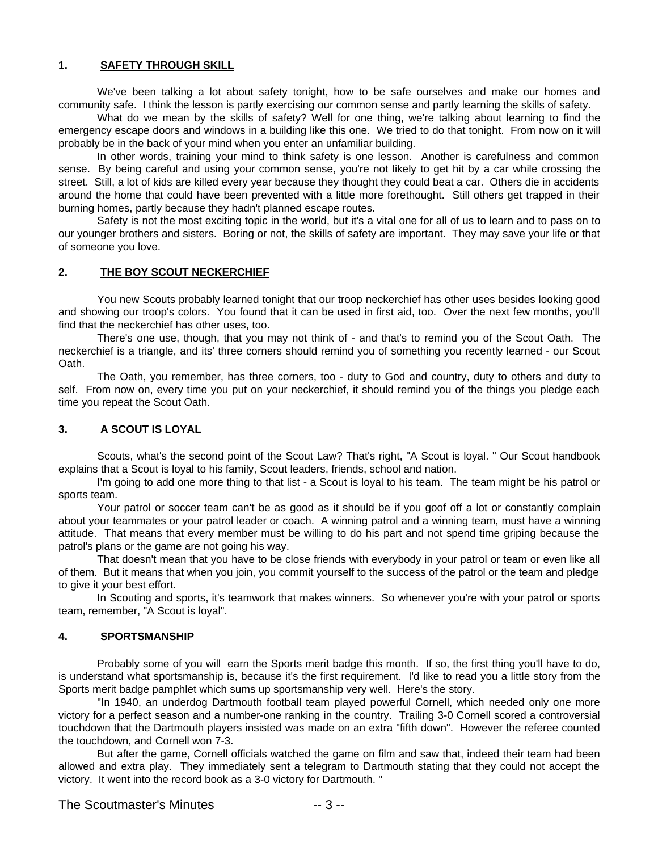# **1. SAFETY THROUGH SKILL**

We've been talking a lot about safety tonight, how to be safe ourselves and make our homes and community safe. I think the lesson is partly exercising our common sense and partly learning the skills of safety.

What do we mean by the skills of safety? Well for one thing, we're talking about learning to find the emergency escape doors and windows in a building like this one. We tried to do that tonight. From now on it will probably be in the back of your mind when you enter an unfamiliar building.

In other words, training your mind to think safety is one lesson. Another is carefulness and common sense. By being careful and using your common sense, you're not likely to get hit by a car while crossing the street. Still, a lot of kids are killed every year because they thought they could beat a car. Others die in accidents around the home that could have been prevented with a little more forethought. Still others get trapped in their burning homes, partly because they hadn't planned escape routes.

Safety is not the most exciting topic in the world, but it's a vital one for all of us to learn and to pass on to our younger brothers and sisters. Boring or not, the skills of safety are important. They may save your life or that of someone you love.

## **2. THE BOY SCOUT NECKERCHIEF**

You new Scouts probably learned tonight that our troop neckerchief has other uses besides looking good and showing our troop's colors. You found that it can be used in first aid, too. Over the next few months, you'll find that the neckerchief has other uses, too.

There's one use, though, that you may not think of - and that's to remind you of the Scout Oath. The neckerchief is a triangle, and its' three corners should remind you of something you recently learned - our Scout Oath.

The Oath, you remember, has three corners, too - duty to God and country, duty to others and duty to self. From now on, every time you put on your neckerchief, it should remind you of the things you pledge each time you repeat the Scout Oath.

# **3. A SCOUT IS LOYAL**

Scouts, what's the second point of the Scout Law? That's right, "A Scout is loyal. " Our Scout handbook explains that a Scout is loyal to his family, Scout leaders, friends, school and nation.

I'm going to add one more thing to that list - a Scout is loyal to his team. The team might be his patrol or sports team.

Your patrol or soccer team can't be as good as it should be if you goof off a lot or constantly complain about your teammates or your patrol leader or coach. A winning patrol and a winning team, must have a winning attitude. That means that every member must be willing to do his part and not spend time griping because the patrol's plans or the game are not going his way.

That doesn't mean that you have to be close friends with everybody in your patrol or team or even like all of them. But it means that when you join, you commit yourself to the success of the patrol or the team and pledge to give it your best effort.

In Scouting and sports, it's teamwork that makes winners. So whenever you're with your patrol or sports team, remember, "A Scout is loyal".

## **4. SPORTSMANSHIP**

Probably some of you will earn the Sports merit badge this month. If so, the first thing you'll have to do, is understand what sportsmanship is, because it's the first requirement. I'd like to read you a little story from the Sports merit badge pamphlet which sums up sportsmanship very well. Here's the story.

"In 1940, an underdog Dartmouth football team played powerful Cornell, which needed only one more victory for a perfect season and a number-one ranking in the country. Trailing 3-0 Cornell scored a controversial touchdown that the Dartmouth players insisted was made on an extra "fifth down". However the referee counted the touchdown, and Cornell won 7-3.

But after the game, Cornell officials watched the game on film and saw that, indeed their team had been allowed and extra play. They immediately sent a telegram to Dartmouth stating that they could not accept the victory. It went into the record book as a 3-0 victory for Dartmouth. "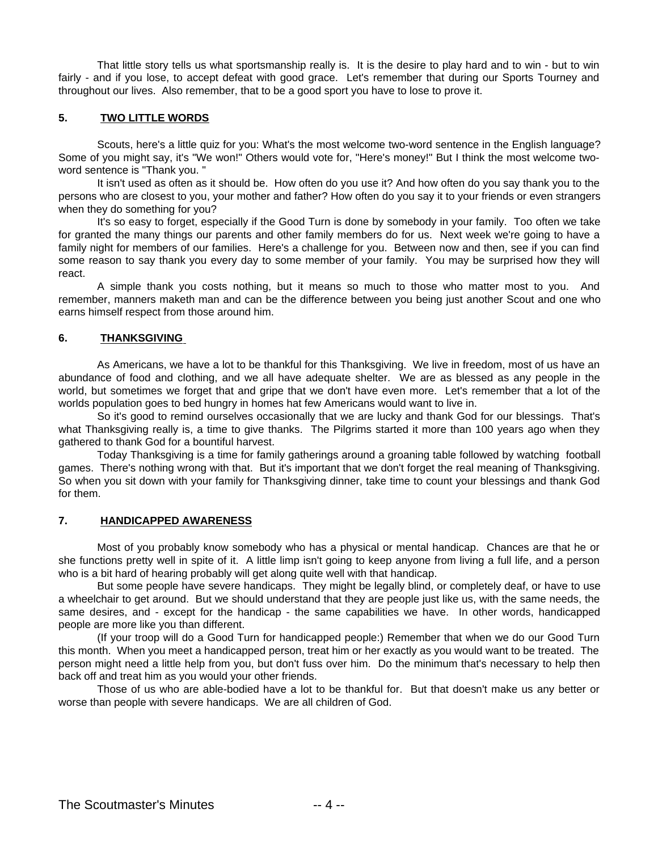That little story tells us what sportsmanship really is. It is the desire to play hard and to win - but to win fairly - and if you lose, to accept defeat with good grace. Let's remember that during our Sports Tourney and throughout our lives. Also remember, that to be a good sport you have to lose to prove it.

# **5. TWO LITTLE WORDS**

Scouts, here's a little quiz for you: What's the most welcome two-word sentence in the English language? Some of you might say, it's "We won!" Others would vote for, "Here's money!" But I think the most welcome twoword sentence is "Thank you. "

It isn't used as often as it should be. How often do you use it? And how often do you say thank you to the persons who are closest to you, your mother and father? How often do you say it to your friends or even strangers when they do something for you?

It's so easy to forget, especially if the Good Turn is done by somebody in your family. Too often we take for granted the many things our parents and other family members do for us. Next week we're going to have a family night for members of our families. Here's a challenge for you. Between now and then, see if you can find some reason to say thank you every day to some member of your family. You may be surprised how they will react.

A simple thank you costs nothing, but it means so much to those who matter most to you. And remember, manners maketh man and can be the difference between you being just another Scout and one who earns himself respect from those around him.

# **6. THANKSGIVING**

As Americans, we have a lot to be thankful for this Thanksgiving. We live in freedom, most of us have an abundance of food and clothing, and we all have adequate shelter. We are as blessed as any people in the world, but sometimes we forget that and gripe that we don't have even more. Let's remember that a lot of the worlds population goes to bed hungry in homes hat few Americans would want to live in.

So it's good to remind ourselves occasionally that we are lucky and thank God for our blessings. That's what Thanksgiving really is, a time to give thanks. The Pilgrims started it more than 100 years ago when they gathered to thank God for a bountiful harvest.

Today Thanksgiving is a time for family gatherings around a groaning table followed by watching football games. There's nothing wrong with that. But it's important that we don't forget the real meaning of Thanksgiving. So when you sit down with your family for Thanksgiving dinner, take time to count your blessings and thank God for them.

# **7. HANDICAPPED AWARENESS**

Most of you probably know somebody who has a physical or mental handicap. Chances are that he or she functions pretty well in spite of it. A little limp isn't going to keep anyone from living a full life, and a person who is a bit hard of hearing probably will get along quite well with that handicap.

But some people have severe handicaps. They might be legally blind, or completely deaf, or have to use a wheelchair to get around. But we should understand that they are people just like us, with the same needs, the same desires, and - except for the handicap - the same capabilities we have. In other words, handicapped people are more like you than different.

(If your troop will do a Good Turn for handicapped people:) Remember that when we do our Good Turn this month. When you meet a handicapped person, treat him or her exactly as you would want to be treated. The person might need a little help from you, but don't fuss over him. Do the minimum that's necessary to help then back off and treat him as you would your other friends.

Those of us who are able-bodied have a lot to be thankful for. But that doesn't make us any better or worse than people with severe handicaps. We are all children of God.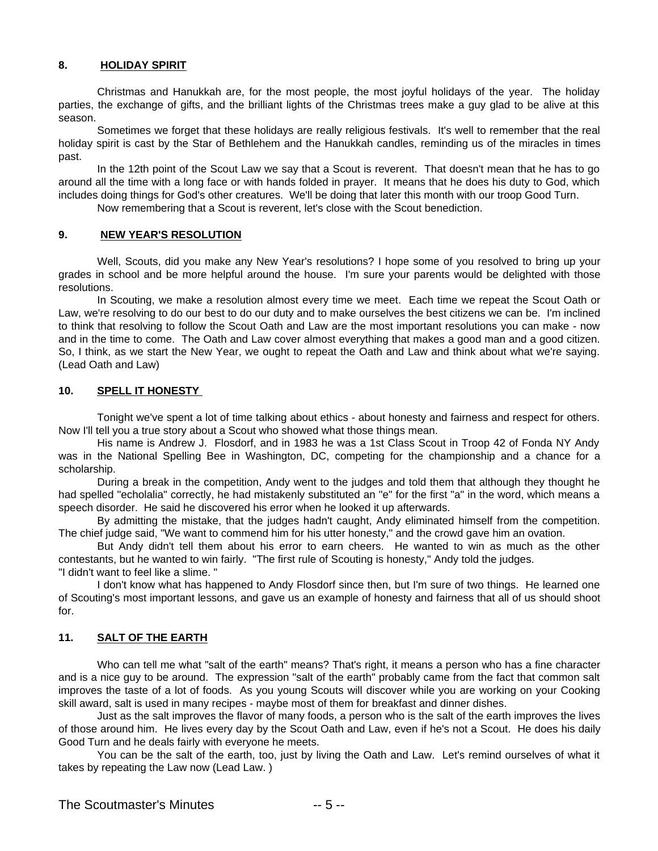# **8. HOLIDAY SPIRIT**

Christmas and Hanukkah are, for the most people, the most joyful holidays of the year. The holiday parties, the exchange of gifts, and the brilliant lights of the Christmas trees make a guy glad to be alive at this season.

Sometimes we forget that these holidays are really religious festivals. It's well to remember that the real holiday spirit is cast by the Star of Bethlehem and the Hanukkah candles, reminding us of the miracles in times past.

In the 12th point of the Scout Law we say that a Scout is reverent. That doesn't mean that he has to go around all the time with a long face or with hands folded in prayer. It means that he does his duty to God, which includes doing things for God's other creatures. We'll be doing that later this month with our troop Good Turn.

Now remembering that a Scout is reverent, let's close with the Scout benediction.

## **9. NEW YEAR'S RESOLUTION**

Well, Scouts, did you make any New Year's resolutions? I hope some of you resolved to bring up your grades in school and be more helpful around the house. I'm sure your parents would be delighted with those resolutions.

In Scouting, we make a resolution almost every time we meet. Each time we repeat the Scout Oath or Law, we're resolving to do our best to do our duty and to make ourselves the best citizens we can be. I'm inclined to think that resolving to follow the Scout Oath and Law are the most important resolutions you can make - now and in the time to come. The Oath and Law cover almost everything that makes a good man and a good citizen. So, I think, as we start the New Year, we ought to repeat the Oath and Law and think about what we're saying. (Lead Oath and Law)

# **10. SPELL IT HONESTY**

Tonight we've spent a lot of time talking about ethics - about honesty and fairness and respect for others. Now I'll tell you a true story about a Scout who showed what those things mean.

His name is Andrew J. Flosdorf, and in 1983 he was a 1st Class Scout in Troop 42 of Fonda NY Andy was in the National Spelling Bee in Washington, DC, competing for the championship and a chance for a scholarship.

During a break in the competition, Andy went to the judges and told them that although they thought he had spelled "echolalia" correctly, he had mistakenly substituted an "e" for the first "a" in the word, which means a speech disorder. He said he discovered his error when he looked it up afterwards.

By admitting the mistake, that the judges hadn't caught, Andy eliminated himself from the competition. The chief judge said, "We want to commend him for his utter honesty," and the crowd gave him an ovation.

But Andy didn't tell them about his error to earn cheers. He wanted to win as much as the other contestants, but he wanted to win fairly. "The first rule of Scouting is honesty," Andy told the judges. "I didn't want to feel like a slime. "

I don't know what has happened to Andy Flosdorf since then, but I'm sure of two things. He learned one of Scouting's most important lessons, and gave us an example of honesty and fairness that all of us should shoot for.

## **11. SALT OF THE EARTH**

Who can tell me what "salt of the earth" means? That's right, it means a person who has a fine character and is a nice guy to be around. The expression "salt of the earth" probably came from the fact that common salt improves the taste of a lot of foods. As you young Scouts will discover while you are working on your Cooking skill award, salt is used in many recipes - maybe most of them for breakfast and dinner dishes.

Just as the salt improves the flavor of many foods, a person who is the salt of the earth improves the lives of those around him. He lives every day by the Scout Oath and Law, even if he's not a Scout. He does his daily Good Turn and he deals fairly with everyone he meets.

You can be the salt of the earth, too, just by living the Oath and Law. Let's remind ourselves of what it takes by repeating the Law now (Lead Law. )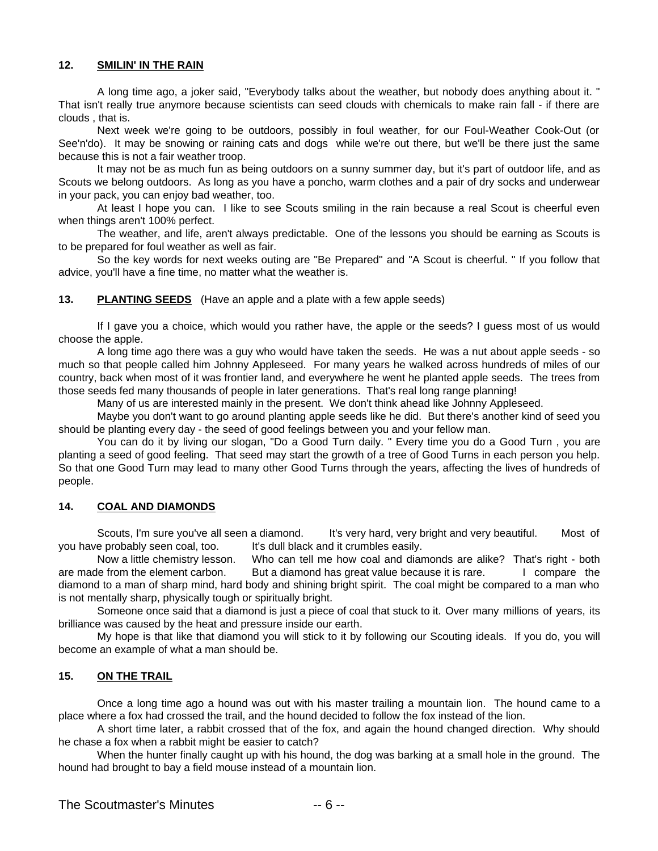# **12. SMILIN' IN THE RAIN**

A long time ago, a joker said, "Everybody talks about the weather, but nobody does anything about it. " That isn't really true anymore because scientists can seed clouds with chemicals to make rain fall - if there are clouds , that is.

Next week we're going to be outdoors, possibly in foul weather, for our Foul-Weather Cook-Out (or See'n'do). It may be snowing or raining cats and dogs while we're out there, but we'll be there just the same because this is not a fair weather troop.

It may not be as much fun as being outdoors on a sunny summer day, but it's part of outdoor life, and as Scouts we belong outdoors. As long as you have a poncho, warm clothes and a pair of dry socks and underwear in your pack, you can enjoy bad weather, too.

At least I hope you can. I like to see Scouts smiling in the rain because a real Scout is cheerful even when things aren't 100% perfect.

The weather, and life, aren't always predictable. One of the lessons you should be earning as Scouts is to be prepared for foul weather as well as fair.

So the key words for next weeks outing are "Be Prepared" and "A Scout is cheerful. " If you follow that advice, you'll have a fine time, no matter what the weather is.

**13. PLANTING SEEDS** (Have an apple and a plate with a few apple seeds)

If I gave you a choice, which would you rather have, the apple or the seeds? I guess most of us would choose the apple.

A long time ago there was a guy who would have taken the seeds. He was a nut about apple seeds - so much so that people called him Johnny Appleseed. For many years he walked across hundreds of miles of our country, back when most of it was frontier land, and everywhere he went he planted apple seeds. The trees from those seeds fed many thousands of people in later generations. That's real long range planning!

Many of us are interested mainly in the present. We don't think ahead like Johnny Appleseed.

Maybe you don't want to go around planting apple seeds like he did. But there's another kind of seed you should be planting every day - the seed of good feelings between you and your fellow man.

You can do it by living our slogan, "Do a Good Turn daily. " Every time you do a Good Turn , you are planting a seed of good feeling. That seed may start the growth of a tree of Good Turns in each person you help. So that one Good Turn may lead to many other Good Turns through the years, affecting the lives of hundreds of people.

# **14. COAL AND DIAMONDS**

Scouts, I'm sure you've all seen a diamond. It's very hard, very bright and very beautiful. Most of you have probably seen coal, too. It's dull black and it crumbles easily.

Now a little chemistry lesson. Who can tell me how coal and diamonds are alike? That's right - both are made from the element carbon. But a diamond has great value because it is rare. I compare the diamond to a man of sharp mind, hard body and shining bright spirit. The coal might be compared to a man who is not mentally sharp, physically tough or spiritually bright.

Someone once said that a diamond is just a piece of coal that stuck to it. Over many millions of years, its brilliance was caused by the heat and pressure inside our earth.

My hope is that like that diamond you will stick to it by following our Scouting ideals. If you do, you will become an example of what a man should be.

# **15. ON THE TRAIL**

Once a long time ago a hound was out with his master trailing a mountain lion. The hound came to a place where a fox had crossed the trail, and the hound decided to follow the fox instead of the lion.

A short time later, a rabbit crossed that of the fox, and again the hound changed direction. Why should he chase a fox when a rabbit might be easier to catch?

When the hunter finally caught up with his hound, the dog was barking at a small hole in the ground. The hound had brought to bay a field mouse instead of a mountain lion.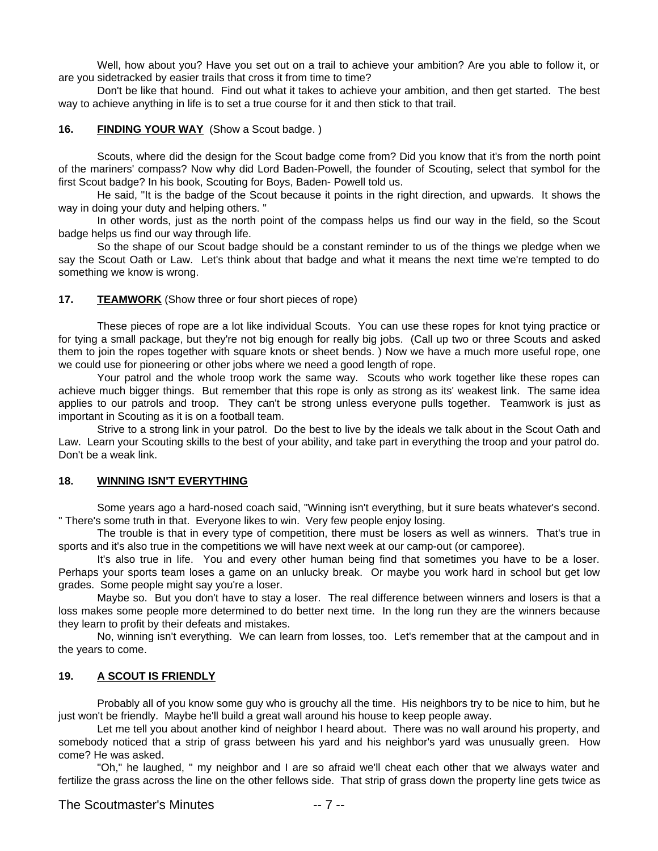Well, how about you? Have you set out on a trail to achieve your ambition? Are you able to follow it, or are you sidetracked by easier trails that cross it from time to time?

Don't be like that hound. Find out what it takes to achieve your ambition, and then get started. The best way to achieve anything in life is to set a true course for it and then stick to that trail.

#### **16. FINDING YOUR WAY** (Show a Scout badge. )

Scouts, where did the design for the Scout badge come from? Did you know that it's from the north point of the mariners' compass? Now why did Lord Baden-Powell, the founder of Scouting, select that symbol for the first Scout badge? In his book, Scouting for Boys, Baden- Powell told us.

He said, "It is the badge of the Scout because it points in the right direction, and upwards. It shows the way in doing your duty and helping others. "

In other words, just as the north point of the compass helps us find our way in the field, so the Scout badge helps us find our way through life.

So the shape of our Scout badge should be a constant reminder to us of the things we pledge when we say the Scout Oath or Law. Let's think about that badge and what it means the next time we're tempted to do something we know is wrong.

#### **17.** TEAMWORK (Show three or four short pieces of rope)

These pieces of rope are a lot like individual Scouts. You can use these ropes for knot tying practice or for tying a small package, but they're not big enough for really big jobs. (Call up two or three Scouts and asked them to join the ropes together with square knots or sheet bends. ) Now we have a much more useful rope, one we could use for pioneering or other jobs where we need a good length of rope.

Your patrol and the whole troop work the same way. Scouts who work together like these ropes can achieve much bigger things. But remember that this rope is only as strong as its' weakest link. The same idea applies to our patrols and troop. They can't be strong unless everyone pulls together. Teamwork is just as important in Scouting as it is on a football team.

Strive to a strong link in your patrol. Do the best to live by the ideals we talk about in the Scout Oath and Law. Learn your Scouting skills to the best of your ability, and take part in everything the troop and your patrol do. Don't be a weak link.

## **18. WINNING ISN'T EVERYTHING**

Some years ago a hard-nosed coach said, "Winning isn't everything, but it sure beats whatever's second. " There's some truth in that. Everyone likes to win. Very few people enjoy losing.

The trouble is that in every type of competition, there must be losers as well as winners. That's true in sports and it's also true in the competitions we will have next week at our camp-out (or camporee).

It's also true in life. You and every other human being find that sometimes you have to be a loser. Perhaps your sports team loses a game on an unlucky break. Or maybe you work hard in school but get low grades. Some people might say you're a loser.

Maybe so. But you don't have to stay a loser. The real difference between winners and losers is that a loss makes some people more determined to do better next time. In the long run they are the winners because they learn to profit by their defeats and mistakes.

No, winning isn't everything. We can learn from losses, too. Let's remember that at the campout and in the years to come.

## **19. A SCOUT IS FRIENDLY**

Probably all of you know some guy who is grouchy all the time. His neighbors try to be nice to him, but he just won't be friendly. Maybe he'll build a great wall around his house to keep people away.

Let me tell you about another kind of neighbor I heard about. There was no wall around his property, and somebody noticed that a strip of grass between his yard and his neighbor's yard was unusually green. How come? He was asked.

"Oh," he laughed, " my neighbor and I are so afraid we'll cheat each other that we always water and fertilize the grass across the line on the other fellows side. That strip of grass down the property line gets twice as

## The Scoutmaster's Minutes **-- 7 --**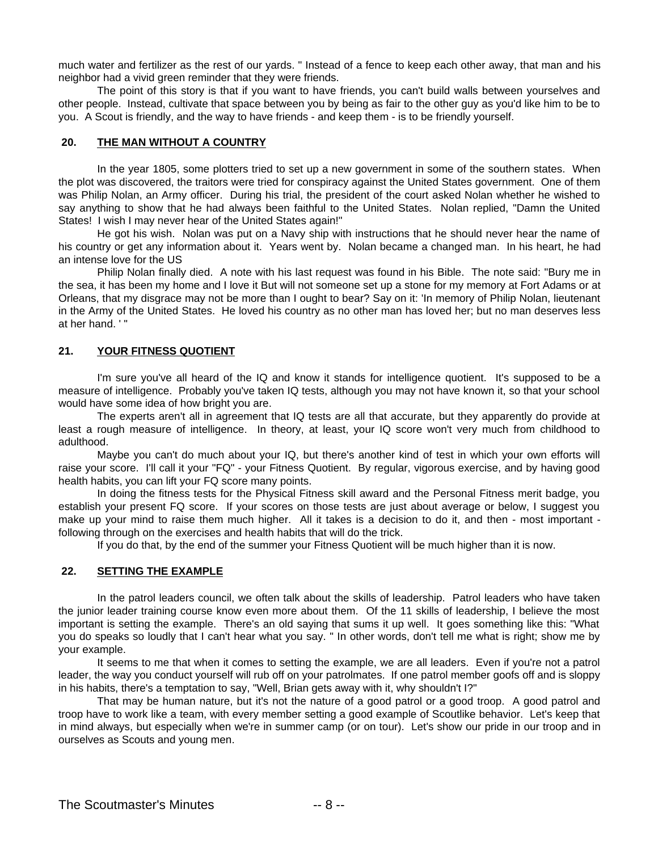much water and fertilizer as the rest of our yards. " Instead of a fence to keep each other away, that man and his neighbor had a vivid green reminder that they were friends.

The point of this story is that if you want to have friends, you can't build walls between yourselves and other people. Instead, cultivate that space between you by being as fair to the other guy as you'd like him to be to you. A Scout is friendly, and the way to have friends - and keep them - is to be friendly yourself.

## **20. THE MAN WITHOUT A COUNTRY**

In the year 1805, some plotters tried to set up a new government in some of the southern states. When the plot was discovered, the traitors were tried for conspiracy against the United States government. One of them was Philip Nolan, an Army officer. During his trial, the president of the court asked Nolan whether he wished to say anything to show that he had always been faithful to the United States. Nolan replied, "Damn the United States! I wish I may never hear of the United States again!"

He got his wish. Nolan was put on a Navy ship with instructions that he should never hear the name of his country or get any information about it. Years went by. Nolan became a changed man. In his heart, he had an intense love for the US

Philip Nolan finally died. A note with his last request was found in his Bible. The note said: "Bury me in the sea, it has been my home and I love it But will not someone set up a stone for my memory at Fort Adams or at Orleans, that my disgrace may not be more than I ought to bear? Say on it: 'In memory of Philip Nolan, lieutenant in the Army of the United States. He loved his country as no other man has loved her; but no man deserves less at her hand. ' "

## **21. YOUR FITNESS QUOTIENT**

I'm sure you've all heard of the IQ and know it stands for intelligence quotient. It's supposed to be a measure of intelligence. Probably you've taken IQ tests, although you may not have known it, so that your school would have some idea of how bright you are.

The experts aren't all in agreement that IQ tests are all that accurate, but they apparently do provide at least a rough measure of intelligence. In theory, at least, your IQ score won't very much from childhood to adulthood.

Maybe you can't do much about your IQ, but there's another kind of test in which your own efforts will raise your score. I'll call it your "FQ" - your Fitness Quotient. By regular, vigorous exercise, and by having good health habits, you can lift your FQ score many points.

In doing the fitness tests for the Physical Fitness skill award and the Personal Fitness merit badge, you establish your present FQ score. If your scores on those tests are just about average or below, I suggest you make up your mind to raise them much higher. All it takes is a decision to do it, and then - most important following through on the exercises and health habits that will do the trick.

If you do that, by the end of the summer your Fitness Quotient will be much higher than it is now.

## **22. SETTING THE EXAMPLE**

In the patrol leaders council, we often talk about the skills of leadership. Patrol leaders who have taken the junior leader training course know even more about them. Of the 11 skills of leadership, I believe the most important is setting the example. There's an old saying that sums it up well. It goes something like this: "What you do speaks so loudly that I can't hear what you say. " In other words, don't tell me what is right; show me by your example.

It seems to me that when it comes to setting the example, we are all leaders. Even if you're not a patrol leader, the way you conduct yourself will rub off on your patrolmates. If one patrol member goofs off and is sloppy in his habits, there's a temptation to say, "Well, Brian gets away with it, why shouldn't I?"

That may be human nature, but it's not the nature of a good patrol or a good troop. A good patrol and troop have to work like a team, with every member setting a good example of Scoutlike behavior. Let's keep that in mind always, but especially when we're in summer camp (or on tour). Let's show our pride in our troop and in ourselves as Scouts and young men.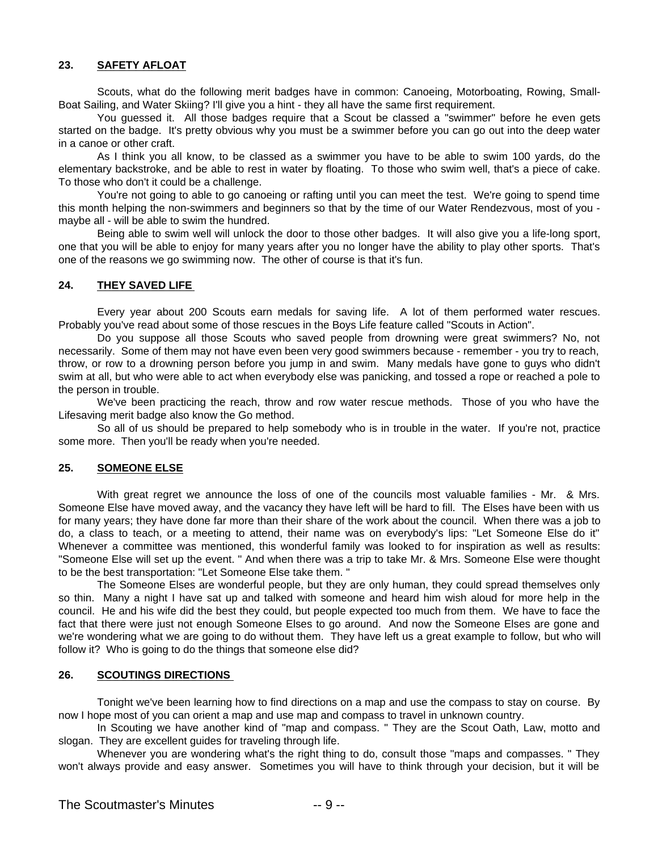# **23. SAFETY AFLOAT**

Scouts, what do the following merit badges have in common: Canoeing, Motorboating, Rowing, Small-Boat Sailing, and Water Skiing? I'll give you a hint - they all have the same first requirement.

You guessed it. All those badges require that a Scout be classed a "swimmer" before he even gets started on the badge. It's pretty obvious why you must be a swimmer before you can go out into the deep water in a canoe or other craft.

As I think you all know, to be classed as a swimmer you have to be able to swim 100 yards, do the elementary backstroke, and be able to rest in water by floating. To those who swim well, that's a piece of cake. To those who don't it could be a challenge.

You're not going to able to go canoeing or rafting until you can meet the test. We're going to spend time this month helping the non-swimmers and beginners so that by the time of our Water Rendezvous, most of you maybe all - will be able to swim the hundred.

Being able to swim well will unlock the door to those other badges. It will also give you a life-long sport, one that you will be able to enjoy for many years after you no longer have the ability to play other sports. That's one of the reasons we go swimming now. The other of course is that it's fun.

## **24. THEY SAVED LIFE**

Every year about 200 Scouts earn medals for saving life. A lot of them performed water rescues. Probably you've read about some of those rescues in the Boys Life feature called "Scouts in Action".

Do you suppose all those Scouts who saved people from drowning were great swimmers? No, not necessarily. Some of them may not have even been very good swimmers because - remember - you try to reach, throw, or row to a drowning person before you jump in and swim. Many medals have gone to guys who didn't swim at all, but who were able to act when everybody else was panicking, and tossed a rope or reached a pole to the person in trouble.

We've been practicing the reach, throw and row water rescue methods. Those of you who have the Lifesaving merit badge also know the Go method.

So all of us should be prepared to help somebody who is in trouble in the water. If you're not, practice some more. Then you'll be ready when you're needed.

# **25. SOMEONE ELSE**

With great regret we announce the loss of one of the councils most valuable families - Mr. & Mrs. Someone Else have moved away, and the vacancy they have left will be hard to fill. The Elses have been with us for many years; they have done far more than their share of the work about the council. When there was a job to do, a class to teach, or a meeting to attend, their name was on everybody's lips: "Let Someone Else do it" Whenever a committee was mentioned, this wonderful family was looked to for inspiration as well as results: "Someone Else will set up the event. " And when there was a trip to take Mr. & Mrs. Someone Else were thought to be the best transportation: "Let Someone Else take them. "

The Someone Elses are wonderful people, but they are only human, they could spread themselves only so thin. Many a night I have sat up and talked with someone and heard him wish aloud for more help in the council. He and his wife did the best they could, but people expected too much from them. We have to face the fact that there were just not enough Someone Elses to go around. And now the Someone Elses are gone and we're wondering what we are going to do without them. They have left us a great example to follow, but who will follow it? Who is going to do the things that someone else did?

## **26. SCOUTINGS DIRECTIONS**

Tonight we've been learning how to find directions on a map and use the compass to stay on course. By now I hope most of you can orient a map and use map and compass to travel in unknown country.

In Scouting we have another kind of "map and compass. " They are the Scout Oath, Law, motto and slogan. They are excellent guides for traveling through life.

Whenever you are wondering what's the right thing to do, consult those "maps and compasses. " They won't always provide and easy answer. Sometimes you will have to think through your decision, but it will be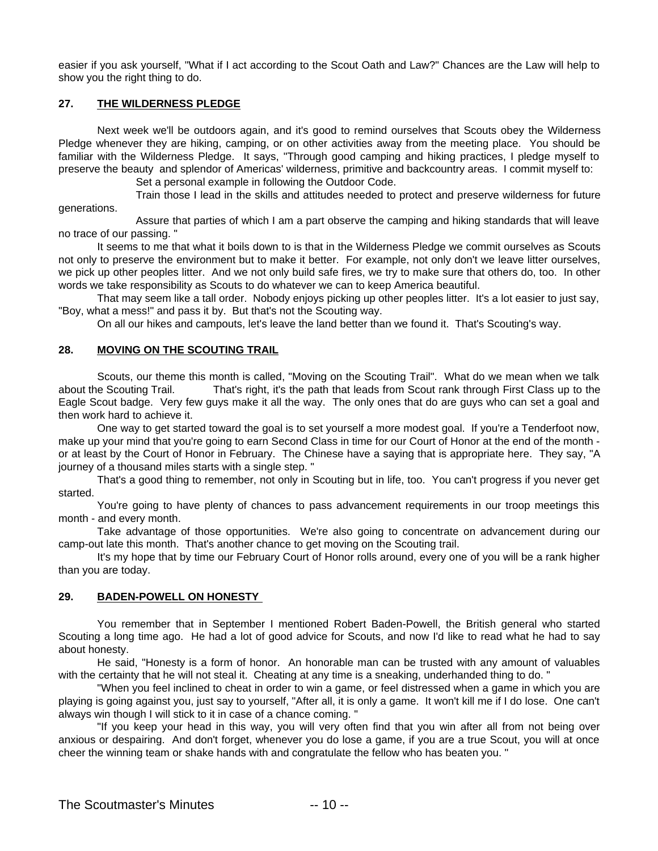easier if you ask yourself, "What if I act according to the Scout Oath and Law?" Chances are the Law will help to show you the right thing to do.

## **27. THE WILDERNESS PLEDGE**

Next week we'll be outdoors again, and it's good to remind ourselves that Scouts obey the Wilderness Pledge whenever they are hiking, camping, or on other activities away from the meeting place. You should be familiar with the Wilderness Pledge. It says, "Through good camping and hiking practices, I pledge myself to preserve the beauty and splendor of Americas' wilderness, primitive and backcountry areas. I commit myself to:

Set a personal example in following the Outdoor Code.

Train those I lead in the skills and attitudes needed to protect and preserve wilderness for future generations.

 Assure that parties of which I am a part observe the camping and hiking standards that will leave no trace of our passing. "

It seems to me that what it boils down to is that in the Wilderness Pledge we commit ourselves as Scouts not only to preserve the environment but to make it better. For example, not only don't we leave litter ourselves, we pick up other peoples litter. And we not only build safe fires, we try to make sure that others do, too. In other words we take responsibility as Scouts to do whatever we can to keep America beautiful.

That may seem like a tall order. Nobody enjoys picking up other peoples litter. It's a lot easier to just say, "Boy, what a mess!" and pass it by. But that's not the Scouting way.

On all our hikes and campouts, let's leave the land better than we found it. That's Scouting's way.

## **28. MOVING ON THE SCOUTING TRAIL**

Scouts, our theme this month is called, "Moving on the Scouting Trail". What do we mean when we talk about the Scouting Trail. That's right, it's the path that leads from Scout rank through First Class up to the Eagle Scout badge. Very few guys make it all the way. The only ones that do are guys who can set a goal and then work hard to achieve it.

One way to get started toward the goal is to set yourself a more modest goal. If you're a Tenderfoot now, make up your mind that you're going to earn Second Class in time for our Court of Honor at the end of the month or at least by the Court of Honor in February. The Chinese have a saying that is appropriate here. They say, "A journey of a thousand miles starts with a single step. "

That's a good thing to remember, not only in Scouting but in life, too. You can't progress if you never get started.

You're going to have plenty of chances to pass advancement requirements in our troop meetings this month - and every month.

Take advantage of those opportunities. We're also going to concentrate on advancement during our camp-out late this month. That's another chance to get moving on the Scouting trail.

It's my hope that by time our February Court of Honor rolls around, every one of you will be a rank higher than you are today.

## **29. BADEN-POWELL ON HONESTY**

You remember that in September I mentioned Robert Baden-Powell, the British general who started Scouting a long time ago. He had a lot of good advice for Scouts, and now I'd like to read what he had to say about honesty.

He said, "Honesty is a form of honor. An honorable man can be trusted with any amount of valuables with the certainty that he will not steal it. Cheating at any time is a sneaking, underhanded thing to do. "

"When you feel inclined to cheat in order to win a game, or feel distressed when a game in which you are playing is going against you, just say to yourself, "After all, it is only a game. It won't kill me if I do lose. One can't always win though I will stick to it in case of a chance coming. "

"If you keep your head in this way, you will very often find that you win after all from not being over anxious or despairing. And don't forget, whenever you do lose a game, if you are a true Scout, you will at once cheer the winning team or shake hands with and congratulate the fellow who has beaten you. "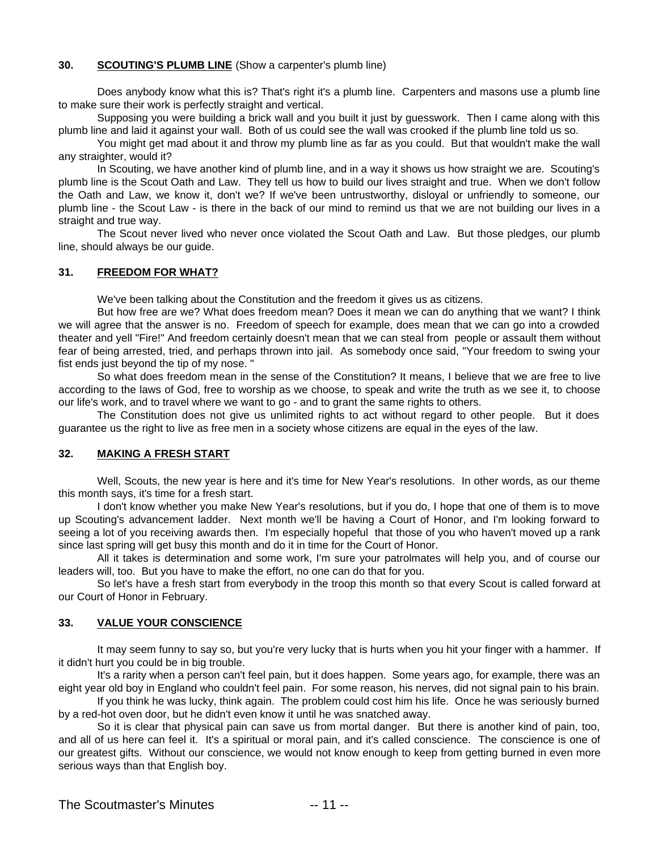# **30. SCOUTING'S PLUMB LINE** (Show a carpenter's plumb line)

Does anybody know what this is? That's right it's a plumb line. Carpenters and masons use a plumb line to make sure their work is perfectly straight and vertical.

Supposing you were building a brick wall and you built it just by guesswork. Then I came along with this plumb line and laid it against your wall. Both of us could see the wall was crooked if the plumb line told us so.

You might get mad about it and throw my plumb line as far as you could. But that wouldn't make the wall any straighter, would it?

In Scouting, we have another kind of plumb line, and in a way it shows us how straight we are. Scouting's plumb line is the Scout Oath and Law. They tell us how to build our lives straight and true. When we don't follow the Oath and Law, we know it, don't we? If we've been untrustworthy, disloyal or unfriendly to someone, our plumb line - the Scout Law - is there in the back of our mind to remind us that we are not building our lives in a straight and true way.

The Scout never lived who never once violated the Scout Oath and Law. But those pledges, our plumb line, should always be our guide.

## **31. FREEDOM FOR WHAT?**

We've been talking about the Constitution and the freedom it gives us as citizens.

But how free are we? What does freedom mean? Does it mean we can do anything that we want? I think we will agree that the answer is no. Freedom of speech for example, does mean that we can go into a crowded theater and yell "Fire!" And freedom certainly doesn't mean that we can steal from people or assault them without fear of being arrested, tried, and perhaps thrown into jail. As somebody once said, "Your freedom to swing your fist ends just beyond the tip of my nose. "

So what does freedom mean in the sense of the Constitution? It means, I believe that we are free to live according to the laws of God, free to worship as we choose, to speak and write the truth as we see it, to choose our life's work, and to travel where we want to go - and to grant the same rights to others.

The Constitution does not give us unlimited rights to act without regard to other people. But it does guarantee us the right to live as free men in a society whose citizens are equal in the eyes of the law.

## **32. MAKING A FRESH START**

Well, Scouts, the new year is here and it's time for New Year's resolutions. In other words, as our theme this month says, it's time for a fresh start.

I don't know whether you make New Year's resolutions, but if you do, I hope that one of them is to move up Scouting's advancement ladder. Next month we'll be having a Court of Honor, and I'm looking forward to seeing a lot of you receiving awards then. I'm especially hopeful that those of you who haven't moved up a rank since last spring will get busy this month and do it in time for the Court of Honor.

All it takes is determination and some work, I'm sure your patrolmates will help you, and of course our leaders will, too. But you have to make the effort, no one can do that for you.

So let's have a fresh start from everybody in the troop this month so that every Scout is called forward at our Court of Honor in February.

#### **33. VALUE YOUR CONSCIENCE**

It may seem funny to say so, but you're very lucky that is hurts when you hit your finger with a hammer. If it didn't hurt you could be in big trouble.

It's a rarity when a person can't feel pain, but it does happen. Some years ago, for example, there was an eight year old boy in England who couldn't feel pain. For some reason, his nerves, did not signal pain to his brain.

If you think he was lucky, think again. The problem could cost him his life. Once he was seriously burned by a red-hot oven door, but he didn't even know it until he was snatched away.

So it is clear that physical pain can save us from mortal danger. But there is another kind of pain, too, and all of us here can feel it. It's a spiritual or moral pain, and it's called conscience. The conscience is one of our greatest gifts. Without our conscience, we would not know enough to keep from getting burned in even more serious ways than that English boy.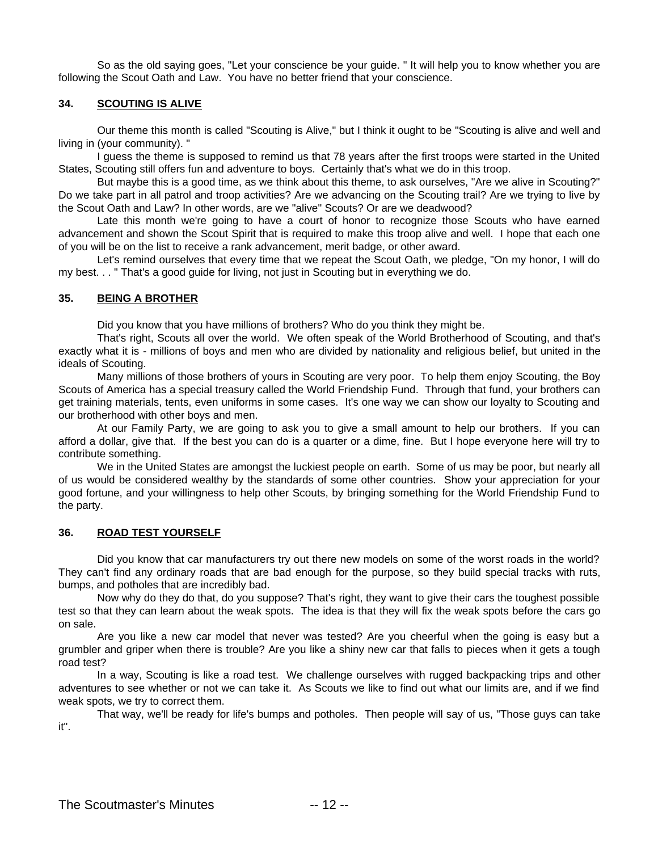So as the old saying goes, "Let your conscience be your guide. " It will help you to know whether you are following the Scout Oath and Law. You have no better friend that your conscience.

# **34. SCOUTING IS ALIVE**

Our theme this month is called "Scouting is Alive," but I think it ought to be "Scouting is alive and well and living in (your community). "

I guess the theme is supposed to remind us that 78 years after the first troops were started in the United States, Scouting still offers fun and adventure to boys. Certainly that's what we do in this troop.

But maybe this is a good time, as we think about this theme, to ask ourselves, "Are we alive in Scouting?" Do we take part in all patrol and troop activities? Are we advancing on the Scouting trail? Are we trying to live by the Scout Oath and Law? In other words, are we "alive" Scouts? Or are we deadwood?

Late this month we're going to have a court of honor to recognize those Scouts who have earned advancement and shown the Scout Spirit that is required to make this troop alive and well. I hope that each one of you will be on the list to receive a rank advancement, merit badge, or other award.

Let's remind ourselves that every time that we repeat the Scout Oath, we pledge, "On my honor, I will do my best. . . " That's a good guide for living, not just in Scouting but in everything we do.

## **35. BEING A BROTHER**

Did you know that you have millions of brothers? Who do you think they might be.

That's right, Scouts all over the world. We often speak of the World Brotherhood of Scouting, and that's exactly what it is - millions of boys and men who are divided by nationality and religious belief, but united in the ideals of Scouting.

Many millions of those brothers of yours in Scouting are very poor. To help them enjoy Scouting, the Boy Scouts of America has a special treasury called the World Friendship Fund. Through that fund, your brothers can get training materials, tents, even uniforms in some cases. It's one way we can show our loyalty to Scouting and our brotherhood with other boys and men.

At our Family Party, we are going to ask you to give a small amount to help our brothers. If you can afford a dollar, give that. If the best you can do is a quarter or a dime, fine. But I hope everyone here will try to contribute something.

We in the United States are amongst the luckiest people on earth. Some of us may be poor, but nearly all of us would be considered wealthy by the standards of some other countries. Show your appreciation for your good fortune, and your willingness to help other Scouts, by bringing something for the World Friendship Fund to the party.

## **36. ROAD TEST YOURSELF**

Did you know that car manufacturers try out there new models on some of the worst roads in the world? They can't find any ordinary roads that are bad enough for the purpose, so they build special tracks with ruts, bumps, and potholes that are incredibly bad.

Now why do they do that, do you suppose? That's right, they want to give their cars the toughest possible test so that they can learn about the weak spots. The idea is that they will fix the weak spots before the cars go on sale.

Are you like a new car model that never was tested? Are you cheerful when the going is easy but a grumbler and griper when there is trouble? Are you like a shiny new car that falls to pieces when it gets a tough road test?

In a way, Scouting is like a road test. We challenge ourselves with rugged backpacking trips and other adventures to see whether or not we can take it. As Scouts we like to find out what our limits are, and if we find weak spots, we try to correct them.

That way, we'll be ready for life's bumps and potholes. Then people will say of us, "Those guys can take it".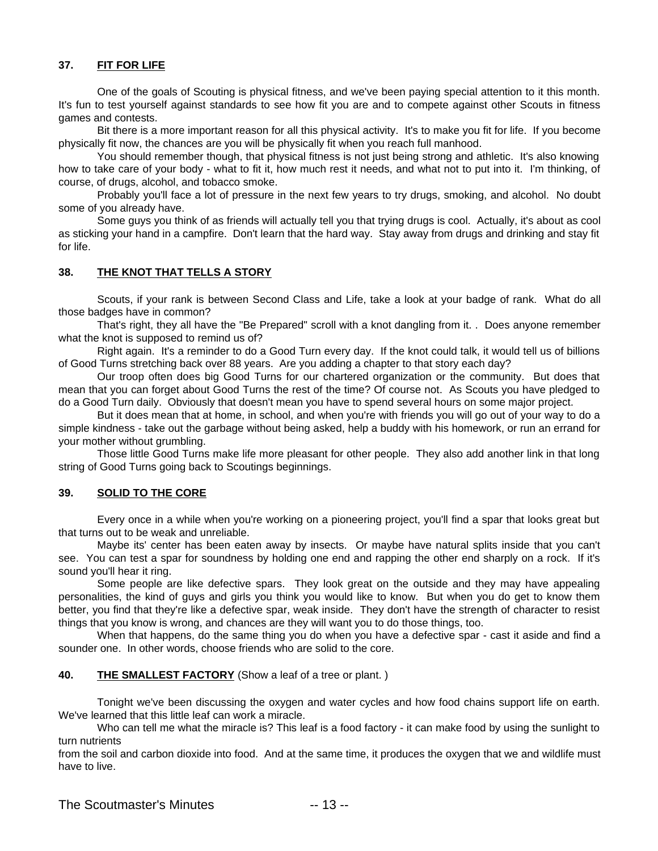# **37. FIT FOR LIFE**

One of the goals of Scouting is physical fitness, and we've been paying special attention to it this month. It's fun to test yourself against standards to see how fit you are and to compete against other Scouts in fitness games and contests.

Bit there is a more important reason for all this physical activity. It's to make you fit for life. If you become physically fit now, the chances are you will be physically fit when you reach full manhood.

You should remember though, that physical fitness is not just being strong and athletic. It's also knowing how to take care of your body - what to fit it, how much rest it needs, and what not to put into it. I'm thinking, of course, of drugs, alcohol, and tobacco smoke.

Probably you'll face a lot of pressure in the next few years to try drugs, smoking, and alcohol. No doubt some of you already have.

Some guys you think of as friends will actually tell you that trying drugs is cool. Actually, it's about as cool as sticking your hand in a campfire. Don't learn that the hard way. Stay away from drugs and drinking and stay fit for life.

## **38. THE KNOT THAT TELLS A STORY**

Scouts, if your rank is between Second Class and Life, take a look at your badge of rank. What do all those badges have in common?

That's right, they all have the "Be Prepared" scroll with a knot dangling from it. . Does anyone remember what the knot is supposed to remind us of?

Right again. It's a reminder to do a Good Turn every day. If the knot could talk, it would tell us of billions of Good Turns stretching back over 88 years. Are you adding a chapter to that story each day?

Our troop often does big Good Turns for our chartered organization or the community. But does that mean that you can forget about Good Turns the rest of the time? Of course not. As Scouts you have pledged to do a Good Turn daily. Obviously that doesn't mean you have to spend several hours on some major project.

But it does mean that at home, in school, and when you're with friends you will go out of your way to do a simple kindness - take out the garbage without being asked, help a buddy with his homework, or run an errand for your mother without grumbling.

Those little Good Turns make life more pleasant for other people. They also add another link in that long string of Good Turns going back to Scoutings beginnings.

## **39. SOLID TO THE CORE**

Every once in a while when you're working on a pioneering project, you'll find a spar that looks great but that turns out to be weak and unreliable.

Maybe its' center has been eaten away by insects. Or maybe have natural splits inside that you can't see. You can test a spar for soundness by holding one end and rapping the other end sharply on a rock. If it's sound you'll hear it ring.

Some people are like defective spars. They look great on the outside and they may have appealing personalities, the kind of guys and girls you think you would like to know. But when you do get to know them better, you find that they're like a defective spar, weak inside. They don't have the strength of character to resist things that you know is wrong, and chances are they will want you to do those things, too.

When that happens, do the same thing you do when you have a defective spar - cast it aside and find a sounder one. In other words, choose friends who are solid to the core.

## **40. THE SMALLEST FACTORY** (Show a leaf of a tree or plant. )

Tonight we've been discussing the oxygen and water cycles and how food chains support life on earth. We've learned that this little leaf can work a miracle.

Who can tell me what the miracle is? This leaf is a food factory - it can make food by using the sunlight to turn nutrients

from the soil and carbon dioxide into food. And at the same time, it produces the oxygen that we and wildlife must have to live.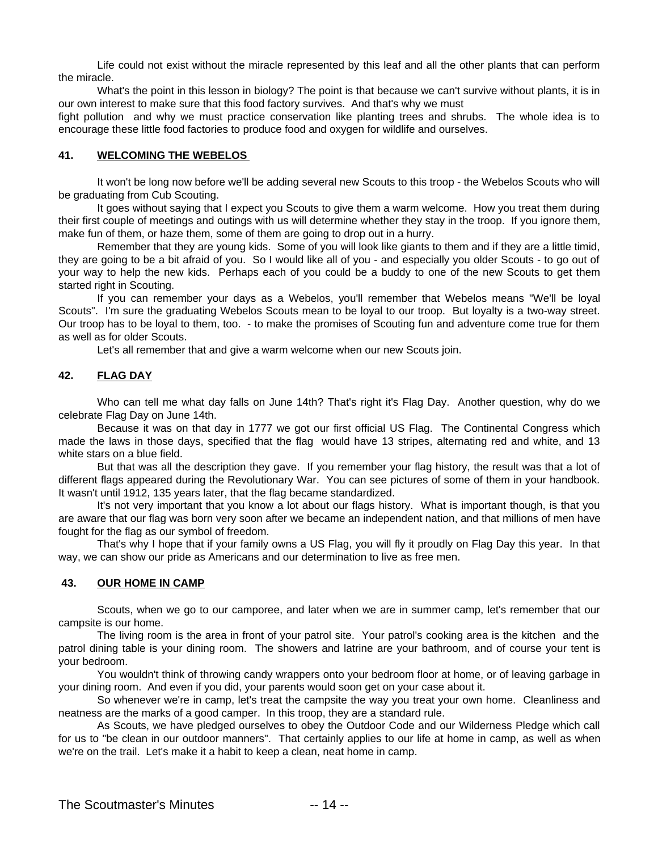Life could not exist without the miracle represented by this leaf and all the other plants that can perform the miracle.

What's the point in this lesson in biology? The point is that because we can't survive without plants, it is in our own interest to make sure that this food factory survives. And that's why we must

fight pollution and why we must practice conservation like planting trees and shrubs. The whole idea is to encourage these little food factories to produce food and oxygen for wildlife and ourselves.

# **41. WELCOMING THE WEBELOS**

It won't be long now before we'll be adding several new Scouts to this troop - the Webelos Scouts who will be graduating from Cub Scouting.

It goes without saying that I expect you Scouts to give them a warm welcome. How you treat them during their first couple of meetings and outings with us will determine whether they stay in the troop. If you ignore them, make fun of them, or haze them, some of them are going to drop out in a hurry.

Remember that they are young kids. Some of you will look like giants to them and if they are a little timid, they are going to be a bit afraid of you. So I would like all of you - and especially you older Scouts - to go out of your way to help the new kids. Perhaps each of you could be a buddy to one of the new Scouts to get them started right in Scouting.

If you can remember your days as a Webelos, you'll remember that Webelos means "We'll be loyal Scouts". I'm sure the graduating Webelos Scouts mean to be loyal to our troop. But loyalty is a two-way street. Our troop has to be loyal to them, too. - to make the promises of Scouting fun and adventure come true for them as well as for older Scouts.

Let's all remember that and give a warm welcome when our new Scouts join.

# **42. FLAG DAY**

Who can tell me what day falls on June 14th? That's right it's Flag Day. Another question, why do we celebrate Flag Day on June 14th.

Because it was on that day in 1777 we got our first official US Flag. The Continental Congress which made the laws in those days, specified that the flag would have 13 stripes, alternating red and white, and 13 white stars on a blue field.

But that was all the description they gave. If you remember your flag history, the result was that a lot of different flags appeared during the Revolutionary War. You can see pictures of some of them in your handbook. It wasn't until 1912, 135 years later, that the flag became standardized.

It's not very important that you know a lot about our flags history. What is important though, is that you are aware that our flag was born very soon after we became an independent nation, and that millions of men have fought for the flag as our symbol of freedom.

That's why I hope that if your family owns a US Flag, you will fly it proudly on Flag Day this year. In that way, we can show our pride as Americans and our determination to live as free men.

## **43. OUR HOME IN CAMP**

Scouts, when we go to our camporee, and later when we are in summer camp, let's remember that our campsite is our home.

The living room is the area in front of your patrol site. Your patrol's cooking area is the kitchen and the patrol dining table is your dining room. The showers and latrine are your bathroom, and of course your tent is your bedroom.

You wouldn't think of throwing candy wrappers onto your bedroom floor at home, or of leaving garbage in your dining room. And even if you did, your parents would soon get on your case about it.

So whenever we're in camp, let's treat the campsite the way you treat your own home. Cleanliness and neatness are the marks of a good camper. In this troop, they are a standard rule.

As Scouts, we have pledged ourselves to obey the Outdoor Code and our Wilderness Pledge which call for us to "be clean in our outdoor manners". That certainly applies to our life at home in camp, as well as when we're on the trail. Let's make it a habit to keep a clean, neat home in camp.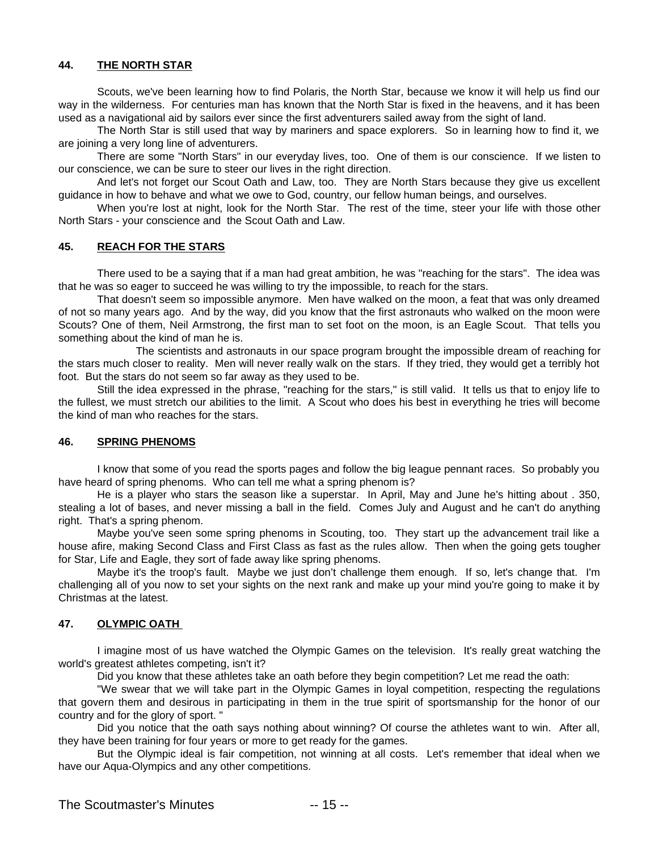# **44. THE NORTH STAR**

Scouts, we've been learning how to find Polaris, the North Star, because we know it will help us find our way in the wilderness. For centuries man has known that the North Star is fixed in the heavens, and it has been used as a navigational aid by sailors ever since the first adventurers sailed away from the sight of land.

The North Star is still used that way by mariners and space explorers. So in learning how to find it, we are joining a very long line of adventurers.

There are some "North Stars" in our everyday lives, too. One of them is our conscience. If we listen to our conscience, we can be sure to steer our lives in the right direction.

And let's not forget our Scout Oath and Law, too. They are North Stars because they give us excellent guidance in how to behave and what we owe to God, country, our fellow human beings, and ourselves.

When you're lost at night, look for the North Star. The rest of the time, steer your life with those other North Stars - your conscience and the Scout Oath and Law.

## **45. REACH FOR THE STARS**

There used to be a saying that if a man had great ambition, he was "reaching for the stars". The idea was that he was so eager to succeed he was willing to try the impossible, to reach for the stars.

That doesn't seem so impossible anymore. Men have walked on the moon, a feat that was only dreamed of not so many years ago. And by the way, did you know that the first astronauts who walked on the moon were Scouts? One of them, Neil Armstrong, the first man to set foot on the moon, is an Eagle Scout. That tells you something about the kind of man he is.

The scientists and astronauts in our space program brought the impossible dream of reaching for the stars much closer to reality. Men will never really walk on the stars. If they tried, they would get a terribly hot foot. But the stars do not seem so far away as they used to be.

Still the idea expressed in the phrase, "reaching for the stars," is still valid. It tells us that to enjoy life to the fullest, we must stretch our abilities to the limit. A Scout who does his best in everything he tries will become the kind of man who reaches for the stars.

## **46. SPRING PHENOMS**

I know that some of you read the sports pages and follow the big league pennant races. So probably you have heard of spring phenoms. Who can tell me what a spring phenom is?

He is a player who stars the season like a superstar. In April, May and June he's hitting about . 350, stealing a lot of bases, and never missing a ball in the field. Comes July and August and he can't do anything right. That's a spring phenom.

Maybe you've seen some spring phenoms in Scouting, too. They start up the advancement trail like a house afire, making Second Class and First Class as fast as the rules allow. Then when the going gets tougher for Star, Life and Eagle, they sort of fade away like spring phenoms.

Maybe it's the troop's fault. Maybe we just don't challenge them enough. If so, let's change that. I'm challenging all of you now to set your sights on the next rank and make up your mind you're going to make it by Christmas at the latest.

# **47. OLYMPIC OATH**

I imagine most of us have watched the Olympic Games on the television. It's really great watching the world's greatest athletes competing, isn't it?

Did you know that these athletes take an oath before they begin competition? Let me read the oath:

"We swear that we will take part in the Olympic Games in loyal competition, respecting the regulations that govern them and desirous in participating in them in the true spirit of sportsmanship for the honor of our country and for the glory of sport. "

Did you notice that the oath says nothing about winning? Of course the athletes want to win. After all, they have been training for four years or more to get ready for the games.

But the Olympic ideal is fair competition, not winning at all costs. Let's remember that ideal when we have our Aqua-Olympics and any other competitions.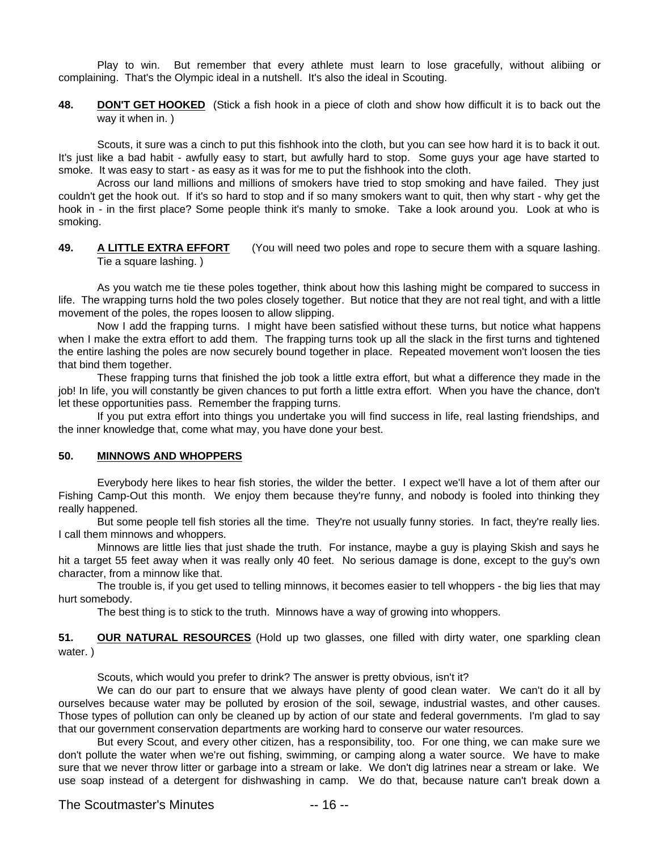Play to win. But remember that every athlete must learn to lose gracefully, without alibiing or complaining. That's the Olympic ideal in a nutshell. It's also the ideal in Scouting.

**48. DON'T GET HOOKED** (Stick a fish hook in a piece of cloth and show how difficult it is to back out the way it when in. )

Scouts, it sure was a cinch to put this fishhook into the cloth, but you can see how hard it is to back it out. It's just like a bad habit - awfully easy to start, but awfully hard to stop. Some guys your age have started to smoke. It was easy to start - as easy as it was for me to put the fishhook into the cloth.

Across our land millions and millions of smokers have tried to stop smoking and have failed. They just couldn't get the hook out. If it's so hard to stop and if so many smokers want to quit, then why start - why get the hook in - in the first place? Some people think it's manly to smoke. Take a look around you. Look at who is smoking.

49. A LITTLE EXTRA EFFORT (You will need two poles and rope to secure them with a square lashing. Tie a square lashing. )

As you watch me tie these poles together, think about how this lashing might be compared to success in life. The wrapping turns hold the two poles closely together. But notice that they are not real tight, and with a little movement of the poles, the ropes loosen to allow slipping.

Now I add the frapping turns. I might have been satisfied without these turns, but notice what happens when I make the extra effort to add them. The frapping turns took up all the slack in the first turns and tightened the entire lashing the poles are now securely bound together in place. Repeated movement won't loosen the ties that bind them together.

These frapping turns that finished the job took a little extra effort, but what a difference they made in the job! In life, you will constantly be given chances to put forth a little extra effort. When you have the chance, don't let these opportunities pass. Remember the frapping turns.

If you put extra effort into things you undertake you will find success in life, real lasting friendships, and the inner knowledge that, come what may, you have done your best.

## **50. MINNOWS AND WHOPPERS**

Everybody here likes to hear fish stories, the wilder the better. I expect we'll have a lot of them after our Fishing Camp-Out this month. We enjoy them because they're funny, and nobody is fooled into thinking they really happened.

But some people tell fish stories all the time. They're not usually funny stories. In fact, they're really lies. I call them minnows and whoppers.

Minnows are little lies that just shade the truth. For instance, maybe a guy is playing Skish and says he hit a target 55 feet away when it was really only 40 feet. No serious damage is done, except to the guy's own character, from a minnow like that.

The trouble is, if you get used to telling minnows, it becomes easier to tell whoppers - the big lies that may hurt somebody.

The best thing is to stick to the truth. Minnows have a way of growing into whoppers.

51. **OUR NATURAL RESOURCES** (Hold up two glasses, one filled with dirty water, one sparkling clean water. )

Scouts, which would you prefer to drink? The answer is pretty obvious, isn't it?

We can do our part to ensure that we always have plenty of good clean water. We can't do it all by ourselves because water may be polluted by erosion of the soil, sewage, industrial wastes, and other causes. Those types of pollution can only be cleaned up by action of our state and federal governments. I'm glad to say that our government conservation departments are working hard to conserve our water resources.

But every Scout, and every other citizen, has a responsibility, too. For one thing, we can make sure we don't pollute the water when we're out fishing, swimming, or camping along a water source. We have to make sure that we never throw litter or garbage into a stream or lake. We don't dig latrines near a stream or lake. We use soap instead of a detergent for dishwashing in camp. We do that, because nature can't break down a

# The Scoutmaster's Minutes **-- 16 --**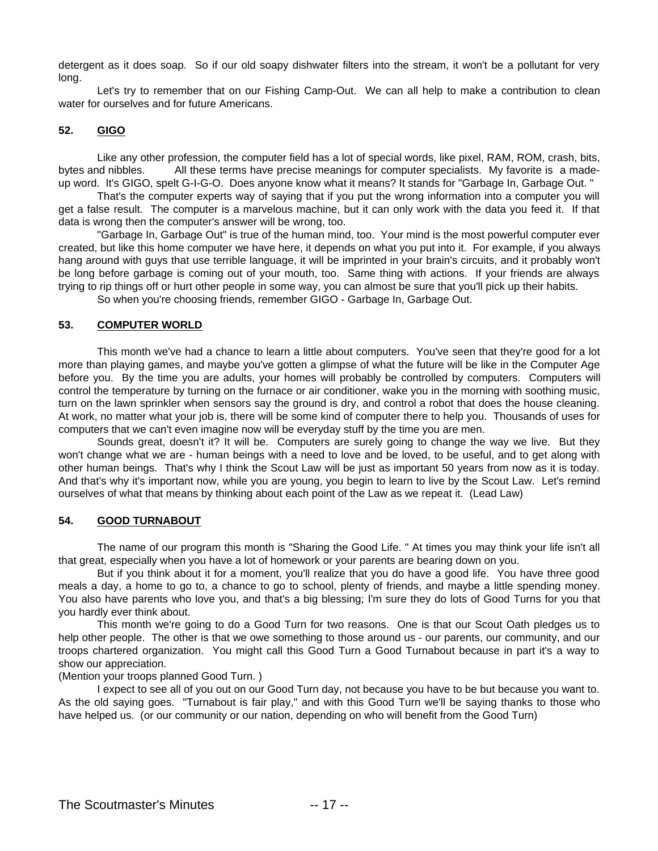detergent as it does soap. So if our old soapy dishwater filters into the stream, it won't be a pollutant for very long.

Let's try to remember that on our Fishing Camp-Out. We can all help to make a contribution to clean water for ourselves and for future Americans.

# **52. GIGO**

Like any other profession, the computer field has a lot of special words, like pixel, RAM, ROM, crash, bits, bytes and nibbles. All these terms have precise meanings for computer specialists. My favorite is a madeup word. It's GIGO, spelt G-I-G-O. Does anyone know what it means? It stands for "Garbage In, Garbage Out. "

That's the computer experts way of saying that if you put the wrong information into a computer you will get a false result. The computer is a marvelous machine, but it can only work with the data you feed it. If that data is wrong then the computer's answer will be wrong, too.

"Garbage In, Garbage Out" is true of the human mind, too. Your mind is the most powerful computer ever created, but like this home computer we have here, it depends on what you put into it. For example, if you always hang around with guys that use terrible language, it will be imprinted in your brain's circuits, and it probably won't be long before garbage is coming out of your mouth, too. Same thing with actions. If your friends are always trying to rip things off or hurt other people in some way, you can almost be sure that you'll pick up their habits.

So when you're choosing friends, remember GIGO - Garbage In, Garbage Out.

# **53. COMPUTER WORLD**

This month we've had a chance to learn a little about computers. You've seen that they're good for a lot more than playing games, and maybe you've gotten a glimpse of what the future will be like in the Computer Age before you. By the time you are adults, your homes will probably be controlled by computers. Computers will control the temperature by turning on the furnace or air conditioner, wake you in the morning with soothing music, turn on the lawn sprinkler when sensors say the ground is dry, and control a robot that does the house cleaning. At work, no matter what your job is, there will be some kind of computer there to help you. Thousands of uses for computers that we can't even imagine now will be everyday stuff by the time you are men.

Sounds great, doesn't it? It will be. Computers are surely going to change the way we live. But they won't change what we are - human beings with a need to love and be loved, to be useful, and to get along with other human beings. That's why I think the Scout Law will be just as important 50 years from now as it is today. And that's why it's important now, while you are young, you begin to learn to live by the Scout Law. Let's remind ourselves of what that means by thinking about each point of the Law as we repeat it. (Lead Law)

## **54. GOOD TURNABOUT**

The name of our program this month is "Sharing the Good Life. " At times you may think your life isn't all that great, especially when you have a lot of homework or your parents are bearing down on you.

But if you think about it for a moment, you'll realize that you do have a good life. You have three good meals a day, a home to go to, a chance to go to school, plenty of friends, and maybe a little spending money. You also have parents who love you, and that's a big blessing; I'm sure they do lots of Good Turns for you that you hardly ever think about.

This month we're going to do a Good Turn for two reasons. One is that our Scout Oath pledges us to help other people. The other is that we owe something to those around us - our parents, our community, and our troops chartered organization. You might call this Good Turn a Good Turnabout because in part it's a way to show our appreciation.

## (Mention your troops planned Good Turn. )

I expect to see all of you out on our Good Turn day, not because you have to be but because you want to. As the old saying goes. "Turnabout is fair play," and with this Good Turn we'll be saying thanks to those who have helped us. (or our community or our nation, depending on who will benefit from the Good Turn)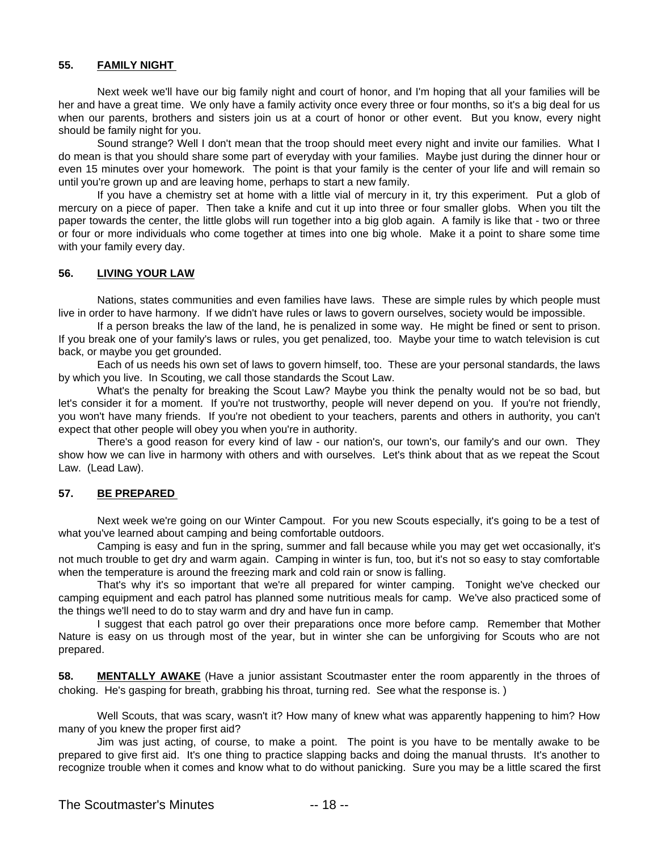# **55. FAMILY NIGHT**

Next week we'll have our big family night and court of honor, and I'm hoping that all your families will be her and have a great time. We only have a family activity once every three or four months, so it's a big deal for us when our parents, brothers and sisters join us at a court of honor or other event. But you know, every night should be family night for you.

Sound strange? Well I don't mean that the troop should meet every night and invite our families. What I do mean is that you should share some part of everyday with your families. Maybe just during the dinner hour or even 15 minutes over your homework. The point is that your family is the center of your life and will remain so until you're grown up and are leaving home, perhaps to start a new family.

If you have a chemistry set at home with a little vial of mercury in it, try this experiment. Put a glob of mercury on a piece of paper. Then take a knife and cut it up into three or four smaller globs. When you tilt the paper towards the center, the little globs will run together into a big glob again. A family is like that - two or three or four or more individuals who come together at times into one big whole. Make it a point to share some time with your family every day.

## **56. LIVING YOUR LAW**

Nations, states communities and even families have laws. These are simple rules by which people must live in order to have harmony. If we didn't have rules or laws to govern ourselves, society would be impossible.

If a person breaks the law of the land, he is penalized in some way. He might be fined or sent to prison. If you break one of your family's laws or rules, you get penalized, too. Maybe your time to watch television is cut back, or maybe you get grounded.

Each of us needs his own set of laws to govern himself, too. These are your personal standards, the laws by which you live. In Scouting, we call those standards the Scout Law.

What's the penalty for breaking the Scout Law? Maybe you think the penalty would not be so bad, but let's consider it for a moment. If you're not trustworthy, people will never depend on you. If you're not friendly, you won't have many friends. If you're not obedient to your teachers, parents and others in authority, you can't expect that other people will obey you when you're in authority.

There's a good reason for every kind of law - our nation's, our town's, our family's and our own. They show how we can live in harmony with others and with ourselves. Let's think about that as we repeat the Scout Law. (Lead Law).

# **57. BE PREPARED**

Next week we're going on our Winter Campout. For you new Scouts especially, it's going to be a test of what you've learned about camping and being comfortable outdoors.

Camping is easy and fun in the spring, summer and fall because while you may get wet occasionally, it's not much trouble to get dry and warm again. Camping in winter is fun, too, but it's not so easy to stay comfortable when the temperature is around the freezing mark and cold rain or snow is falling.

That's why it's so important that we're all prepared for winter camping. Tonight we've checked our camping equipment and each patrol has planned some nutritious meals for camp. We've also practiced some of the things we'll need to do to stay warm and dry and have fun in camp.

I suggest that each patrol go over their preparations once more before camp. Remember that Mother Nature is easy on us through most of the year, but in winter she can be unforgiving for Scouts who are not prepared.

**58. MENTALLY AWAKE** (Have a junior assistant Scoutmaster enter the room apparently in the throes of choking. He's gasping for breath, grabbing his throat, turning red. See what the response is. )

Well Scouts, that was scary, wasn't it? How many of knew what was apparently happening to him? How many of you knew the proper first aid?

Jim was just acting, of course, to make a point. The point is you have to be mentally awake to be prepared to give first aid. It's one thing to practice slapping backs and doing the manual thrusts. It's another to recognize trouble when it comes and know what to do without panicking. Sure you may be a little scared the first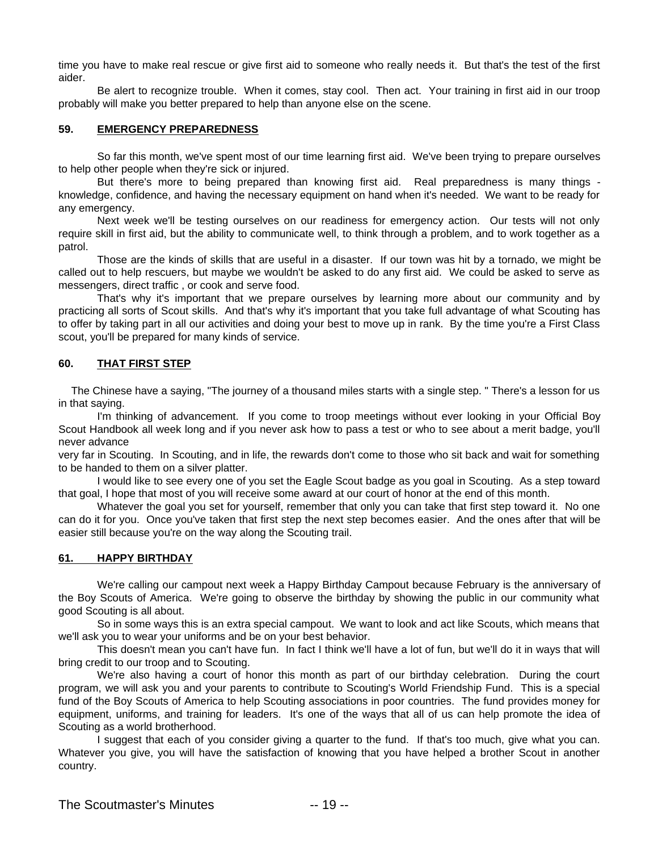time you have to make real rescue or give first aid to someone who really needs it. But that's the test of the first aider.

Be alert to recognize trouble. When it comes, stay cool. Then act. Your training in first aid in our troop probably will make you better prepared to help than anyone else on the scene.

#### **59. EMERGENCY PREPAREDNESS**

So far this month, we've spent most of our time learning first aid. We've been trying to prepare ourselves to help other people when they're sick or injured.

But there's more to being prepared than knowing first aid. Real preparedness is many things knowledge, confidence, and having the necessary equipment on hand when it's needed. We want to be ready for any emergency.

Next week we'll be testing ourselves on our readiness for emergency action. Our tests will not only require skill in first aid, but the ability to communicate well, to think through a problem, and to work together as a patrol.

Those are the kinds of skills that are useful in a disaster. If our town was hit by a tornado, we might be called out to help rescuers, but maybe we wouldn't be asked to do any first aid. We could be asked to serve as messengers, direct traffic , or cook and serve food.

That's why it's important that we prepare ourselves by learning more about our community and by practicing all sorts of Scout skills. And that's why it's important that you take full advantage of what Scouting has to offer by taking part in all our activities and doing your best to move up in rank. By the time you're a First Class scout, you'll be prepared for many kinds of service.

## **60. THAT FIRST STEP**

 The Chinese have a saying, "The journey of a thousand miles starts with a single step. " There's a lesson for us in that saying.

I'm thinking of advancement. If you come to troop meetings without ever looking in your Official Boy Scout Handbook all week long and if you never ask how to pass a test or who to see about a merit badge, you'll never advance

very far in Scouting. In Scouting, and in life, the rewards don't come to those who sit back and wait for something to be handed to them on a silver platter.

I would like to see every one of you set the Eagle Scout badge as you goal in Scouting. As a step toward that goal, I hope that most of you will receive some award at our court of honor at the end of this month.

Whatever the goal you set for yourself, remember that only you can take that first step toward it. No one can do it for you. Once you've taken that first step the next step becomes easier. And the ones after that will be easier still because you're on the way along the Scouting trail.

## **61. HAPPY BIRTHDAY**

We're calling our campout next week a Happy Birthday Campout because February is the anniversary of the Boy Scouts of America. We're going to observe the birthday by showing the public in our community what good Scouting is all about.

So in some ways this is an extra special campout. We want to look and act like Scouts, which means that we'll ask you to wear your uniforms and be on your best behavior.

This doesn't mean you can't have fun. In fact I think we'll have a lot of fun, but we'll do it in ways that will bring credit to our troop and to Scouting.

We're also having a court of honor this month as part of our birthday celebration. During the court program, we will ask you and your parents to contribute to Scouting's World Friendship Fund. This is a special fund of the Boy Scouts of America to help Scouting associations in poor countries. The fund provides money for equipment, uniforms, and training for leaders. It's one of the ways that all of us can help promote the idea of Scouting as a world brotherhood.

I suggest that each of you consider giving a quarter to the fund. If that's too much, give what you can. Whatever you give, you will have the satisfaction of knowing that you have helped a brother Scout in another country.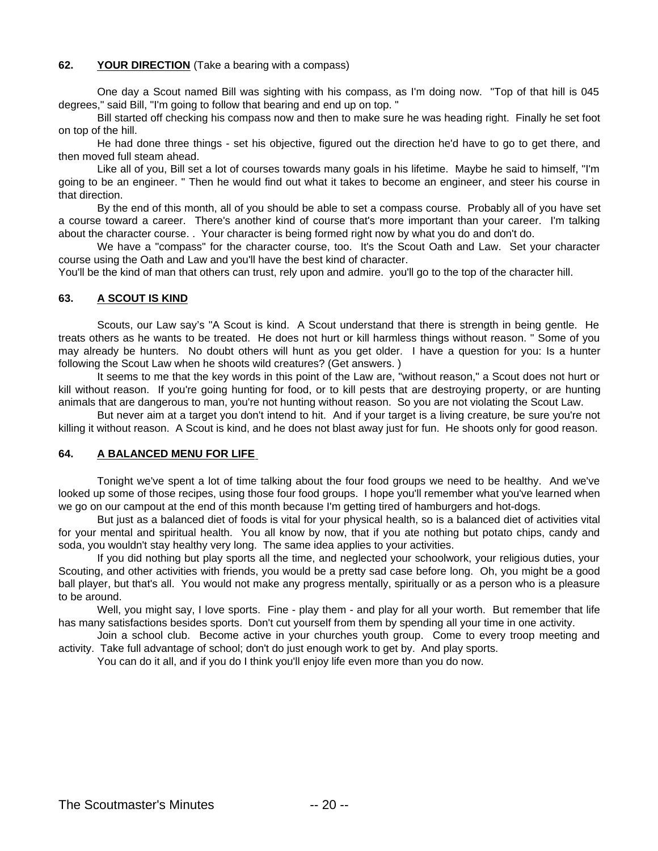# **62. YOUR DIRECTION** (Take a bearing with a compass)

One day a Scout named Bill was sighting with his compass, as I'm doing now. "Top of that hill is 045 degrees," said Bill, "I'm going to follow that bearing and end up on top. "

Bill started off checking his compass now and then to make sure he was heading right. Finally he set foot on top of the hill.

He had done three things - set his objective, figured out the direction he'd have to go to get there, and then moved full steam ahead.

Like all of you, Bill set a lot of courses towards many goals in his lifetime. Maybe he said to himself, "I'm going to be an engineer. " Then he would find out what it takes to become an engineer, and steer his course in that direction.

By the end of this month, all of you should be able to set a compass course. Probably all of you have set a course toward a career. There's another kind of course that's more important than your career. I'm talking about the character course. . Your character is being formed right now by what you do and don't do.

We have a "compass" for the character course, too. It's the Scout Oath and Law. Set your character course using the Oath and Law and you'll have the best kind of character.

You'll be the kind of man that others can trust, rely upon and admire. you'll go to the top of the character hill.

## **63. A SCOUT IS KIND**

Scouts, our Law say's "A Scout is kind. A Scout understand that there is strength in being gentle. He treats others as he wants to be treated. He does not hurt or kill harmless things without reason. " Some of you may already be hunters. No doubt others will hunt as you get older. I have a question for you: Is a hunter following the Scout Law when he shoots wild creatures? (Get answers. )

It seems to me that the key words in this point of the Law are, "without reason," a Scout does not hurt or kill without reason. If you're going hunting for food, or to kill pests that are destroying property, or are hunting animals that are dangerous to man, you're not hunting without reason. So you are not violating the Scout Law.

But never aim at a target you don't intend to hit. And if your target is a living creature, be sure you're not killing it without reason. A Scout is kind, and he does not blast away just for fun. He shoots only for good reason.

## **64. A BALANCED MENU FOR LIFE**

Tonight we've spent a lot of time talking about the four food groups we need to be healthy. And we've looked up some of those recipes, using those four food groups. I hope you'll remember what you've learned when we go on our campout at the end of this month because I'm getting tired of hamburgers and hot-dogs.

But just as a balanced diet of foods is vital for your physical health, so is a balanced diet of activities vital for your mental and spiritual health. You all know by now, that if you ate nothing but potato chips, candy and soda, you wouldn't stay healthy very long. The same idea applies to your activities.

If you did nothing but play sports all the time, and neglected your schoolwork, your religious duties, your Scouting, and other activities with friends, you would be a pretty sad case before long. Oh, you might be a good ball player, but that's all. You would not make any progress mentally, spiritually or as a person who is a pleasure to be around.

Well, you might say, I love sports. Fine - play them - and play for all your worth. But remember that life has many satisfactions besides sports. Don't cut yourself from them by spending all your time in one activity.

Join a school club. Become active in your churches youth group. Come to every troop meeting and activity. Take full advantage of school; don't do just enough work to get by. And play sports.

You can do it all, and if you do I think you'll enjoy life even more than you do now.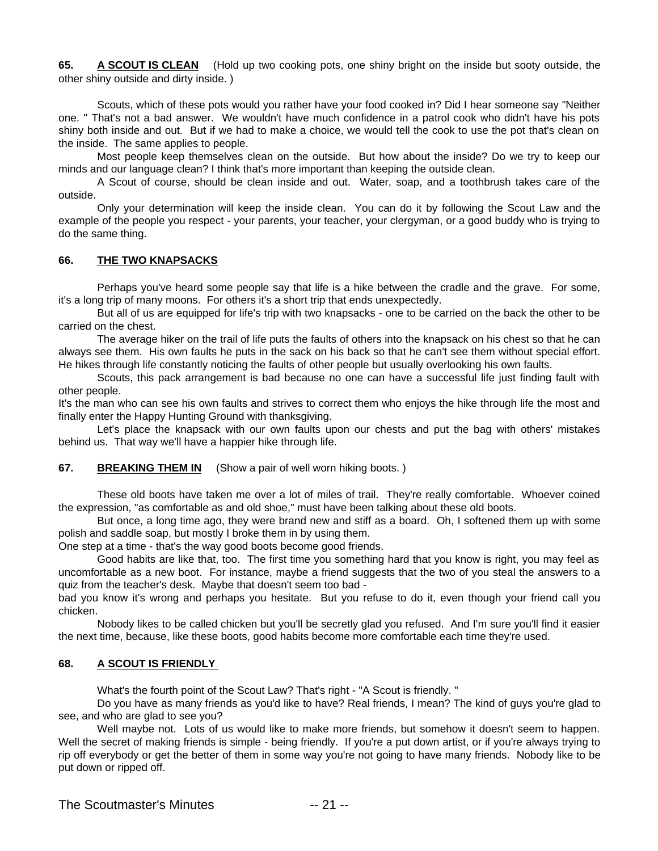**65. A SCOUT IS CLEAN** (Hold up two cooking pots, one shiny bright on the inside but sooty outside, the other shiny outside and dirty inside. )

Scouts, which of these pots would you rather have your food cooked in? Did I hear someone say "Neither one. " That's not a bad answer. We wouldn't have much confidence in a patrol cook who didn't have his pots shiny both inside and out. But if we had to make a choice, we would tell the cook to use the pot that's clean on the inside. The same applies to people.

Most people keep themselves clean on the outside. But how about the inside? Do we try to keep our minds and our language clean? I think that's more important than keeping the outside clean.

A Scout of course, should be clean inside and out. Water, soap, and a toothbrush takes care of the outside.

Only your determination will keep the inside clean. You can do it by following the Scout Law and the example of the people you respect - your parents, your teacher, your clergyman, or a good buddy who is trying to do the same thing.

# **66. THE TWO KNAPSACKS**

Perhaps you've heard some people say that life is a hike between the cradle and the grave. For some, it's a long trip of many moons. For others it's a short trip that ends unexpectedly.

But all of us are equipped for life's trip with two knapsacks - one to be carried on the back the other to be carried on the chest.

The average hiker on the trail of life puts the faults of others into the knapsack on his chest so that he can always see them. His own faults he puts in the sack on his back so that he can't see them without special effort. He hikes through life constantly noticing the faults of other people but usually overlooking his own faults.

Scouts, this pack arrangement is bad because no one can have a successful life just finding fault with other people.

It's the man who can see his own faults and strives to correct them who enjoys the hike through life the most and finally enter the Happy Hunting Ground with thanksgiving.

Let's place the knapsack with our own faults upon our chests and put the bag with others' mistakes behind us. That way we'll have a happier hike through life.

**67.** BREAKING THEM IN (Show a pair of well worn hiking boots.)

These old boots have taken me over a lot of miles of trail. They're really comfortable. Whoever coined the expression, "as comfortable as and old shoe," must have been talking about these old boots.

But once, a long time ago, they were brand new and stiff as a board. Oh, I softened them up with some polish and saddle soap, but mostly I broke them in by using them.

One step at a time - that's the way good boots become good friends.

Good habits are like that, too. The first time you something hard that you know is right, you may feel as uncomfortable as a new boot. For instance, maybe a friend suggests that the two of you steal the answers to a quiz from the teacher's desk. Maybe that doesn't seem too bad -

bad you know it's wrong and perhaps you hesitate. But you refuse to do it, even though your friend call you chicken.

Nobody likes to be called chicken but you'll be secretly glad you refused. And I'm sure you'll find it easier the next time, because, like these boots, good habits become more comfortable each time they're used.

## **68. A SCOUT IS FRIENDLY**

What's the fourth point of the Scout Law? That's right - "A Scout is friendly. "

Do you have as many friends as you'd like to have? Real friends, I mean? The kind of guys you're glad to see, and who are glad to see you?

Well maybe not. Lots of us would like to make more friends, but somehow it doesn't seem to happen. Well the secret of making friends is simple - being friendly. If you're a put down artist, or if you're always trying to rip off everybody or get the better of them in some way you're not going to have many friends. Nobody like to be put down or ripped off.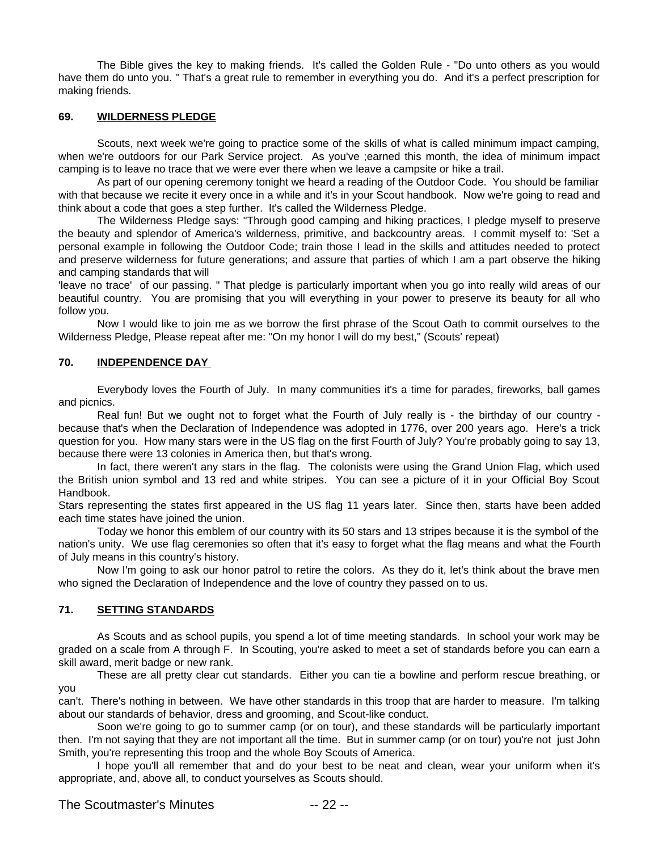The Bible gives the key to making friends. It's called the Golden Rule - "Do unto others as you would have them do unto you. " That's a great rule to remember in everything you do. And it's a perfect prescription for making friends.

## **69. WILDERNESS PLEDGE**

Scouts, next week we're going to practice some of the skills of what is called minimum impact camping, when we're outdoors for our Park Service project. As you've ;earned this month, the idea of minimum impact camping is to leave no trace that we were ever there when we leave a campsite or hike a trail.

As part of our opening ceremony tonight we heard a reading of the Outdoor Code. You should be familiar with that because we recite it every once in a while and it's in your Scout handbook. Now we're going to read and think about a code that goes a step further. It's called the Wilderness Pledge.

The Wilderness Pledge says: "Through good camping and hiking practices, I pledge myself to preserve the beauty and splendor of America's wilderness, primitive, and backcountry areas. I commit myself to: 'Set a personal example in following the Outdoor Code; train those I lead in the skills and attitudes needed to protect and preserve wilderness for future generations; and assure that parties of which I am a part observe the hiking and camping standards that will

'leave no trace' of our passing. " That pledge is particularly important when you go into really wild areas of our beautiful country. You are promising that you will everything in your power to preserve its beauty for all who follow you.

Now I would like to join me as we borrow the first phrase of the Scout Oath to commit ourselves to the Wilderness Pledge, Please repeat after me: "On my honor I will do my best," (Scouts' repeat)

## **70. INDEPENDENCE DAY**

Everybody loves the Fourth of July. In many communities it's a time for parades, fireworks, ball games and picnics.

Real fun! But we ought not to forget what the Fourth of July really is - the birthday of our country because that's when the Declaration of Independence was adopted in 1776, over 200 years ago. Here's a trick question for you. How many stars were in the US flag on the first Fourth of July? You're probably going to say 13, because there were 13 colonies in America then, but that's wrong.

In fact, there weren't any stars in the flag. The colonists were using the Grand Union Flag, which used the British union symbol and 13 red and white stripes. You can see a picture of it in your Official Boy Scout Handbook.

Stars representing the states first appeared in the US flag 11 years later. Since then, starts have been added each time states have joined the union.

Today we honor this emblem of our country with its 50 stars and 13 stripes because it is the symbol of the nation's unity. We use flag ceremonies so often that it's easy to forget what the flag means and what the Fourth of July means in this country's history.

Now I'm going to ask our honor patrol to retire the colors. As they do it, let's think about the brave men who signed the Declaration of Independence and the love of country they passed on to us.

# **71. SETTING STANDARDS**

As Scouts and as school pupils, you spend a lot of time meeting standards. In school your work may be graded on a scale from A through F. In Scouting, you're asked to meet a set of standards before you can earn a skill award, merit badge or new rank.

These are all pretty clear cut standards. Either you can tie a bowline and perform rescue breathing, or you

can't. There's nothing in between. We have other standards in this troop that are harder to measure. I'm talking about our standards of behavior, dress and grooming, and Scout-like conduct.

Soon we're going to go to summer camp (or on tour), and these standards will be particularly important then. I'm not saying that they are not important all the time. But in summer camp (or on tour) you're not just John Smith, you're representing this troop and the whole Boy Scouts of America.

I hope you'll all remember that and do your best to be neat and clean, wear your uniform when it's appropriate, and, above all, to conduct yourselves as Scouts should.

# The Scoutmaster's Minutes -- 22 --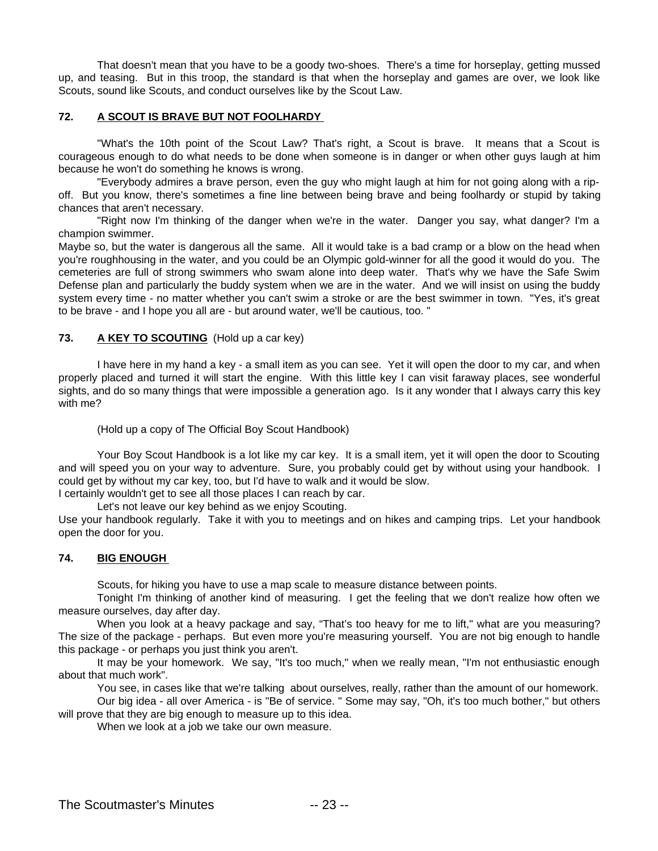That doesn't mean that you have to be a goody two-shoes. There's a time for horseplay, getting mussed up, and teasing. But in this troop, the standard is that when the horseplay and games are over, we look like Scouts, sound like Scouts, and conduct ourselves like by the Scout Law.

## **72. A SCOUT IS BRAVE BUT NOT FOOLHARDY**

"What's the 10th point of the Scout Law? That's right, a Scout is brave. It means that a Scout is courageous enough to do what needs to be done when someone is in danger or when other guys laugh at him because he won't do something he knows is wrong.

"Everybody admires a brave person, even the guy who might laugh at him for not going along with a ripoff. But you know, there's sometimes a fine line between being brave and being foolhardy or stupid by taking chances that aren't necessary.

"Right now I'm thinking of the danger when we're in the water. Danger you say, what danger? I'm a champion swimmer.

Maybe so, but the water is dangerous all the same. All it would take is a bad cramp or a blow on the head when you're roughhousing in the water, and you could be an Olympic gold-winner for all the good it would do you. The cemeteries are full of strong swimmers who swam alone into deep water. That's why we have the Safe Swim Defense plan and particularly the buddy system when we are in the water. And we will insist on using the buddy system every time - no matter whether you can't swim a stroke or are the best swimmer in town. "Yes, it's great to be brave - and I hope you all are - but around water, we'll be cautious, too. "

## **73. A KEY TO SCOUTING** (Hold up a car key)

I have here in my hand a key - a small item as you can see. Yet it will open the door to my car, and when properly placed and turned it will start the engine. With this little key I can visit faraway places, see wonderful sights, and do so many things that were impossible a generation ago. Is it any wonder that I always carry this key with me?

(Hold up a copy of The Official Boy Scout Handbook)

Your Boy Scout Handbook is a lot like my car key. It is a small item, yet it will open the door to Scouting and will speed you on your way to adventure. Sure, you probably could get by without using your handbook. I could get by without my car key, too, but I'd have to walk and it would be slow.

I certainly wouldn't get to see all those places I can reach by car.

Let's not leave our key behind as we enjoy Scouting.

Use your handbook regularly. Take it with you to meetings and on hikes and camping trips. Let your handbook open the door for you.

## **74. BIG ENOUGH**

Scouts, for hiking you have to use a map scale to measure distance between points.

Tonight I'm thinking of another kind of measuring. I get the feeling that we don't realize how often we measure ourselves, day after day.

When you look at a heavy package and say, "That's too heavy for me to lift," what are you measuring? The size of the package - perhaps. But even more you're measuring yourself. You are not big enough to handle this package - or perhaps you just think you aren't.

It may be your homework. We say, "It's too much," when we really mean, "I'm not enthusiastic enough about that much work".

You see, in cases like that we're talking about ourselves, really, rather than the amount of our homework. Our big idea - all over America - is "Be of service. " Some may say, "Oh, it's too much bother," but others

will prove that they are big enough to measure up to this idea.

When we look at a job we take our own measure.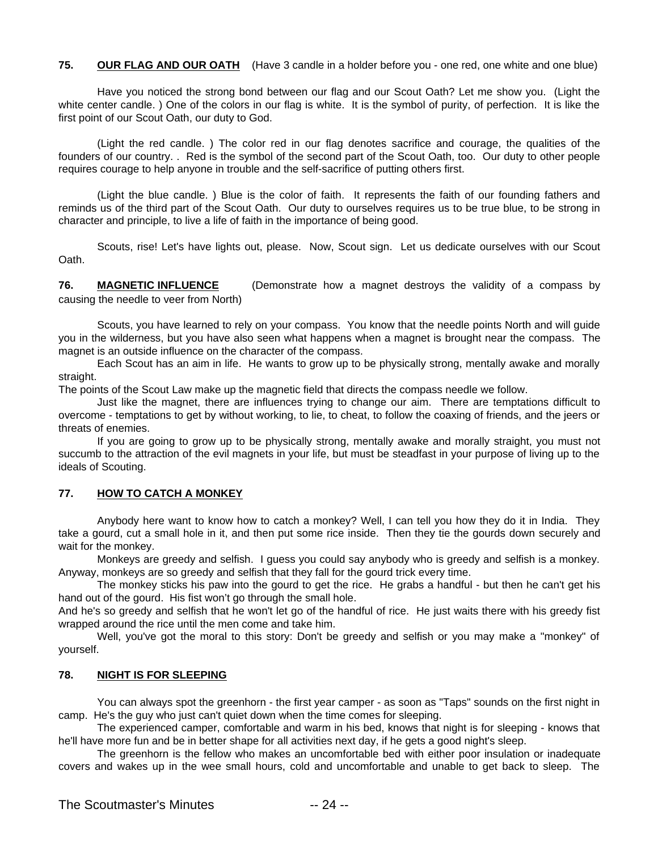# **75. OUR FLAG AND OUR OATH** (Have 3 candle in a holder before you - one red, one white and one blue)

Have you noticed the strong bond between our flag and our Scout Oath? Let me show you. (Light the white center candle. ) One of the colors in our flag is white. It is the symbol of purity, of perfection. It is like the first point of our Scout Oath, our duty to God.

(Light the red candle. ) The color red in our flag denotes sacrifice and courage, the qualities of the founders of our country. . Red is the symbol of the second part of the Scout Oath, too. Our duty to other people requires courage to help anyone in trouble and the self-sacrifice of putting others first.

(Light the blue candle. ) Blue is the color of faith. It represents the faith of our founding fathers and reminds us of the third part of the Scout Oath. Our duty to ourselves requires us to be true blue, to be strong in character and principle, to live a life of faith in the importance of being good.

Scouts, rise! Let's have lights out, please. Now, Scout sign. Let us dedicate ourselves with our Scout Oath.

**76. MAGNETIC INFLUENCE** (Demonstrate how a magnet destroys the validity of a compass by causing the needle to veer from North)

Scouts, you have learned to rely on your compass. You know that the needle points North and will guide you in the wilderness, but you have also seen what happens when a magnet is brought near the compass. The magnet is an outside influence on the character of the compass.

Each Scout has an aim in life. He wants to grow up to be physically strong, mentally awake and morally straight.

The points of the Scout Law make up the magnetic field that directs the compass needle we follow.

Just like the magnet, there are influences trying to change our aim. There are temptations difficult to overcome - temptations to get by without working, to lie, to cheat, to follow the coaxing of friends, and the jeers or threats of enemies.

If you are going to grow up to be physically strong, mentally awake and morally straight, you must not succumb to the attraction of the evil magnets in your life, but must be steadfast in your purpose of living up to the ideals of Scouting.

# **77. HOW TO CATCH A MONKEY**

Anybody here want to know how to catch a monkey? Well, I can tell you how they do it in India. They take a gourd, cut a small hole in it, and then put some rice inside. Then they tie the gourds down securely and wait for the monkey.

Monkeys are greedy and selfish. I guess you could say anybody who is greedy and selfish is a monkey. Anyway, monkeys are so greedy and selfish that they fall for the gourd trick every time.

The monkey sticks his paw into the gourd to get the rice. He grabs a handful - but then he can't get his hand out of the gourd. His fist won't go through the small hole.

And he's so greedy and selfish that he won't let go of the handful of rice. He just waits there with his greedy fist wrapped around the rice until the men come and take him.

Well, you've got the moral to this story: Don't be greedy and selfish or you may make a "monkey" of yourself.

## **78. NIGHT IS FOR SLEEPING**

You can always spot the greenhorn - the first year camper - as soon as "Taps" sounds on the first night in camp. He's the guy who just can't quiet down when the time comes for sleeping.

The experienced camper, comfortable and warm in his bed, knows that night is for sleeping - knows that he'll have more fun and be in better shape for all activities next day, if he gets a good night's sleep.

The greenhorn is the fellow who makes an uncomfortable bed with either poor insulation or inadequate covers and wakes up in the wee small hours, cold and uncomfortable and unable to get back to sleep. The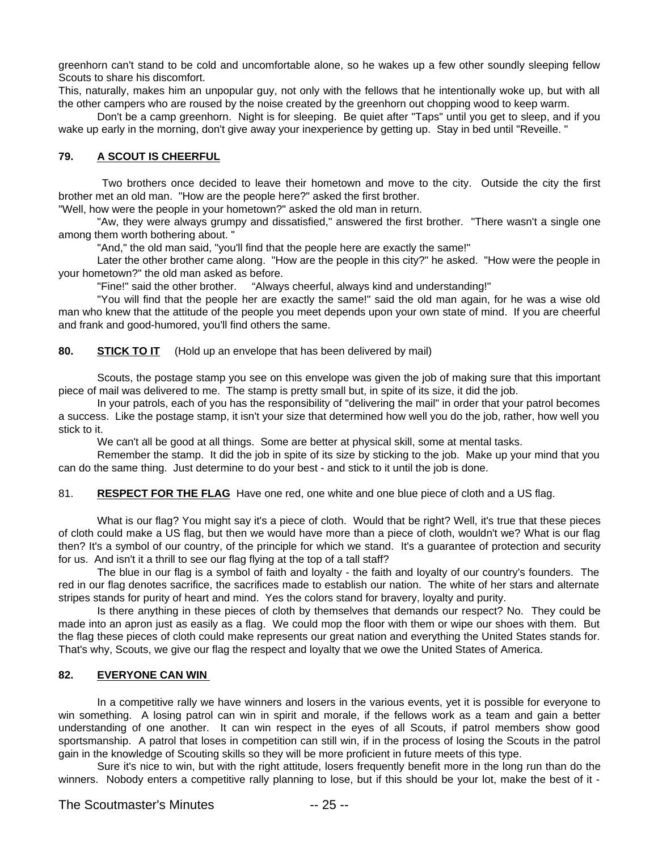greenhorn can't stand to be cold and uncomfortable alone, so he wakes up a few other soundly sleeping fellow Scouts to share his discomfort.

This, naturally, makes him an unpopular guy, not only with the fellows that he intentionally woke up, but with all the other campers who are roused by the noise created by the greenhorn out chopping wood to keep warm.

Don't be a camp greenhorn. Night is for sleeping. Be quiet after "Taps" until you get to sleep, and if you wake up early in the morning, don't give away your inexperience by getting up. Stay in bed until "Reveille."

# **79. A SCOUT IS CHEERFUL**

 Two brothers once decided to leave their hometown and move to the city. Outside the city the first brother met an old man. "How are the people here?" asked the first brother.

"Well, how were the people in your hometown?" asked the old man in return.

"Aw, they were always grumpy and dissatisfied," answered the first brother. "There wasn't a single one among them worth bothering about. "

"And," the old man said, "you'll find that the people here are exactly the same!"

Later the other brother came along. "How are the people in this city?" he asked. "How were the people in your hometown?" the old man asked as before.

"Fine!" said the other brother. "Always cheerful, always kind and understanding!"

"You will find that the people her are exactly the same!" said the old man again, for he was a wise old man who knew that the attitude of the people you meet depends upon your own state of mind. If you are cheerful and frank and good-humored, you'll find others the same.

# **80. STICK TO IT** (Hold up an envelope that has been delivered by mail)

Scouts, the postage stamp you see on this envelope was given the job of making sure that this important piece of mail was delivered to me. The stamp is pretty small but, in spite of its size, it did the job.

In your patrols, each of you has the responsibility of "delivering the mail" in order that your patrol becomes a success. Like the postage stamp, it isn't your size that determined how well you do the job, rather, how well you stick to it.

We can't all be good at all things. Some are better at physical skill, some at mental tasks.

Remember the stamp. It did the job in spite of its size by sticking to the job. Make up your mind that you can do the same thing. Just determine to do your best - and stick to it until the job is done.

## 81. **RESPECT FOR THE FLAG** Have one red, one white and one blue piece of cloth and a US flag.

What is our flag? You might say it's a piece of cloth. Would that be right? Well, it's true that these pieces of cloth could make a US flag, but then we would have more than a piece of cloth, wouldn't we? What is our flag then? It's a symbol of our country, of the principle for which we stand. It's a guarantee of protection and security for us. And isn't it a thrill to see our flag flying at the top of a tall staff?

The blue in our flag is a symbol of faith and loyalty - the faith and loyalty of our country's founders. The red in our flag denotes sacrifice, the sacrifices made to establish our nation. The white of her stars and alternate stripes stands for purity of heart and mind. Yes the colors stand for bravery, loyalty and purity.

Is there anything in these pieces of cloth by themselves that demands our respect? No. They could be made into an apron just as easily as a flag. We could mop the floor with them or wipe our shoes with them. But the flag these pieces of cloth could make represents our great nation and everything the United States stands for. That's why, Scouts, we give our flag the respect and loyalty that we owe the United States of America.

## **82. EVERYONE CAN WIN**

In a competitive rally we have winners and losers in the various events, yet it is possible for everyone to win something. A losing patrol can win in spirit and morale, if the fellows work as a team and gain a better understanding of one another. It can win respect in the eyes of all Scouts, if patrol members show good sportsmanship. A patrol that loses in competition can still win, if in the process of losing the Scouts in the patrol gain in the knowledge of Scouting skills so they will be more proficient in future meets of this type.

Sure it's nice to win, but with the right attitude, losers frequently benefit more in the long run than do the winners. Nobody enters a competitive rally planning to lose, but if this should be your lot, make the best of it -

# The Scoutmaster's Minutes -- 25 --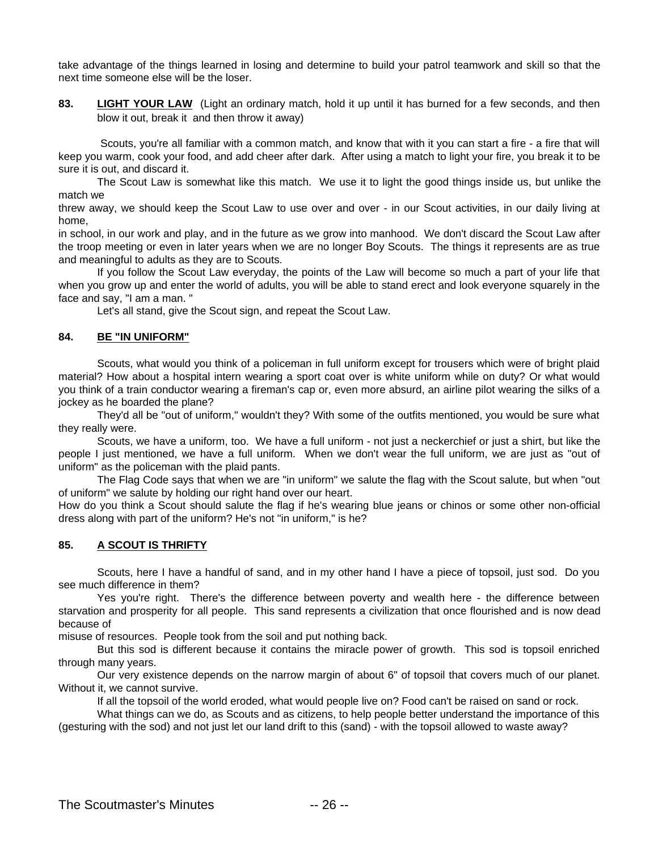take advantage of the things learned in losing and determine to build your patrol teamwork and skill so that the next time someone else will be the loser.

**83. LIGHT YOUR LAW** (Light an ordinary match, hold it up until it has burned for a few seconds, and then blow it out, break it and then throw it away)

 Scouts, you're all familiar with a common match, and know that with it you can start a fire - a fire that will keep you warm, cook your food, and add cheer after dark. After using a match to light your fire, you break it to be sure it is out, and discard it.

The Scout Law is somewhat like this match. We use it to light the good things inside us, but unlike the match we

threw away, we should keep the Scout Law to use over and over - in our Scout activities, in our daily living at home,

in school, in our work and play, and in the future as we grow into manhood. We don't discard the Scout Law after the troop meeting or even in later years when we are no longer Boy Scouts. The things it represents are as true and meaningful to adults as they are to Scouts.

If you follow the Scout Law everyday, the points of the Law will become so much a part of your life that when you grow up and enter the world of adults, you will be able to stand erect and look everyone squarely in the face and say, "I am a man. "

Let's all stand, give the Scout sign, and repeat the Scout Law.

## **84. BE "IN UNIFORM"**

Scouts, what would you think of a policeman in full uniform except for trousers which were of bright plaid material? How about a hospital intern wearing a sport coat over is white uniform while on duty? Or what would you think of a train conductor wearing a fireman's cap or, even more absurd, an airline pilot wearing the silks of a jockey as he boarded the plane?

They'd all be "out of uniform," wouldn't they? With some of the outfits mentioned, you would be sure what they really were.

Scouts, we have a uniform, too. We have a full uniform - not just a neckerchief or just a shirt, but like the people I just mentioned, we have a full uniform. When we don't wear the full uniform, we are just as "out of uniform" as the policeman with the plaid pants.

The Flag Code says that when we are "in uniform" we salute the flag with the Scout salute, but when "out of uniform" we salute by holding our right hand over our heart.

How do you think a Scout should salute the flag if he's wearing blue jeans or chinos or some other non-official dress along with part of the uniform? He's not "in uniform," is he?

# **85. A SCOUT IS THRIFTY**

Scouts, here I have a handful of sand, and in my other hand I have a piece of topsoil, just sod. Do you see much difference in them?

Yes you're right. There's the difference between poverty and wealth here - the difference between starvation and prosperity for all people. This sand represents a civilization that once flourished and is now dead because of

misuse of resources. People took from the soil and put nothing back.

But this sod is different because it contains the miracle power of growth. This sod is topsoil enriched through many years.

Our very existence depends on the narrow margin of about 6" of topsoil that covers much of our planet. Without it, we cannot survive.

If all the topsoil of the world eroded, what would people live on? Food can't be raised on sand or rock.

What things can we do, as Scouts and as citizens, to help people better understand the importance of this (gesturing with the sod) and not just let our land drift to this (sand) - with the topsoil allowed to waste away?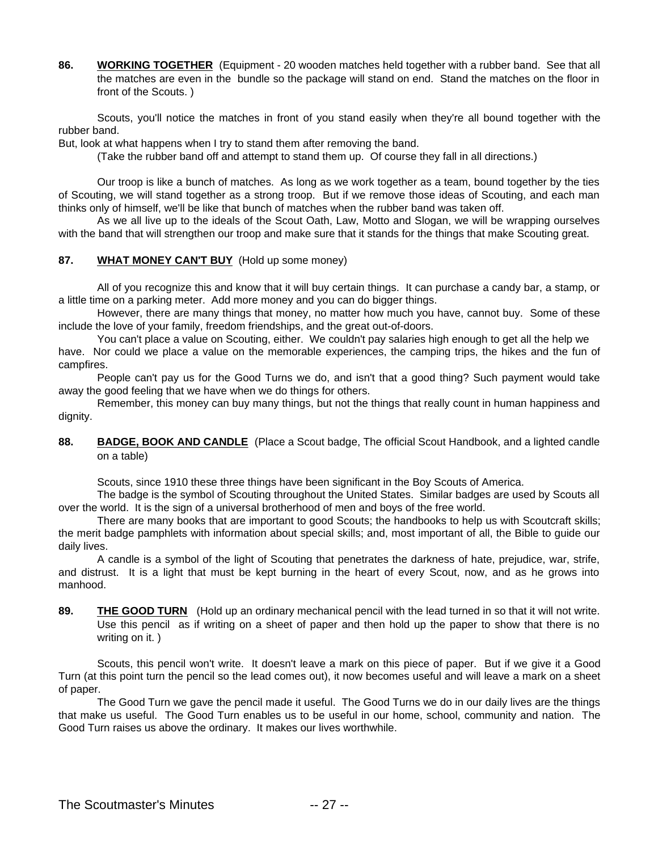**86. WORKING TOGETHER** (Equipment - 20 wooden matches held together with a rubber band. See that all the matches are even in the bundle so the package will stand on end. Stand the matches on the floor in front of the Scouts. )

Scouts, you'll notice the matches in front of you stand easily when they're all bound together with the rubber band.

But, look at what happens when I try to stand them after removing the band.

(Take the rubber band off and attempt to stand them up. Of course they fall in all directions.)

Our troop is like a bunch of matches. As long as we work together as a team, bound together by the ties of Scouting, we will stand together as a strong troop. But if we remove those ideas of Scouting, and each man thinks only of himself, we'll be like that bunch of matches when the rubber band was taken off.

As we all live up to the ideals of the Scout Oath, Law, Motto and Slogan, we will be wrapping ourselves with the band that will strengthen our troop and make sure that it stands for the things that make Scouting great.

# **87. WHAT MONEY CAN'T BUY** (Hold up some money)

All of you recognize this and know that it will buy certain things. It can purchase a candy bar, a stamp, or a little time on a parking meter. Add more money and you can do bigger things.

However, there are many things that money, no matter how much you have, cannot buy. Some of these include the love of your family, freedom friendships, and the great out-of-doors.

You can't place a value on Scouting, either. We couldn't pay salaries high enough to get all the help we have. Nor could we place a value on the memorable experiences, the camping trips, the hikes and the fun of campfires.

People can't pay us for the Good Turns we do, and isn't that a good thing? Such payment would take away the good feeling that we have when we do things for others.

Remember, this money can buy many things, but not the things that really count in human happiness and dignity.

**88. BADGE, BOOK AND CANDLE** (Place a Scout badge, The official Scout Handbook, and a lighted candle on a table)

Scouts, since 1910 these three things have been significant in the Boy Scouts of America.

The badge is the symbol of Scouting throughout the United States. Similar badges are used by Scouts all over the world. It is the sign of a universal brotherhood of men and boys of the free world.

There are many books that are important to good Scouts; the handbooks to help us with Scoutcraft skills; the merit badge pamphlets with information about special skills; and, most important of all, the Bible to guide our daily lives.

A candle is a symbol of the light of Scouting that penetrates the darkness of hate, prejudice, war, strife, and distrust. It is a light that must be kept burning in the heart of every Scout, now, and as he grows into manhood.

**89. THE GOOD TURN** (Hold up an ordinary mechanical pencil with the lead turned in so that it will not write. Use this pencil as if writing on a sheet of paper and then hold up the paper to show that there is no writing on it. )

Scouts, this pencil won't write. It doesn't leave a mark on this piece of paper. But if we give it a Good Turn (at this point turn the pencil so the lead comes out), it now becomes useful and will leave a mark on a sheet of paper.

The Good Turn we gave the pencil made it useful. The Good Turns we do in our daily lives are the things that make us useful. The Good Turn enables us to be useful in our home, school, community and nation. The Good Turn raises us above the ordinary. It makes our lives worthwhile.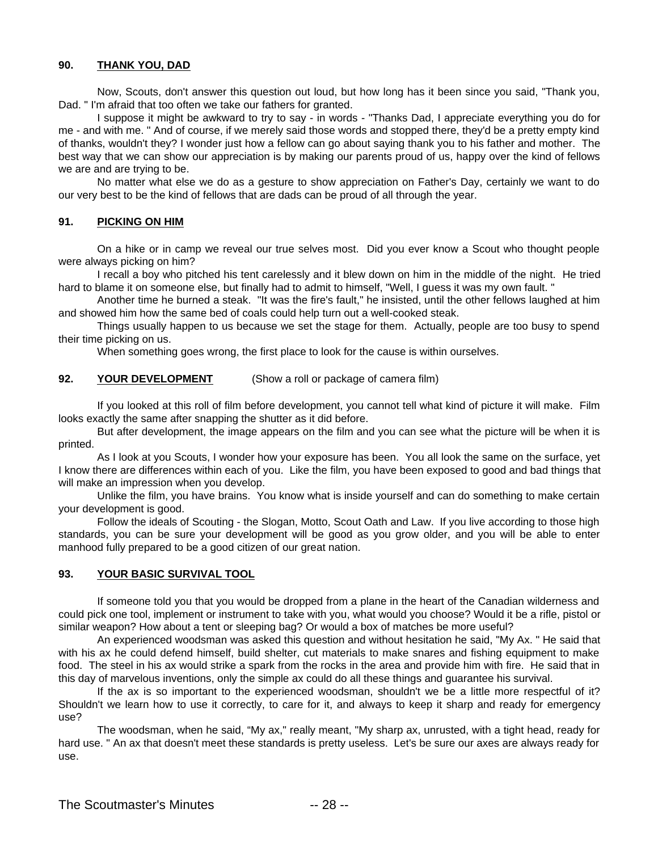# **90. THANK YOU, DAD**

Now, Scouts, don't answer this question out loud, but how long has it been since you said, "Thank you, Dad. " I'm afraid that too often we take our fathers for granted.

I suppose it might be awkward to try to say - in words - "Thanks Dad, I appreciate everything you do for me - and with me. " And of course, if we merely said those words and stopped there, they'd be a pretty empty kind of thanks, wouldn't they? I wonder just how a fellow can go about saying thank you to his father and mother. The best way that we can show our appreciation is by making our parents proud of us, happy over the kind of fellows we are and are trying to be.

No matter what else we do as a gesture to show appreciation on Father's Day, certainly we want to do our very best to be the kind of fellows that are dads can be proud of all through the year.

# **91. PICKING ON HIM**

On a hike or in camp we reveal our true selves most. Did you ever know a Scout who thought people were always picking on him?

I recall a boy who pitched his tent carelessly and it blew down on him in the middle of the night. He tried hard to blame it on someone else, but finally had to admit to himself, "Well, I guess it was my own fault. "

Another time he burned a steak. "It was the fire's fault," he insisted, until the other fellows laughed at him and showed him how the same bed of coals could help turn out a well-cooked steak.

Things usually happen to us because we set the stage for them. Actually, people are too busy to spend their time picking on us.

When something goes wrong, the first place to look for the cause is within ourselves.

# **92.** YOUR DEVELOPMENT (Show a roll or package of camera film)

If you looked at this roll of film before development, you cannot tell what kind of picture it will make. Film looks exactly the same after snapping the shutter as it did before.

But after development, the image appears on the film and you can see what the picture will be when it is printed.

As I look at you Scouts, I wonder how your exposure has been. You all look the same on the surface, yet I know there are differences within each of you. Like the film, you have been exposed to good and bad things that will make an impression when you develop.

Unlike the film, you have brains. You know what is inside yourself and can do something to make certain your development is good.

Follow the ideals of Scouting - the Slogan, Motto, Scout Oath and Law. If you live according to those high standards, you can be sure your development will be good as you grow older, and you will be able to enter manhood fully prepared to be a good citizen of our great nation.

## **93. YOUR BASIC SURVIVAL TOOL**

If someone told you that you would be dropped from a plane in the heart of the Canadian wilderness and could pick one tool, implement or instrument to take with you, what would you choose? Would it be a rifle, pistol or similar weapon? How about a tent or sleeping bag? Or would a box of matches be more useful?

An experienced woodsman was asked this question and without hesitation he said, "My Ax. " He said that with his ax he could defend himself, build shelter, cut materials to make snares and fishing equipment to make food. The steel in his ax would strike a spark from the rocks in the area and provide him with fire. He said that in this day of marvelous inventions, only the simple ax could do all these things and guarantee his survival.

If the ax is so important to the experienced woodsman, shouldn't we be a little more respectful of it? Shouldn't we learn how to use it correctly, to care for it, and always to keep it sharp and ready for emergency use?

The woodsman, when he said, "My ax," really meant, "My sharp ax, unrusted, with a tight head, ready for hard use. " An ax that doesn't meet these standards is pretty useless. Let's be sure our axes are always ready for use.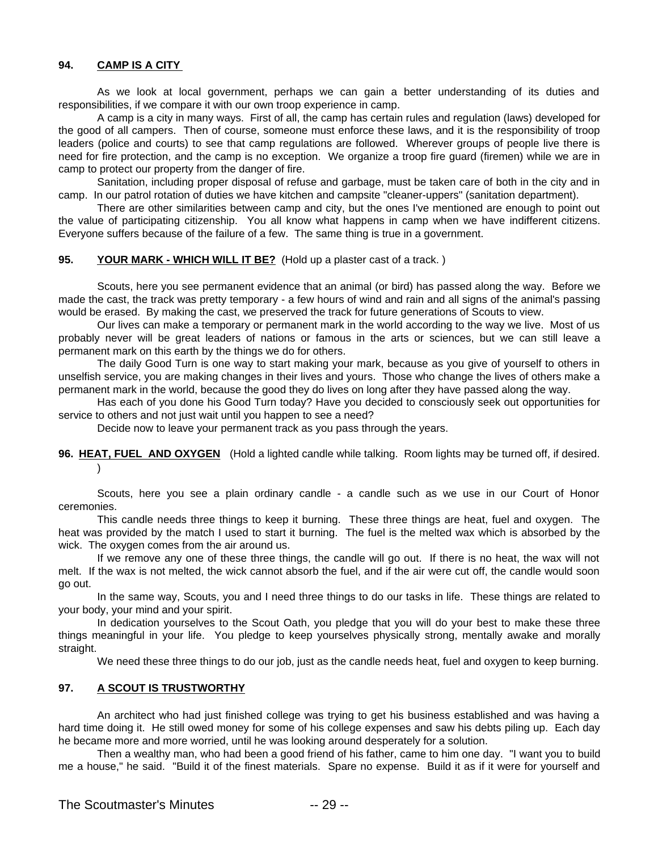# **94. CAMP IS A CITY**

As we look at local government, perhaps we can gain a better understanding of its duties and responsibilities, if we compare it with our own troop experience in camp.

A camp is a city in many ways. First of all, the camp has certain rules and regulation (laws) developed for the good of all campers. Then of course, someone must enforce these laws, and it is the responsibility of troop leaders (police and courts) to see that camp regulations are followed. Wherever groups of people live there is need for fire protection, and the camp is no exception. We organize a troop fire guard (firemen) while we are in camp to protect our property from the danger of fire.

Sanitation, including proper disposal of refuse and garbage, must be taken care of both in the city and in camp. In our patrol rotation of duties we have kitchen and campsite "cleaner-uppers" (sanitation department).

There are other similarities between camp and city, but the ones I've mentioned are enough to point out the value of participating citizenship. You all know what happens in camp when we have indifferent citizens. Everyone suffers because of the failure of a few. The same thing is true in a government.

## **95.** YOUR MARK - WHICH WILL IT BE? (Hold up a plaster cast of a track.)

Scouts, here you see permanent evidence that an animal (or bird) has passed along the way. Before we made the cast, the track was pretty temporary - a few hours of wind and rain and all signs of the animal's passing would be erased. By making the cast, we preserved the track for future generations of Scouts to view.

Our lives can make a temporary or permanent mark in the world according to the way we live. Most of us probably never will be great leaders of nations or famous in the arts or sciences, but we can still leave a permanent mark on this earth by the things we do for others.

The daily Good Turn is one way to start making your mark, because as you give of yourself to others in unselfish service, you are making changes in their lives and yours. Those who change the lives of others make a permanent mark in the world, because the good they do lives on long after they have passed along the way.

Has each of you done his Good Turn today? Have you decided to consciously seek out opportunities for service to others and not just wait until you happen to see a need?

Decide now to leave your permanent track as you pass through the years.

**96. HEAT, FUEL AND OXYGEN** (Hold a lighted candle while talking. Room lights may be turned off, if desired. )

Scouts, here you see a plain ordinary candle - a candle such as we use in our Court of Honor ceremonies.

This candle needs three things to keep it burning. These three things are heat, fuel and oxygen. The heat was provided by the match I used to start it burning. The fuel is the melted wax which is absorbed by the wick. The oxygen comes from the air around us.

If we remove any one of these three things, the candle will go out. If there is no heat, the wax will not melt. If the wax is not melted, the wick cannot absorb the fuel, and if the air were cut off, the candle would soon go out.

In the same way, Scouts, you and I need three things to do our tasks in life. These things are related to your body, your mind and your spirit.

In dedication yourselves to the Scout Oath, you pledge that you will do your best to make these three things meaningful in your life. You pledge to keep yourselves physically strong, mentally awake and morally straight.

We need these three things to do our job, just as the candle needs heat, fuel and oxygen to keep burning.

# **97. A SCOUT IS TRUSTWORTHY**

An architect who had just finished college was trying to get his business established and was having a hard time doing it. He still owed money for some of his college expenses and saw his debts piling up. Each day he became more and more worried, until he was looking around desperately for a solution.

Then a wealthy man, who had been a good friend of his father, came to him one day. "I want you to build me a house," he said. "Build it of the finest materials. Spare no expense. Build it as if it were for yourself and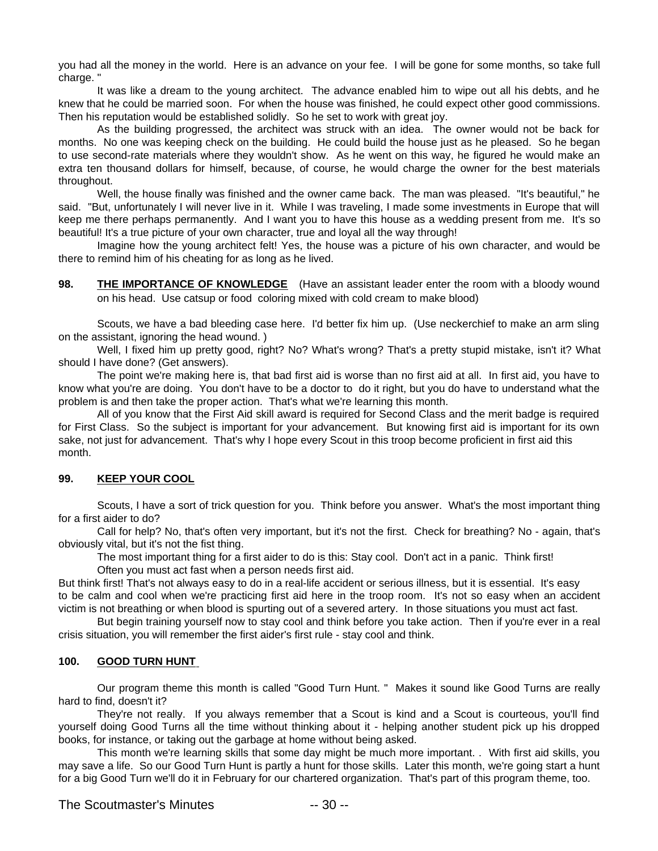you had all the money in the world. Here is an advance on your fee. I will be gone for some months, so take full charge. "

It was like a dream to the young architect. The advance enabled him to wipe out all his debts, and he knew that he could be married soon. For when the house was finished, he could expect other good commissions. Then his reputation would be established solidly. So he set to work with great joy.

As the building progressed, the architect was struck with an idea. The owner would not be back for months. No one was keeping check on the building. He could build the house just as he pleased. So he began to use second-rate materials where they wouldn't show. As he went on this way, he figured he would make an extra ten thousand dollars for himself, because, of course, he would charge the owner for the best materials throughout.

Well, the house finally was finished and the owner came back. The man was pleased. "It's beautiful," he said. "But, unfortunately I will never live in it. While I was traveling, I made some investments in Europe that will keep me there perhaps permanently. And I want you to have this house as a wedding present from me. It's so beautiful! It's a true picture of your own character, true and loyal all the way through!

Imagine how the young architect felt! Yes, the house was a picture of his own character, and would be there to remind him of his cheating for as long as he lived.

**98. THE IMPORTANCE OF KNOWLEDGE** (Have an assistant leader enter the room with a bloody wound on his head. Use catsup or food coloring mixed with cold cream to make blood)

Scouts, we have a bad bleeding case here. I'd better fix him up. (Use neckerchief to make an arm sling on the assistant, ignoring the head wound. )

Well, I fixed him up pretty good, right? No? What's wrong? That's a pretty stupid mistake, isn't it? What should I have done? (Get answers).

The point we're making here is, that bad first aid is worse than no first aid at all. In first aid, you have to know what you're are doing. You don't have to be a doctor to do it right, but you do have to understand what the problem is and then take the proper action. That's what we're learning this month.

All of you know that the First Aid skill award is required for Second Class and the merit badge is required for First Class. So the subject is important for your advancement. But knowing first aid is important for its own sake, not just for advancement. That's why I hope every Scout in this troop become proficient in first aid this month.

## **99. KEEP YOUR COOL**

Scouts, I have a sort of trick question for you. Think before you answer. What's the most important thing for a first aider to do?

Call for help? No, that's often very important, but it's not the first. Check for breathing? No - again, that's obviously vital, but it's not the fist thing.

The most important thing for a first aider to do is this: Stay cool. Don't act in a panic. Think first!

Often you must act fast when a person needs first aid. But think first! That's not always easy to do in a real-life accident or serious illness, but it is essential. It's easy to be calm and cool when we're practicing first aid here in the troop room. It's not so easy when an accident victim is not breathing or when blood is spurting out of a severed artery. In those situations you must act fast.

But begin training yourself now to stay cool and think before you take action. Then if you're ever in a real crisis situation, you will remember the first aider's first rule - stay cool and think.

## **100. GOOD TURN HUNT**

Our program theme this month is called "Good Turn Hunt. " Makes it sound like Good Turns are really hard to find, doesn't it?

They're not really. If you always remember that a Scout is kind and a Scout is courteous, you'll find yourself doing Good Turns all the time without thinking about it - helping another student pick up his dropped books, for instance, or taking out the garbage at home without being asked.

This month we're learning skills that some day might be much more important. . With first aid skills, you may save a life. So our Good Turn Hunt is partly a hunt for those skills. Later this month, we're going start a hunt for a big Good Turn we'll do it in February for our chartered organization. That's part of this program theme, too.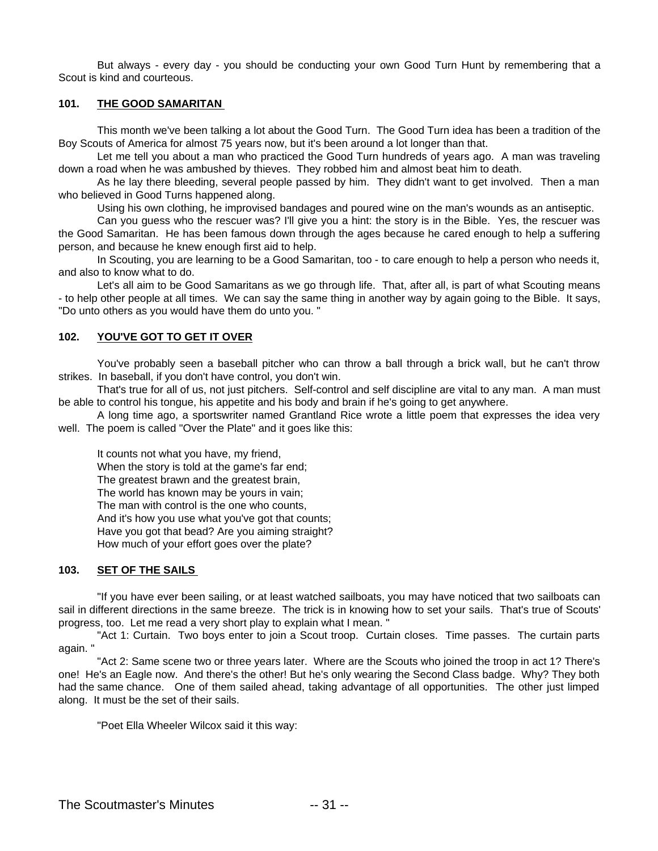But always - every day - you should be conducting your own Good Turn Hunt by remembering that a Scout is kind and courteous.

# **101. THE GOOD SAMARITAN**

This month we've been talking a lot about the Good Turn. The Good Turn idea has been a tradition of the Boy Scouts of America for almost 75 years now, but it's been around a lot longer than that.

Let me tell you about a man who practiced the Good Turn hundreds of years ago. A man was traveling down a road when he was ambushed by thieves. They robbed him and almost beat him to death.

As he lay there bleeding, several people passed by him. They didn't want to get involved. Then a man who believed in Good Turns happened along.

Using his own clothing, he improvised bandages and poured wine on the man's wounds as an antiseptic.

Can you guess who the rescuer was? I'll give you a hint: the story is in the Bible. Yes, the rescuer was the Good Samaritan. He has been famous down through the ages because he cared enough to help a suffering person, and because he knew enough first aid to help.

In Scouting, you are learning to be a Good Samaritan, too - to care enough to help a person who needs it, and also to know what to do.

Let's all aim to be Good Samaritans as we go through life. That, after all, is part of what Scouting means - to help other people at all times. We can say the same thing in another way by again going to the Bible. It says, "Do unto others as you would have them do unto you. "

## **102. YOU'VE GOT TO GET IT OVER**

You've probably seen a baseball pitcher who can throw a ball through a brick wall, but he can't throw strikes. In baseball, if you don't have control, you don't win.

That's true for all of us, not just pitchers. Self-control and self discipline are vital to any man. A man must be able to control his tongue, his appetite and his body and brain if he's going to get anywhere.

A long time ago, a sportswriter named Grantland Rice wrote a little poem that expresses the idea very well. The poem is called "Over the Plate" and it goes like this:

It counts not what you have, my friend, When the story is told at the game's far end; The greatest brawn and the greatest brain, The world has known may be yours in vain; The man with control is the one who counts, And it's how you use what you've got that counts; Have you got that bead? Are you aiming straight? How much of your effort goes over the plate?

# **103. SET OF THE SAILS**

"If you have ever been sailing, or at least watched sailboats, you may have noticed that two sailboats can sail in different directions in the same breeze. The trick is in knowing how to set your sails. That's true of Scouts' progress, too. Let me read a very short play to explain what I mean. "

"Act 1: Curtain. Two boys enter to join a Scout troop. Curtain closes. Time passes. The curtain parts again. "

"Act 2: Same scene two or three years later. Where are the Scouts who joined the troop in act 1? There's one! He's an Eagle now. And there's the other! But he's only wearing the Second Class badge. Why? They both had the same chance. One of them sailed ahead, taking advantage of all opportunities. The other just limped along. It must be the set of their sails.

"Poet Ella Wheeler Wilcox said it this way: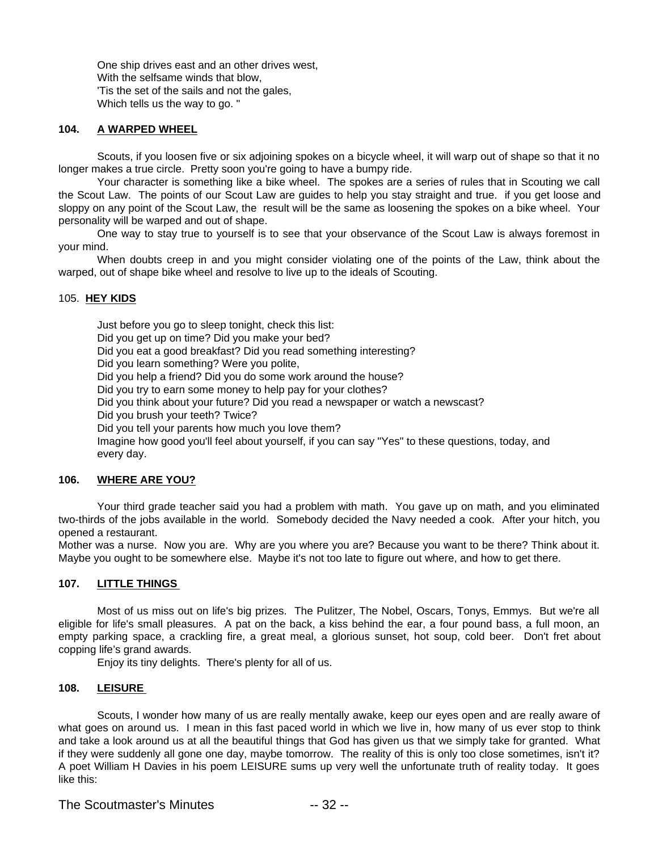One ship drives east and an other drives west, With the selfsame winds that blow, 'Tis the set of the sails and not the gales, Which tells us the way to go. "

# **104. A WARPED WHEEL**

Scouts, if you loosen five or six adjoining spokes on a bicycle wheel, it will warp out of shape so that it no longer makes a true circle. Pretty soon you're going to have a bumpy ride.

Your character is something like a bike wheel. The spokes are a series of rules that in Scouting we call the Scout Law. The points of our Scout Law are guides to help you stay straight and true. if you get loose and sloppy on any point of the Scout Law, the result will be the same as loosening the spokes on a bike wheel. Your personality will be warped and out of shape.

One way to stay true to yourself is to see that your observance of the Scout Law is always foremost in your mind.

When doubts creep in and you might consider violating one of the points of the Law, think about the warped, out of shape bike wheel and resolve to live up to the ideals of Scouting.

# 105. **HEY KIDS**

Just before you go to sleep tonight, check this list: Did you get up on time? Did you make your bed? Did you eat a good breakfast? Did you read something interesting? Did you learn something? Were you polite, Did you help a friend? Did you do some work around the house? Did you try to earn some money to help pay for your clothes? Did you think about your future? Did you read a newspaper or watch a newscast? Did you brush your teeth? Twice? Did you tell your parents how much you love them? Imagine how good you'll feel about yourself, if you can say "Yes" to these questions, today, and every day.

## **106. WHERE ARE YOU?**

Your third grade teacher said you had a problem with math. You gave up on math, and you eliminated two-thirds of the jobs available in the world. Somebody decided the Navy needed a cook. After your hitch, you opened a restaurant.

Mother was a nurse. Now you are. Why are you where you are? Because you want to be there? Think about it. Maybe you ought to be somewhere else. Maybe it's not too late to figure out where, and how to get there.

## **107. LITTLE THINGS**

Most of us miss out on life's big prizes. The Pulitzer, The Nobel, Oscars, Tonys, Emmys. But we're all eligible for life's small pleasures. A pat on the back, a kiss behind the ear, a four pound bass, a full moon, an empty parking space, a crackling fire, a great meal, a glorious sunset, hot soup, cold beer. Don't fret about copping life's grand awards.

Enjoy its tiny delights. There's plenty for all of us.

# **108. LEISURE**

Scouts, I wonder how many of us are really mentally awake, keep our eyes open and are really aware of what goes on around us. I mean in this fast paced world in which we live in, how many of us ever stop to think and take a look around us at all the beautiful things that God has given us that we simply take for granted. What if they were suddenly all gone one day, maybe tomorrow. The reality of this is only too close sometimes, isn't it? A poet William H Davies in his poem LEISURE sums up very well the unfortunate truth of reality today. It goes like this: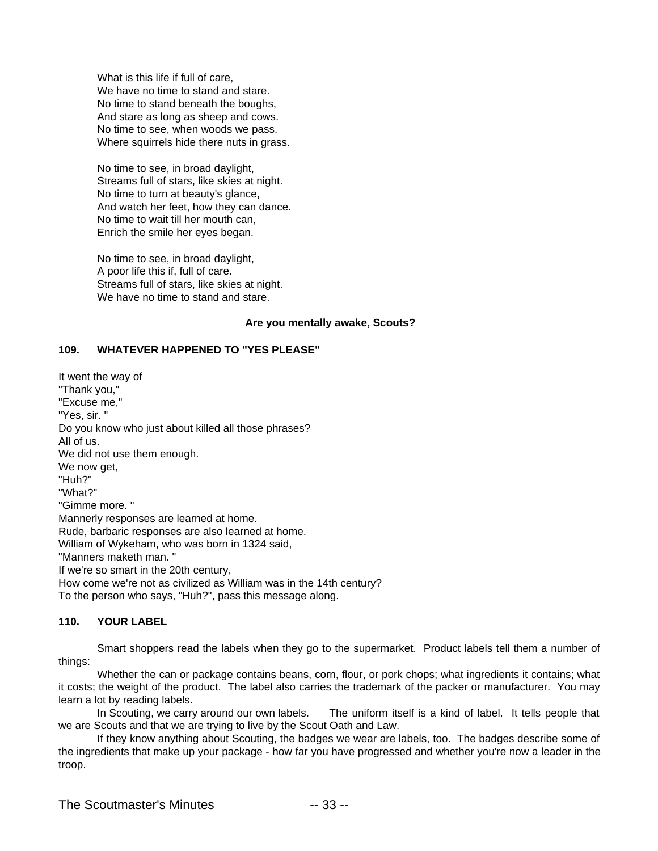What is this life if full of care We have no time to stand and stare. No time to stand beneath the boughs, And stare as long as sheep and cows. No time to see, when woods we pass. Where squirrels hide there nuts in grass.

No time to see, in broad daylight, Streams full of stars, like skies at night. No time to turn at beauty's glance, And watch her feet, how they can dance. No time to wait till her mouth can, Enrich the smile her eyes began.

No time to see, in broad daylight, A poor life this if, full of care. Streams full of stars, like skies at night. We have no time to stand and stare.

# **Are you mentally awake, Scouts?**

# **109. WHATEVER HAPPENED TO "YES PLEASE"**

It went the way of "Thank you," "Excuse me," "Yes, sir. " Do you know who just about killed all those phrases? All of us. We did not use them enough. We now get, "Huh?" "What?" "Gimme more. " Mannerly responses are learned at home. Rude, barbaric responses are also learned at home. William of Wykeham, who was born in 1324 said, "Manners maketh man. " If we're so smart in the 20th century, How come we're not as civilized as William was in the 14th century? To the person who says, "Huh?", pass this message along.

## **110. YOUR LABEL**

Smart shoppers read the labels when they go to the supermarket. Product labels tell them a number of things:

Whether the can or package contains beans, corn, flour, or pork chops; what ingredients it contains; what it costs; the weight of the product. The label also carries the trademark of the packer or manufacturer. You may learn a lot by reading labels.

In Scouting, we carry around our own labels. The uniform itself is a kind of label. It tells people that we are Scouts and that we are trying to live by the Scout Oath and Law.

If they know anything about Scouting, the badges we wear are labels, too. The badges describe some of the ingredients that make up your package - how far you have progressed and whether you're now a leader in the troop.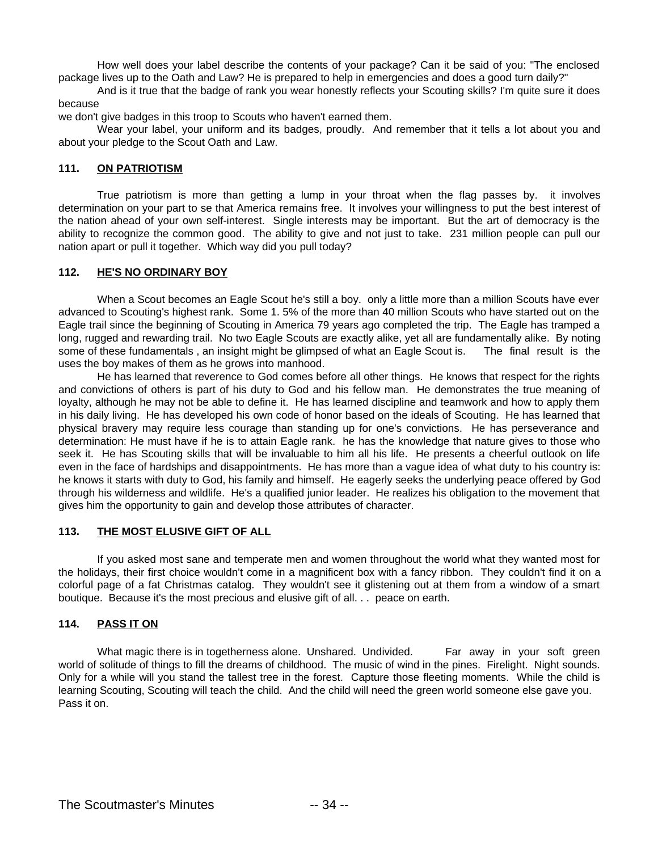How well does your label describe the contents of your package? Can it be said of you: "The enclosed package lives up to the Oath and Law? He is prepared to help in emergencies and does a good turn daily?"

And is it true that the badge of rank you wear honestly reflects your Scouting skills? I'm quite sure it does because

we don't give badges in this troop to Scouts who haven't earned them.

Wear your label, your uniform and its badges, proudly. And remember that it tells a lot about you and about your pledge to the Scout Oath and Law.

## **111. ON PATRIOTISM**

True patriotism is more than getting a lump in your throat when the flag passes by. it involves determination on your part to se that America remains free. It involves your willingness to put the best interest of the nation ahead of your own self-interest. Single interests may be important. But the art of democracy is the ability to recognize the common good. The ability to give and not just to take. 231 million people can pull our nation apart or pull it together. Which way did you pull today?

## **112. HE'S NO ORDINARY BOY**

When a Scout becomes an Eagle Scout he's still a boy. only a little more than a million Scouts have ever advanced to Scouting's highest rank. Some 1. 5% of the more than 40 million Scouts who have started out on the Eagle trail since the beginning of Scouting in America 79 years ago completed the trip. The Eagle has tramped a long, rugged and rewarding trail. No two Eagle Scouts are exactly alike, yet all are fundamentally alike. By noting some of these fundamentals , an insight might be glimpsed of what an Eagle Scout is. The final result is the uses the boy makes of them as he grows into manhood.

He has learned that reverence to God comes before all other things. He knows that respect for the rights and convictions of others is part of his duty to God and his fellow man. He demonstrates the true meaning of loyalty, although he may not be able to define it. He has learned discipline and teamwork and how to apply them in his daily living. He has developed his own code of honor based on the ideals of Scouting. He has learned that physical bravery may require less courage than standing up for one's convictions. He has perseverance and determination: He must have if he is to attain Eagle rank. he has the knowledge that nature gives to those who seek it. He has Scouting skills that will be invaluable to him all his life. He presents a cheerful outlook on life even in the face of hardships and disappointments. He has more than a vague idea of what duty to his country is: he knows it starts with duty to God, his family and himself. He eagerly seeks the underlying peace offered by God through his wilderness and wildlife. He's a qualified junior leader. He realizes his obligation to the movement that gives him the opportunity to gain and develop those attributes of character.

# **113. THE MOST ELUSIVE GIFT OF ALL**

If you asked most sane and temperate men and women throughout the world what they wanted most for the holidays, their first choice wouldn't come in a magnificent box with a fancy ribbon. They couldn't find it on a colorful page of a fat Christmas catalog. They wouldn't see it glistening out at them from a window of a smart boutique. Because it's the most precious and elusive gift of all. . . peace on earth.

## **114. PASS IT ON**

What magic there is in togetherness alone. Unshared. Undivided. Far away in your soft green world of solitude of things to fill the dreams of childhood. The music of wind in the pines. Firelight. Night sounds. Only for a while will you stand the tallest tree in the forest. Capture those fleeting moments. While the child is learning Scouting, Scouting will teach the child. And the child will need the green world someone else gave you. Pass it on.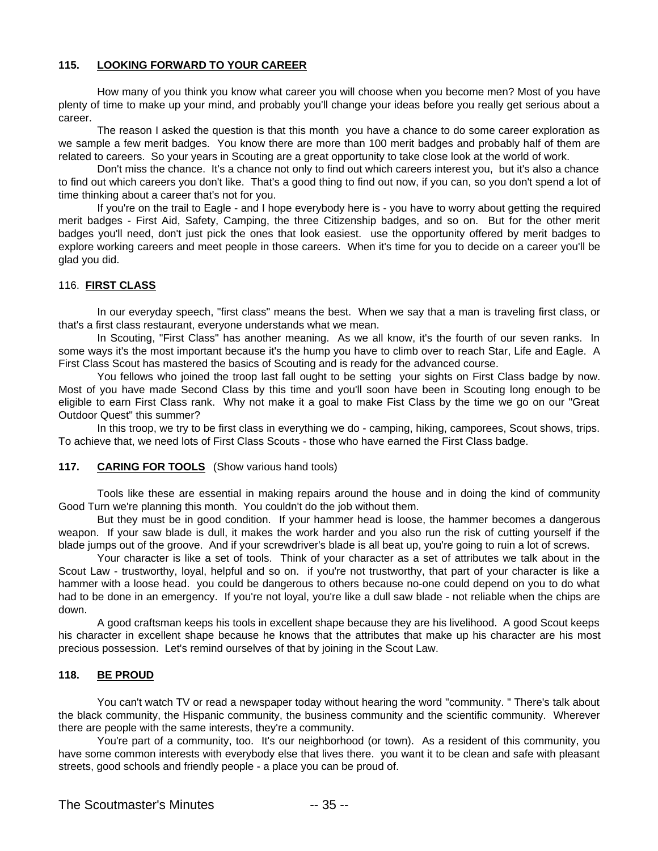# **115. LOOKING FORWARD TO YOUR CAREER**

How many of you think you know what career you will choose when you become men? Most of you have plenty of time to make up your mind, and probably you'll change your ideas before you really get serious about a career.

The reason I asked the question is that this month you have a chance to do some career exploration as we sample a few merit badges. You know there are more than 100 merit badges and probably half of them are related to careers. So your years in Scouting are a great opportunity to take close look at the world of work.

Don't miss the chance. It's a chance not only to find out which careers interest you, but it's also a chance to find out which careers you don't like. That's a good thing to find out now, if you can, so you don't spend a lot of time thinking about a career that's not for you.

If you're on the trail to Eagle - and I hope everybody here is - you have to worry about getting the required merit badges - First Aid, Safety, Camping, the three Citizenship badges, and so on. But for the other merit badges you'll need, don't just pick the ones that look easiest. use the opportunity offered by merit badges to explore working careers and meet people in those careers. When it's time for you to decide on a career you'll be glad you did.

## 116. **FIRST CLASS**

In our everyday speech, "first class" means the best. When we say that a man is traveling first class, or that's a first class restaurant, everyone understands what we mean.

In Scouting, "First Class" has another meaning. As we all know, it's the fourth of our seven ranks. In some ways it's the most important because it's the hump you have to climb over to reach Star, Life and Eagle. A First Class Scout has mastered the basics of Scouting and is ready for the advanced course.

You fellows who joined the troop last fall ought to be setting your sights on First Class badge by now. Most of you have made Second Class by this time and you'll soon have been in Scouting long enough to be eligible to earn First Class rank. Why not make it a goal to make Fist Class by the time we go on our "Great Outdoor Quest" this summer?

In this troop, we try to be first class in everything we do - camping, hiking, camporees, Scout shows, trips. To achieve that, we need lots of First Class Scouts - those who have earned the First Class badge.

# 117. CARING FOR TOOLS (Show various hand tools)

Tools like these are essential in making repairs around the house and in doing the kind of community Good Turn we're planning this month. You couldn't do the job without them.

But they must be in good condition. If your hammer head is loose, the hammer becomes a dangerous weapon. If your saw blade is dull, it makes the work harder and you also run the risk of cutting yourself if the blade jumps out of the groove. And if your screwdriver's blade is all beat up, you're going to ruin a lot of screws.

Your character is like a set of tools. Think of your character as a set of attributes we talk about in the Scout Law - trustworthy, loyal, helpful and so on. if you're not trustworthy, that part of your character is like a hammer with a loose head. you could be dangerous to others because no-one could depend on you to do what had to be done in an emergency. If you're not loyal, you're like a dull saw blade - not reliable when the chips are down.

A good craftsman keeps his tools in excellent shape because they are his livelihood. A good Scout keeps his character in excellent shape because he knows that the attributes that make up his character are his most precious possession. Let's remind ourselves of that by joining in the Scout Law.

## **118. BE PROUD**

You can't watch TV or read a newspaper today without hearing the word "community. " There's talk about the black community, the Hispanic community, the business community and the scientific community. Wherever there are people with the same interests, they're a community.

You're part of a community, too. It's our neighborhood (or town). As a resident of this community, you have some common interests with everybody else that lives there. you want it to be clean and safe with pleasant streets, good schools and friendly people - a place you can be proud of.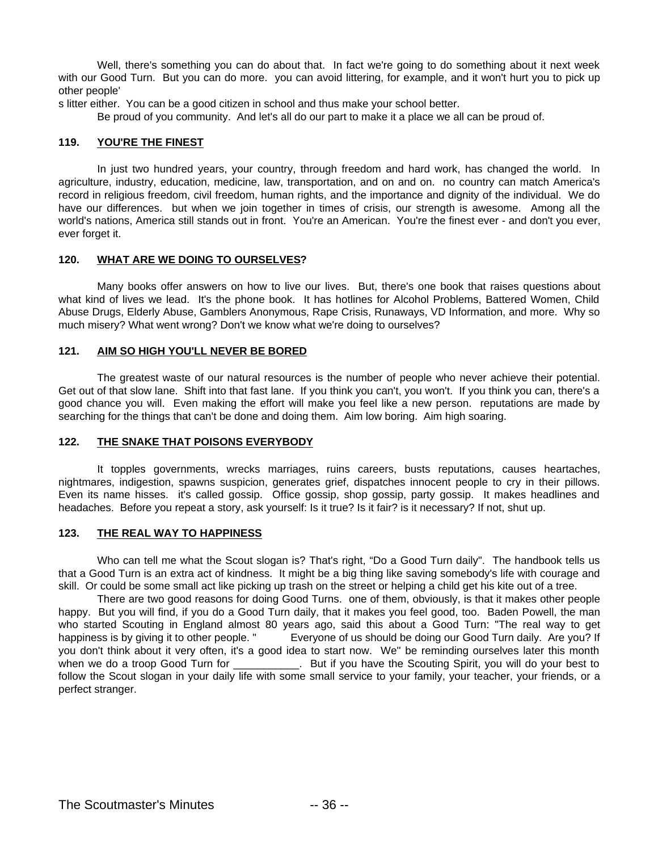Well, there's something you can do about that. In fact we're going to do something about it next week with our Good Turn. But you can do more. you can avoid littering, for example, and it won't hurt you to pick up other people'

s litter either. You can be a good citizen in school and thus make your school better.

Be proud of you community. And let's all do our part to make it a place we all can be proud of.

#### **119. YOU'RE THE FINEST**

In just two hundred years, your country, through freedom and hard work, has changed the world. In agriculture, industry, education, medicine, law, transportation, and on and on. no country can match America's record in religious freedom, civil freedom, human rights, and the importance and dignity of the individual. We do have our differences. but when we join together in times of crisis, our strength is awesome. Among all the world's nations, America still stands out in front. You're an American. You're the finest ever - and don't you ever, ever forget it.

## 120. WHAT ARE WE DOING TO OURSELVES?

Many books offer answers on how to live our lives. But, there's one book that raises questions about what kind of lives we lead. It's the phone book. It has hotlines for Alcohol Problems, Battered Women, Child Abuse Drugs, Elderly Abuse, Gamblers Anonymous, Rape Crisis, Runaways, VD Information, and more. Why so much misery? What went wrong? Don't we know what we're doing to ourselves?

## **121. AIM SO HIGH YOU'LL NEVER BE BORED**

The greatest waste of our natural resources is the number of people who never achieve their potential. Get out of that slow lane. Shift into that fast lane. If you think you can't, you won't. If you think you can, there's a good chance you will. Even making the effort will make you feel like a new person. reputations are made by searching for the things that can't be done and doing them. Aim low boring. Aim high soaring.

## **122. THE SNAKE THAT POISONS EVERYBODY**

It topples governments, wrecks marriages, ruins careers, busts reputations, causes heartaches, nightmares, indigestion, spawns suspicion, generates grief, dispatches innocent people to cry in their pillows. Even its name hisses. it's called gossip. Office gossip, shop gossip, party gossip. It makes headlines and headaches. Before you repeat a story, ask yourself: Is it true? Is it fair? is it necessary? If not, shut up.

#### **123. THE REAL WAY TO HAPPINESS**

Who can tell me what the Scout slogan is? That's right, "Do a Good Turn daily". The handbook tells us that a Good Turn is an extra act of kindness. It might be a big thing like saving somebody's life with courage and skill. Or could be some small act like picking up trash on the street or helping a child get his kite out of a tree.

There are two good reasons for doing Good Turns. one of them, obviously, is that it makes other people happy. But you will find, if you do a Good Turn daily, that it makes you feel good, too. Baden Powell, the man who started Scouting in England almost 80 years ago, said this about a Good Turn: "The real way to get happiness is by giving it to other people. " Everyone of us should be doing our Good Turn daily. Are you? If you don't think about it very often, it's a good idea to start now. We'' be reminding ourselves later this month when we do a troop Good Turn for \_\_\_\_\_\_\_\_\_\_\_. But if you have the Scouting Spirit, you will do your best to follow the Scout slogan in your daily life with some small service to your family, your teacher, your friends, or a perfect stranger.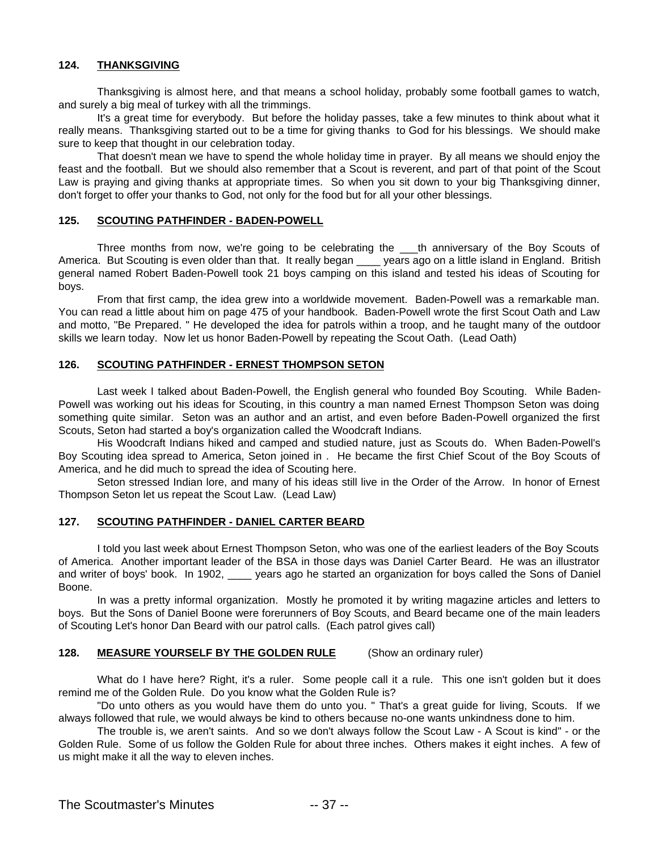# **124. THANKSGIVING**

Thanksgiving is almost here, and that means a school holiday, probably some football games to watch, and surely a big meal of turkey with all the trimmings.

It's a great time for everybody. But before the holiday passes, take a few minutes to think about what it really means. Thanksgiving started out to be a time for giving thanks to God for his blessings. We should make sure to keep that thought in our celebration today.

That doesn't mean we have to spend the whole holiday time in prayer. By all means we should enjoy the feast and the football. But we should also remember that a Scout is reverent, and part of that point of the Scout Law is praying and giving thanks at appropriate times. So when you sit down to your big Thanksgiving dinner, don't forget to offer your thanks to God, not only for the food but for all your other blessings.

## **125. SCOUTING PATHFINDER - BADEN-POWELL**

Three months from now, we're going to be celebrating the \_\_\_th anniversary of the Boy Scouts of America. But Scouting is even older than that. It really began \_\_\_\_ years ago on a little island in England. British general named Robert Baden-Powell took 21 boys camping on this island and tested his ideas of Scouting for boys.

From that first camp, the idea grew into a worldwide movement. Baden-Powell was a remarkable man. You can read a little about him on page 475 of your handbook. Baden-Powell wrote the first Scout Oath and Law and motto, "Be Prepared. " He developed the idea for patrols within a troop, and he taught many of the outdoor skills we learn today. Now let us honor Baden-Powell by repeating the Scout Oath. (Lead Oath)

## **126. SCOUTING PATHFINDER - ERNEST THOMPSON SETON**

Last week I talked about Baden-Powell, the English general who founded Boy Scouting. While Baden-Powell was working out his ideas for Scouting, in this country a man named Ernest Thompson Seton was doing something quite similar. Seton was an author and an artist, and even before Baden-Powell organized the first Scouts, Seton had started a boy's organization called the Woodcraft Indians.

His Woodcraft Indians hiked and camped and studied nature, just as Scouts do. When Baden-Powell's Boy Scouting idea spread to America, Seton joined in . He became the first Chief Scout of the Boy Scouts of America, and he did much to spread the idea of Scouting here.

Seton stressed Indian lore, and many of his ideas still live in the Order of the Arrow. In honor of Ernest Thompson Seton let us repeat the Scout Law. (Lead Law)

## **127. SCOUTING PATHFINDER - DANIEL CARTER BEARD**

I told you last week about Ernest Thompson Seton, who was one of the earliest leaders of the Boy Scouts of America. Another important leader of the BSA in those days was Daniel Carter Beard. He was an illustrator and writer of boys' book. In 1902, \_\_\_\_ years ago he started an organization for boys called the Sons of Daniel Boone.

In was a pretty informal organization. Mostly he promoted it by writing magazine articles and letters to boys. But the Sons of Daniel Boone were forerunners of Boy Scouts, and Beard became one of the main leaders of Scouting Let's honor Dan Beard with our patrol calls. (Each patrol gives call)

## **128. MEASURE YOURSELF BY THE GOLDEN RULE** (Show an ordinary ruler)

What do I have here? Right, it's a ruler. Some people call it a rule. This one isn't golden but it does remind me of the Golden Rule. Do you know what the Golden Rule is?

"Do unto others as you would have them do unto you. " That's a great guide for living, Scouts. If we always followed that rule, we would always be kind to others because no-one wants unkindness done to him.

The trouble is, we aren't saints. And so we don't always follow the Scout Law - A Scout is kind" - or the Golden Rule. Some of us follow the Golden Rule for about three inches. Others makes it eight inches. A few of us might make it all the way to eleven inches.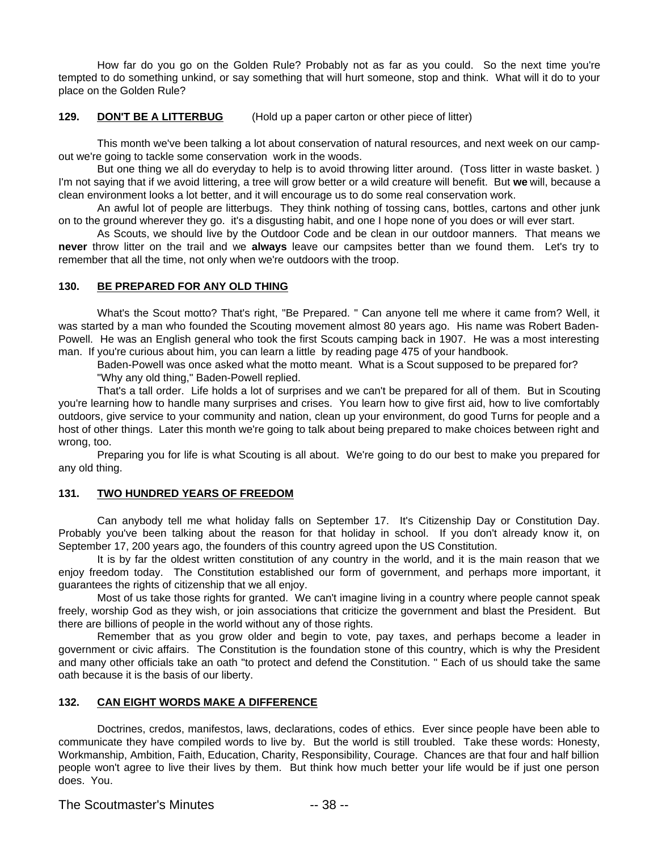How far do you go on the Golden Rule? Probably not as far as you could. So the next time you're tempted to do something unkind, or say something that will hurt someone, stop and think. What will it do to your place on the Golden Rule?

## **129. DON'T BE A LITTERBUG** (Hold up a paper carton or other piece of litter)

This month we've been talking a lot about conservation of natural resources, and next week on our campout we're going to tackle some conservation work in the woods.

But one thing we all do everyday to help is to avoid throwing litter around. (Toss litter in waste basket. ) I'm not saying that if we avoid littering, a tree will grow better or a wild creature will benefit. But **we** will, because a clean environment looks a lot better, and it will encourage us to do some real conservation work.

An awful lot of people are litterbugs. They think nothing of tossing cans, bottles, cartons and other junk on to the ground wherever they go. it's a disgusting habit, and one I hope none of you does or will ever start.

As Scouts, we should live by the Outdoor Code and be clean in our outdoor manners. That means we **never** throw litter on the trail and we **always** leave our campsites better than we found them. Let's try to remember that all the time, not only when we're outdoors with the troop.

## **130. BE PREPARED FOR ANY OLD THING**

What's the Scout motto? That's right, "Be Prepared. " Can anyone tell me where it came from? Well, it was started by a man who founded the Scouting movement almost 80 years ago. His name was Robert Baden-Powell. He was an English general who took the first Scouts camping back in 1907. He was a most interesting man. If you're curious about him, you can learn a little by reading page 475 of your handbook.

Baden-Powell was once asked what the motto meant. What is a Scout supposed to be prepared for? "Why any old thing," Baden-Powell replied.

That's a tall order. Life holds a lot of surprises and we can't be prepared for all of them. But in Scouting you're learning how to handle many surprises and crises. You learn how to give first aid, how to live comfortably outdoors, give service to your community and nation, clean up your environment, do good Turns for people and a host of other things. Later this month we're going to talk about being prepared to make choices between right and wrong, too.

Preparing you for life is what Scouting is all about. We're going to do our best to make you prepared for any old thing.

# **131. TWO HUNDRED YEARS OF FREEDOM**

Can anybody tell me what holiday falls on September 17. It's Citizenship Day or Constitution Day. Probably you've been talking about the reason for that holiday in school. If you don't already know it, on September 17, 200 years ago, the founders of this country agreed upon the US Constitution.

It is by far the oldest written constitution of any country in the world, and it is the main reason that we enjoy freedom today. The Constitution established our form of government, and perhaps more important, it guarantees the rights of citizenship that we all enjoy.

Most of us take those rights for granted. We can't imagine living in a country where people cannot speak freely, worship God as they wish, or join associations that criticize the government and blast the President. But there are billions of people in the world without any of those rights.

Remember that as you grow older and begin to vote, pay taxes, and perhaps become a leader in government or civic affairs. The Constitution is the foundation stone of this country, which is why the President and many other officials take an oath "to protect and defend the Constitution. " Each of us should take the same oath because it is the basis of our liberty.

## **132. CAN EIGHT WORDS MAKE A DIFFERENCE**

Doctrines, credos, manifestos, laws, declarations, codes of ethics. Ever since people have been able to communicate they have compiled words to live by. But the world is still troubled. Take these words: Honesty, Workmanship, Ambition, Faith, Education, Charity, Responsibility, Courage. Chances are that four and half billion people won't agree to live their lives by them. But think how much better your life would be if just one person does. You.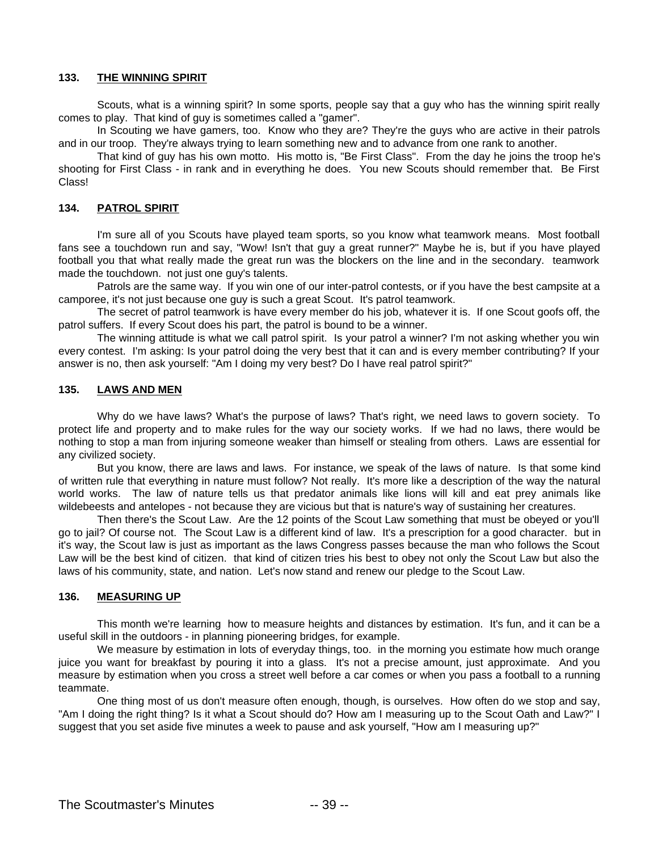## **133. THE WINNING SPIRIT**

Scouts, what is a winning spirit? In some sports, people say that a guy who has the winning spirit really comes to play. That kind of guy is sometimes called a "gamer".

In Scouting we have gamers, too. Know who they are? They're the guys who are active in their patrols and in our troop. They're always trying to learn something new and to advance from one rank to another.

That kind of guy has his own motto. His motto is, "Be First Class". From the day he joins the troop he's shooting for First Class - in rank and in everything he does. You new Scouts should remember that. Be First Class!

# **134. PATROL SPIRIT**

I'm sure all of you Scouts have played team sports, so you know what teamwork means. Most football fans see a touchdown run and say, "Wow! Isn't that guy a great runner?" Maybe he is, but if you have played football you that what really made the great run was the blockers on the line and in the secondary. teamwork made the touchdown. not just one guy's talents.

Patrols are the same way. If you win one of our inter-patrol contests, or if you have the best campsite at a camporee, it's not just because one guy is such a great Scout. It's patrol teamwork.

The secret of patrol teamwork is have every member do his job, whatever it is. If one Scout goofs off, the patrol suffers. If every Scout does his part, the patrol is bound to be a winner.

The winning attitude is what we call patrol spirit. Is your patrol a winner? I'm not asking whether you win every contest. I'm asking: Is your patrol doing the very best that it can and is every member contributing? If your answer is no, then ask yourself: "Am I doing my very best? Do I have real patrol spirit?"

# **135. LAWS AND MEN**

Why do we have laws? What's the purpose of laws? That's right, we need laws to govern society. To protect life and property and to make rules for the way our society works. If we had no laws, there would be nothing to stop a man from injuring someone weaker than himself or stealing from others. Laws are essential for any civilized society.

But you know, there are laws and laws. For instance, we speak of the laws of nature. Is that some kind of written rule that everything in nature must follow? Not really. It's more like a description of the way the natural world works. The law of nature tells us that predator animals like lions will kill and eat prey animals like wildebeests and antelopes - not because they are vicious but that is nature's way of sustaining her creatures.

Then there's the Scout Law. Are the 12 points of the Scout Law something that must be obeyed or you'll go to jail? Of course not. The Scout Law is a different kind of law. It's a prescription for a good character. but in it's way, the Scout law is just as important as the laws Congress passes because the man who follows the Scout Law will be the best kind of citizen. that kind of citizen tries his best to obey not only the Scout Law but also the laws of his community, state, and nation. Let's now stand and renew our pledge to the Scout Law.

## **136. MEASURING UP**

This month we're learning how to measure heights and distances by estimation. It's fun, and it can be a useful skill in the outdoors - in planning pioneering bridges, for example.

We measure by estimation in lots of everyday things, too. in the morning you estimate how much orange juice you want for breakfast by pouring it into a glass. It's not a precise amount, just approximate. And you measure by estimation when you cross a street well before a car comes or when you pass a football to a running teammate.

One thing most of us don't measure often enough, though, is ourselves. How often do we stop and say, "Am I doing the right thing? Is it what a Scout should do? How am I measuring up to the Scout Oath and Law?" I suggest that you set aside five minutes a week to pause and ask yourself, "How am I measuring up?"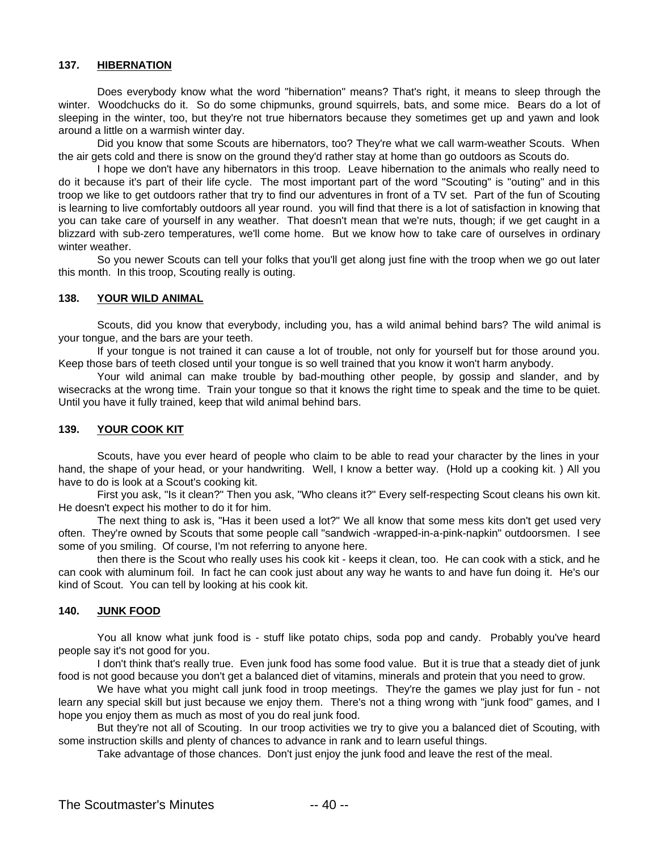## **137. HIBERNATION**

Does everybody know what the word "hibernation" means? That's right, it means to sleep through the winter. Woodchucks do it. So do some chipmunks, ground squirrels, bats, and some mice. Bears do a lot of sleeping in the winter, too, but they're not true hibernators because they sometimes get up and yawn and look around a little on a warmish winter day.

Did you know that some Scouts are hibernators, too? They're what we call warm-weather Scouts. When the air gets cold and there is snow on the ground they'd rather stay at home than go outdoors as Scouts do.

I hope we don't have any hibernators in this troop. Leave hibernation to the animals who really need to do it because it's part of their life cycle. The most important part of the word "Scouting" is "outing" and in this troop we like to get outdoors rather that try to find our adventures in front of a TV set. Part of the fun of Scouting is learning to live comfortably outdoors all year round. you will find that there is a lot of satisfaction in knowing that you can take care of yourself in any weather. That doesn't mean that we're nuts, though; if we get caught in a blizzard with sub-zero temperatures, we'll come home. But we know how to take care of ourselves in ordinary winter weather.

So you newer Scouts can tell your folks that you'll get along just fine with the troop when we go out later this month. In this troop, Scouting really is outing.

## **138. YOUR WILD ANIMAL**

Scouts, did you know that everybody, including you, has a wild animal behind bars? The wild animal is your tongue, and the bars are your teeth.

If your tongue is not trained it can cause a lot of trouble, not only for yourself but for those around you. Keep those bars of teeth closed until your tongue is so well trained that you know it won't harm anybody.

Your wild animal can make trouble by bad-mouthing other people, by gossip and slander, and by wisecracks at the wrong time. Train your tongue so that it knows the right time to speak and the time to be quiet. Until you have it fully trained, keep that wild animal behind bars.

## **139. YOUR COOK KIT**

Scouts, have you ever heard of people who claim to be able to read your character by the lines in your hand, the shape of your head, or your handwriting. Well, I know a better way. (Hold up a cooking kit. ) All you have to do is look at a Scout's cooking kit.

First you ask, "Is it clean?" Then you ask, "Who cleans it?" Every self-respecting Scout cleans his own kit. He doesn't expect his mother to do it for him.

The next thing to ask is, "Has it been used a lot?" We all know that some mess kits don't get used very often. They're owned by Scouts that some people call "sandwich -wrapped-in-a-pink-napkin" outdoorsmen. I see some of you smiling. Of course, I'm not referring to anyone here.

then there is the Scout who really uses his cook kit - keeps it clean, too. He can cook with a stick, and he can cook with aluminum foil. In fact he can cook just about any way he wants to and have fun doing it. He's our kind of Scout. You can tell by looking at his cook kit.

## **140. JUNK FOOD**

You all know what junk food is - stuff like potato chips, soda pop and candy. Probably you've heard people say it's not good for you.

I don't think that's really true. Even junk food has some food value. But it is true that a steady diet of junk food is not good because you don't get a balanced diet of vitamins, minerals and protein that you need to grow.

We have what you might call junk food in troop meetings. They're the games we play just for fun - not learn any special skill but just because we enjoy them. There's not a thing wrong with "junk food" games, and I hope you enjoy them as much as most of you do real junk food.

But they're not all of Scouting. In our troop activities we try to give you a balanced diet of Scouting, with some instruction skills and plenty of chances to advance in rank and to learn useful things.

Take advantage of those chances. Don't just enjoy the junk food and leave the rest of the meal.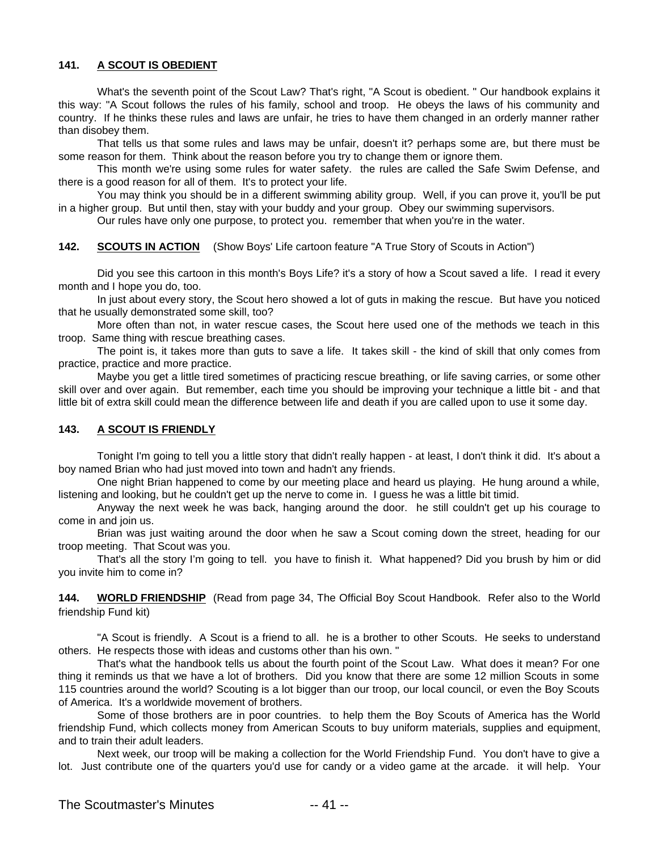# **141. A SCOUT IS OBEDIENT**

What's the seventh point of the Scout Law? That's right, "A Scout is obedient. " Our handbook explains it this way: "A Scout follows the rules of his family, school and troop. He obeys the laws of his community and country. If he thinks these rules and laws are unfair, he tries to have them changed in an orderly manner rather than disobey them.

That tells us that some rules and laws may be unfair, doesn't it? perhaps some are, but there must be some reason for them. Think about the reason before you try to change them or ignore them.

This month we're using some rules for water safety. the rules are called the Safe Swim Defense, and there is a good reason for all of them. It's to protect your life.

You may think you should be in a different swimming ability group. Well, if you can prove it, you'll be put in a higher group. But until then, stay with your buddy and your group. Obey our swimming supervisors.

Our rules have only one purpose, to protect you. remember that when you're in the water.

## **142.** SCOUTS IN ACTION (Show Boys' Life cartoon feature "A True Story of Scouts in Action")

Did you see this cartoon in this month's Boys Life? it's a story of how a Scout saved a life. I read it every month and I hope you do, too.

In just about every story, the Scout hero showed a lot of guts in making the rescue. But have you noticed that he usually demonstrated some skill, too?

More often than not, in water rescue cases, the Scout here used one of the methods we teach in this troop. Same thing with rescue breathing cases.

The point is, it takes more than guts to save a life. It takes skill - the kind of skill that only comes from practice, practice and more practice.

Maybe you get a little tired sometimes of practicing rescue breathing, or life saving carries, or some other skill over and over again. But remember, each time you should be improving your technique a little bit - and that little bit of extra skill could mean the difference between life and death if you are called upon to use it some day.

# **143. A SCOUT IS FRIENDLY**

Tonight I'm going to tell you a little story that didn't really happen - at least, I don't think it did. It's about a boy named Brian who had just moved into town and hadn't any friends.

One night Brian happened to come by our meeting place and heard us playing. He hung around a while, listening and looking, but he couldn't get up the nerve to come in. I guess he was a little bit timid.

Anyway the next week he was back, hanging around the door. he still couldn't get up his courage to come in and join us.

Brian was just waiting around the door when he saw a Scout coming down the street, heading for our troop meeting. That Scout was you.

That's all the story I'm going to tell. you have to finish it. What happened? Did you brush by him or did you invite him to come in?

**144. WORLD FRIENDSHIP** (Read from page 34, The Official Boy Scout Handbook. Refer also to the World friendship Fund kit)

"A Scout is friendly. A Scout is a friend to all. he is a brother to other Scouts. He seeks to understand others. He respects those with ideas and customs other than his own. "

That's what the handbook tells us about the fourth point of the Scout Law. What does it mean? For one thing it reminds us that we have a lot of brothers. Did you know that there are some 12 million Scouts in some 115 countries around the world? Scouting is a lot bigger than our troop, our local council, or even the Boy Scouts of America. It's a worldwide movement of brothers.

Some of those brothers are in poor countries. to help them the Boy Scouts of America has the World friendship Fund, which collects money from American Scouts to buy uniform materials, supplies and equipment, and to train their adult leaders.

Next week, our troop will be making a collection for the World Friendship Fund. You don't have to give a lot. Just contribute one of the quarters you'd use for candy or a video game at the arcade. it will help. Your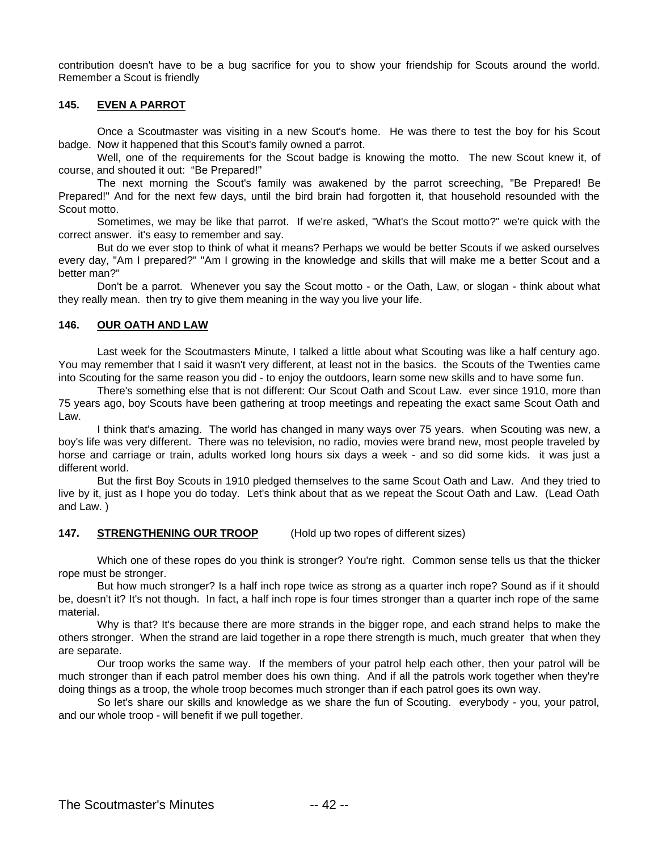contribution doesn't have to be a bug sacrifice for you to show your friendship for Scouts around the world. Remember a Scout is friendly

## **145. EVEN A PARROT**

Once a Scoutmaster was visiting in a new Scout's home. He was there to test the boy for his Scout badge. Now it happened that this Scout's family owned a parrot.

Well, one of the requirements for the Scout badge is knowing the motto. The new Scout knew it, of course, and shouted it out: "Be Prepared!"

The next morning the Scout's family was awakened by the parrot screeching, "Be Prepared! Be Prepared!" And for the next few days, until the bird brain had forgotten it, that household resounded with the Scout motto.

Sometimes, we may be like that parrot. If we're asked, "What's the Scout motto?" we're quick with the correct answer. it's easy to remember and say.

But do we ever stop to think of what it means? Perhaps we would be better Scouts if we asked ourselves every day, "Am I prepared?" "Am I growing in the knowledge and skills that will make me a better Scout and a better man?"

Don't be a parrot. Whenever you say the Scout motto - or the Oath, Law, or slogan - think about what they really mean. then try to give them meaning in the way you live your life.

# **146. OUR OATH AND LAW**

Last week for the Scoutmasters Minute, I talked a little about what Scouting was like a half century ago. You may remember that I said it wasn't very different, at least not in the basics. the Scouts of the Twenties came into Scouting for the same reason you did - to enjoy the outdoors, learn some new skills and to have some fun.

There's something else that is not different: Our Scout Oath and Scout Law. ever since 1910, more than 75 years ago, boy Scouts have been gathering at troop meetings and repeating the exact same Scout Oath and Law.

I think that's amazing. The world has changed in many ways over 75 years. when Scouting was new, a boy's life was very different. There was no television, no radio, movies were brand new, most people traveled by horse and carriage or train, adults worked long hours six days a week - and so did some kids. it was just a different world.

But the first Boy Scouts in 1910 pledged themselves to the same Scout Oath and Law. And they tried to live by it, just as I hope you do today. Let's think about that as we repeat the Scout Oath and Law. (Lead Oath and Law. )

## **147. STRENGTHENING OUR TROOP** (Hold up two ropes of different sizes)

Which one of these ropes do you think is stronger? You're right. Common sense tells us that the thicker rope must be stronger.

But how much stronger? Is a half inch rope twice as strong as a quarter inch rope? Sound as if it should be, doesn't it? It's not though. In fact, a half inch rope is four times stronger than a quarter inch rope of the same material.

Why is that? It's because there are more strands in the bigger rope, and each strand helps to make the others stronger. When the strand are laid together in a rope there strength is much, much greater that when they are separate.

Our troop works the same way. If the members of your patrol help each other, then your patrol will be much stronger than if each patrol member does his own thing. And if all the patrols work together when they're doing things as a troop, the whole troop becomes much stronger than if each patrol goes its own way.

So let's share our skills and knowledge as we share the fun of Scouting. everybody - you, your patrol, and our whole troop - will benefit if we pull together.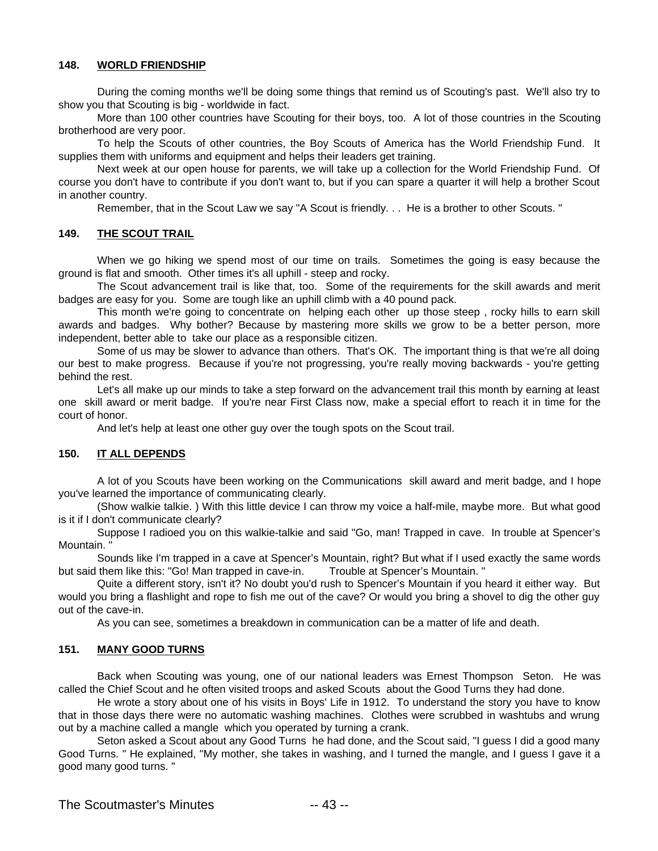## **148. WORLD FRIENDSHIP**

During the coming months we'll be doing some things that remind us of Scouting's past. We'll also try to show you that Scouting is big - worldwide in fact.

More than 100 other countries have Scouting for their boys, too. A lot of those countries in the Scouting brotherhood are very poor.

To help the Scouts of other countries, the Boy Scouts of America has the World Friendship Fund. It supplies them with uniforms and equipment and helps their leaders get training.

Next week at our open house for parents, we will take up a collection for the World Friendship Fund. Of course you don't have to contribute if you don't want to, but if you can spare a quarter it will help a brother Scout in another country.

Remember, that in the Scout Law we say "A Scout is friendly. . . He is a brother to other Scouts. "

## **149. THE SCOUT TRAIL**

When we go hiking we spend most of our time on trails. Sometimes the going is easy because the ground is flat and smooth. Other times it's all uphill - steep and rocky.

The Scout advancement trail is like that, too. Some of the requirements for the skill awards and merit badges are easy for you. Some are tough like an uphill climb with a 40 pound pack.

This month we're going to concentrate on helping each other up those steep , rocky hills to earn skill awards and badges. Why bother? Because by mastering more skills we grow to be a better person, more independent, better able to take our place as a responsible citizen.

Some of us may be slower to advance than others. That's OK. The important thing is that we're all doing our best to make progress. Because if you're not progressing, you're really moving backwards - you're getting behind the rest.

Let's all make up our minds to take a step forward on the advancement trail this month by earning at least one skill award or merit badge. If you're near First Class now, make a special effort to reach it in time for the court of honor.

And let's help at least one other guy over the tough spots on the Scout trail.

## **150. IT ALL DEPENDS**

A lot of you Scouts have been working on the Communications skill award and merit badge, and I hope you've learned the importance of communicating clearly.

(Show walkie talkie. ) With this little device I can throw my voice a half-mile, maybe more. But what good is it if I don't communicate clearly?

Suppose I radioed you on this walkie-talkie and said "Go, man! Trapped in cave. In trouble at Spencer's Mountain.'

Sounds like I'm trapped in a cave at Spencer's Mountain, right? But what if I used exactly the same words but said them like this: "Go! Man trapped in cave-in. Trouble at Spencer's Mountain. "

Quite a different story, isn't it? No doubt you'd rush to Spencer's Mountain if you heard it either way. But would you bring a flashlight and rope to fish me out of the cave? Or would you bring a shovel to dig the other guy out of the cave-in.

As you can see, sometimes a breakdown in communication can be a matter of life and death.

## **151. MANY GOOD TURNS**

Back when Scouting was young, one of our national leaders was Ernest Thompson Seton. He was called the Chief Scout and he often visited troops and asked Scouts about the Good Turns they had done.

He wrote a story about one of his visits in Boys' Life in 1912. To understand the story you have to know that in those days there were no automatic washing machines. Clothes were scrubbed in washtubs and wrung out by a machine called a mangle which you operated by turning a crank.

Seton asked a Scout about any Good Turns he had done, and the Scout said, "I guess I did a good many Good Turns. " He explained, "My mother, she takes in washing, and I turned the mangle, and I guess I gave it a good many good turns. "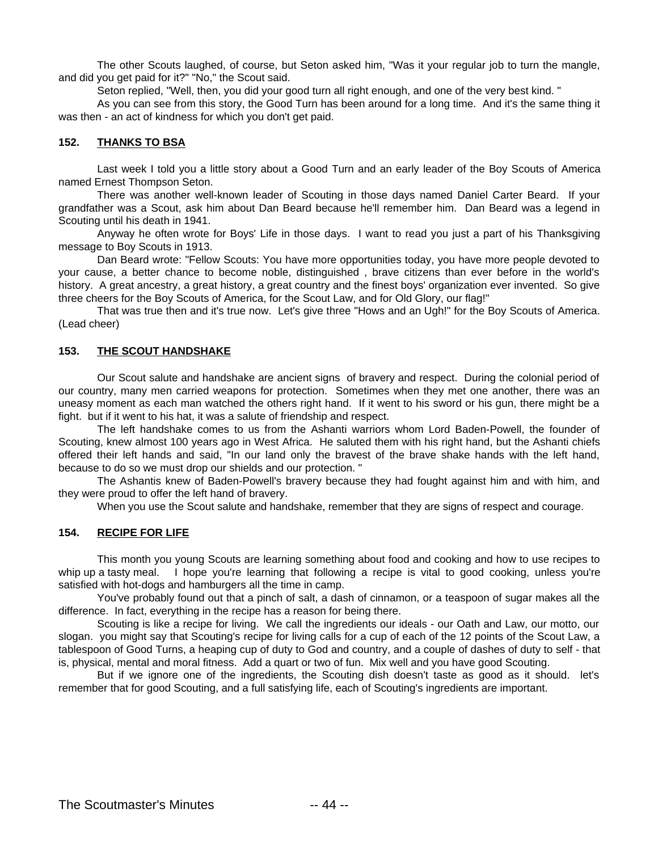The other Scouts laughed, of course, but Seton asked him, "Was it your regular job to turn the mangle, and did you get paid for it?" "No," the Scout said.

Seton replied, "Well, then, you did your good turn all right enough, and one of the very best kind. "

As you can see from this story, the Good Turn has been around for a long time. And it's the same thing it was then - an act of kindness for which you don't get paid.

## **152. THANKS TO BSA**

Last week I told you a little story about a Good Turn and an early leader of the Boy Scouts of America named Ernest Thompson Seton.

There was another well-known leader of Scouting in those days named Daniel Carter Beard. If your grandfather was a Scout, ask him about Dan Beard because he'll remember him. Dan Beard was a legend in Scouting until his death in 1941.

Anyway he often wrote for Boys' Life in those days. I want to read you just a part of his Thanksgiving message to Boy Scouts in 1913.

Dan Beard wrote: "Fellow Scouts: You have more opportunities today, you have more people devoted to your cause, a better chance to become noble, distinguished , brave citizens than ever before in the world's history. A great ancestry, a great history, a great country and the finest boys' organization ever invented. So give three cheers for the Boy Scouts of America, for the Scout Law, and for Old Glory, our flag!"

That was true then and it's true now. Let's give three "Hows and an Ugh!" for the Boy Scouts of America. (Lead cheer)

## **153. THE SCOUT HANDSHAKE**

Our Scout salute and handshake are ancient signs of bravery and respect. During the colonial period of our country, many men carried weapons for protection. Sometimes when they met one another, there was an uneasy moment as each man watched the others right hand. If it went to his sword or his gun, there might be a fight. but if it went to his hat, it was a salute of friendship and respect.

The left handshake comes to us from the Ashanti warriors whom Lord Baden-Powell, the founder of Scouting, knew almost 100 years ago in West Africa. He saluted them with his right hand, but the Ashanti chiefs offered their left hands and said, "In our land only the bravest of the brave shake hands with the left hand, because to do so we must drop our shields and our protection. "

The Ashantis knew of Baden-Powell's bravery because they had fought against him and with him, and they were proud to offer the left hand of bravery.

When you use the Scout salute and handshake, remember that they are signs of respect and courage.

# **154. RECIPE FOR LIFE**

This month you young Scouts are learning something about food and cooking and how to use recipes to whip up a tasty meal. I hope you're learning that following a recipe is vital to good cooking, unless you're satisfied with hot-dogs and hamburgers all the time in camp.

You've probably found out that a pinch of salt, a dash of cinnamon, or a teaspoon of sugar makes all the difference. In fact, everything in the recipe has a reason for being there.

Scouting is like a recipe for living. We call the ingredients our ideals - our Oath and Law, our motto, our slogan. you might say that Scouting's recipe for living calls for a cup of each of the 12 points of the Scout Law, a tablespoon of Good Turns, a heaping cup of duty to God and country, and a couple of dashes of duty to self - that is, physical, mental and moral fitness. Add a quart or two of fun. Mix well and you have good Scouting.

But if we ignore one of the ingredients, the Scouting dish doesn't taste as good as it should. let's remember that for good Scouting, and a full satisfying life, each of Scouting's ingredients are important.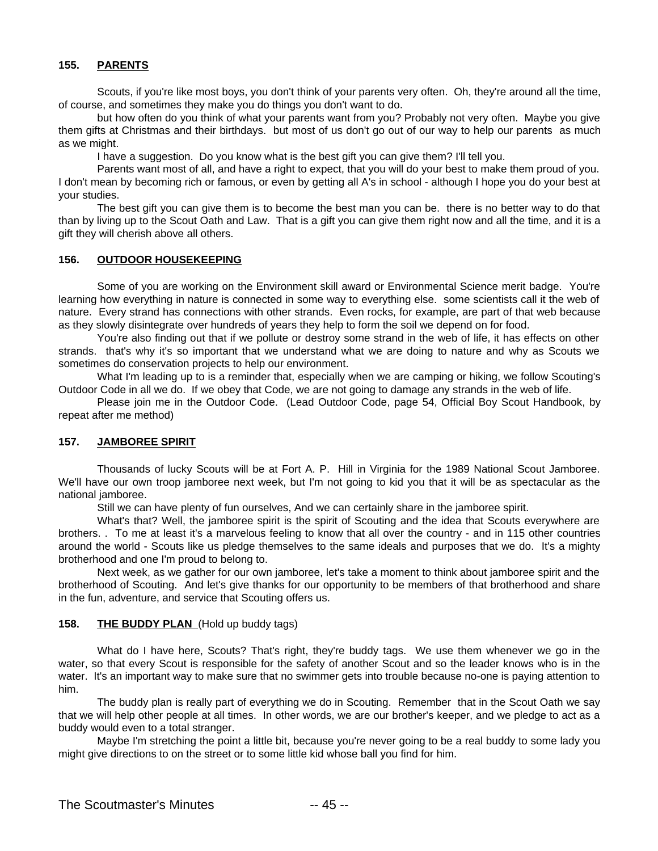# **155. PARENTS**

Scouts, if you're like most boys, you don't think of your parents very often. Oh, they're around all the time, of course, and sometimes they make you do things you don't want to do.

but how often do you think of what your parents want from you? Probably not very often. Maybe you give them gifts at Christmas and their birthdays. but most of us don't go out of our way to help our parents as much as we might.

I have a suggestion. Do you know what is the best gift you can give them? I'll tell you.

Parents want most of all, and have a right to expect, that you will do your best to make them proud of you. I don't mean by becoming rich or famous, or even by getting all A's in school - although I hope you do your best at your studies.

The best gift you can give them is to become the best man you can be. there is no better way to do that than by living up to the Scout Oath and Law. That is a gift you can give them right now and all the time, and it is a gift they will cherish above all others.

## **156. OUTDOOR HOUSEKEEPING**

Some of you are working on the Environment skill award or Environmental Science merit badge. You're learning how everything in nature is connected in some way to everything else. some scientists call it the web of nature. Every strand has connections with other strands. Even rocks, for example, are part of that web because as they slowly disintegrate over hundreds of years they help to form the soil we depend on for food.

You're also finding out that if we pollute or destroy some strand in the web of life, it has effects on other strands. that's why it's so important that we understand what we are doing to nature and why as Scouts we sometimes do conservation projects to help our environment.

What I'm leading up to is a reminder that, especially when we are camping or hiking, we follow Scouting's Outdoor Code in all we do. If we obey that Code, we are not going to damage any strands in the web of life.

Please join me in the Outdoor Code. (Lead Outdoor Code, page 54, Official Boy Scout Handbook, by repeat after me method)

## **157. JAMBOREE SPIRIT**

Thousands of lucky Scouts will be at Fort A. P. Hill in Virginia for the 1989 National Scout Jamboree. We'll have our own troop jamboree next week, but I'm not going to kid you that it will be as spectacular as the national jamboree.

Still we can have plenty of fun ourselves, And we can certainly share in the jamboree spirit.

What's that? Well, the jamboree spirit is the spirit of Scouting and the idea that Scouts everywhere are brothers. . To me at least it's a marvelous feeling to know that all over the country - and in 115 other countries around the world - Scouts like us pledge themselves to the same ideals and purposes that we do. It's a mighty brotherhood and one I'm proud to belong to.

Next week, as we gather for our own jamboree, let's take a moment to think about jamboree spirit and the brotherhood of Scouting. And let's give thanks for our opportunity to be members of that brotherhood and share in the fun, adventure, and service that Scouting offers us.

## **158. THE BUDDY PLAN** (Hold up buddy tags)

What do I have here, Scouts? That's right, they're buddy tags. We use them whenever we go in the water, so that every Scout is responsible for the safety of another Scout and so the leader knows who is in the water. It's an important way to make sure that no swimmer gets into trouble because no-one is paying attention to him.

The buddy plan is really part of everything we do in Scouting. Remember that in the Scout Oath we say that we will help other people at all times. In other words, we are our brother's keeper, and we pledge to act as a buddy would even to a total stranger.

Maybe I'm stretching the point a little bit, because you're never going to be a real buddy to some lady you might give directions to on the street or to some little kid whose ball you find for him.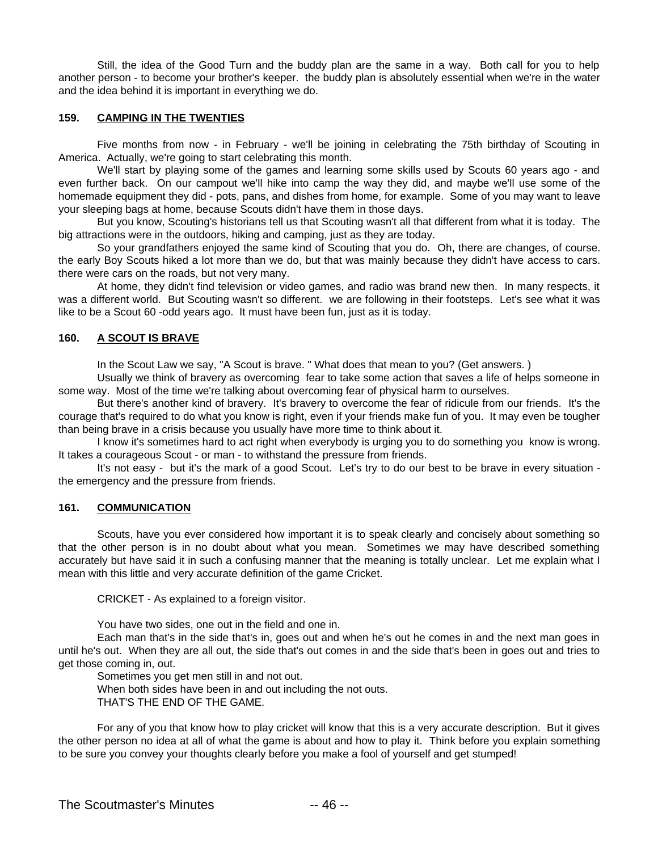Still, the idea of the Good Turn and the buddy plan are the same in a way. Both call for you to help another person - to become your brother's keeper. the buddy plan is absolutely essential when we're in the water and the idea behind it is important in everything we do.

# **159. CAMPING IN THE TWENTIES**

Five months from now - in February - we'll be joining in celebrating the 75th birthday of Scouting in America. Actually, we're going to start celebrating this month.

We'll start by playing some of the games and learning some skills used by Scouts 60 years ago - and even further back. On our campout we'll hike into camp the way they did, and maybe we'll use some of the homemade equipment they did - pots, pans, and dishes from home, for example. Some of you may want to leave your sleeping bags at home, because Scouts didn't have them in those days.

But you know, Scouting's historians tell us that Scouting wasn't all that different from what it is today. The big attractions were in the outdoors, hiking and camping, just as they are today.

So your grandfathers enjoyed the same kind of Scouting that you do. Oh, there are changes, of course. the early Boy Scouts hiked a lot more than we do, but that was mainly because they didn't have access to cars. there were cars on the roads, but not very many.

At home, they didn't find television or video games, and radio was brand new then. In many respects, it was a different world. But Scouting wasn't so different. we are following in their footsteps. Let's see what it was like to be a Scout 60 -odd years ago. It must have been fun, just as it is today.

## **160. A SCOUT IS BRAVE**

In the Scout Law we say, "A Scout is brave. " What does that mean to you? (Get answers. )

Usually we think of bravery as overcoming fear to take some action that saves a life of helps someone in some way. Most of the time we're talking about overcoming fear of physical harm to ourselves.

But there's another kind of bravery. It's bravery to overcome the fear of ridicule from our friends. It's the courage that's required to do what you know is right, even if your friends make fun of you. It may even be tougher than being brave in a crisis because you usually have more time to think about it.

I know it's sometimes hard to act right when everybody is urging you to do something you know is wrong. It takes a courageous Scout - or man - to withstand the pressure from friends.

It's not easy - but it's the mark of a good Scout. Let's try to do our best to be brave in every situation the emergency and the pressure from friends.

## **161. COMMUNICATION**

Scouts, have you ever considered how important it is to speak clearly and concisely about something so that the other person is in no doubt about what you mean. Sometimes we may have described something accurately but have said it in such a confusing manner that the meaning is totally unclear. Let me explain what I mean with this little and very accurate definition of the game Cricket.

CRICKET - As explained to a foreign visitor.

You have two sides, one out in the field and one in.

Each man that's in the side that's in, goes out and when he's out he comes in and the next man goes in until he's out. When they are all out, the side that's out comes in and the side that's been in goes out and tries to get those coming in, out.

Sometimes you get men still in and not out.

When both sides have been in and out including the not outs. THAT'S THE END OF THE GAME.

For any of you that know how to play cricket will know that this is a very accurate description. But it gives the other person no idea at all of what the game is about and how to play it. Think before you explain something to be sure you convey your thoughts clearly before you make a fool of yourself and get stumped!